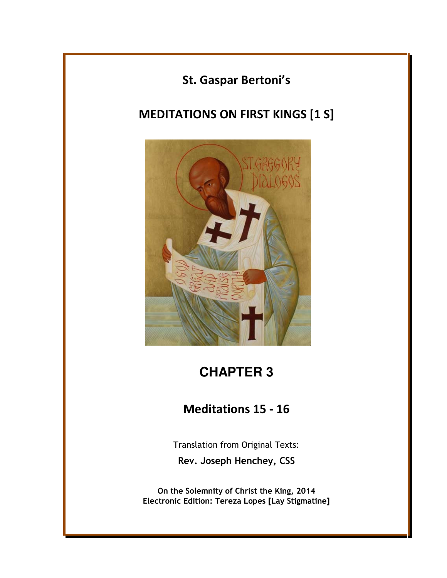## St. Gaspar Bertoni's

## MEDITATIONS ON FIRST KINGS [1 S]



# **CHAPTER 3**

## Meditations 15 - 16

Translation from Original Texts: Rev. Joseph Henchey, CSS

On the Solemnity of Christ the King, 2014 Electronic Edition: Tereza Lopes [Lay Stigmatine]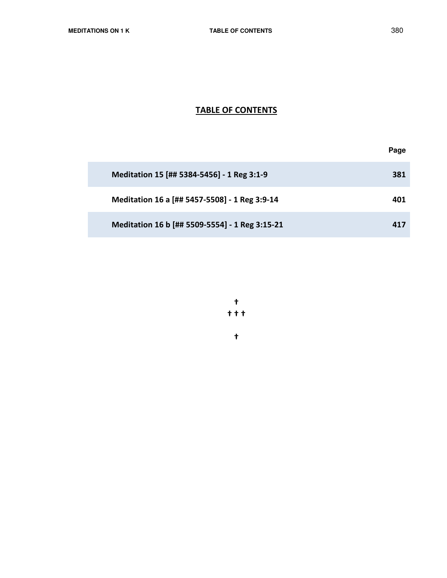## TABLE OF CONTENTS

|                                                | Page |
|------------------------------------------------|------|
| Meditation 15 [## 5384-5456] - 1 Reg 3:1-9     | 381  |
| Meditation 16 a [## 5457-5508] - 1 Reg 3:9-14  | 401  |
| Meditation 16 b [## 5509-5554] - 1 Reg 3:15-21 | 41 7 |

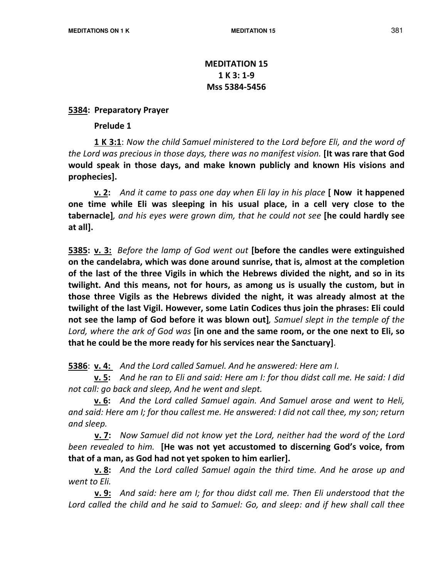## MEDITATION 15 1 K 3: 1-9 Mss 5384-5456

#### 5384: Preparatory Prayer

#### Prelude 1

 1 K 3:1: Now the child Samuel ministered to the Lord before Eli, and the word of the Lord was precious in those days, there was no manifest vision. **[It was rare that God** would speak in those days, and make known publicly and known His visions and prophecies].

v. 2: And it came to pass one day when Eli lay in his place [ Now it happened one time while Eli was sleeping in his usual place, in a cell very close to the tabernacle], and his eyes were grown dim, that he could not see [he could hardly see at all].

5385: v. 3: Before the lamp of God went out [before the candles were extinguished on the candelabra, which was done around sunrise, that is, almost at the completion of the last of the three Vigils in which the Hebrews divided the night, and so in its twilight. And this means, not for hours, as among us is usually the custom, but in those three Vigils as the Hebrews divided the night, it was already almost at the twilight of the last Vigil. However, some Latin Codices thus join the phrases: Eli could not see the lamp of God before it was blown out], Samuel slept in the temple of the Lord, where the ark of God was [in one and the same room, or the one next to Eli, so that he could be the more ready for his services near the Sanctuary].

5386: v. 4: And the Lord called Samuel. And he answered: Here am I.

v. 5: And he ran to Eli and said: Here am I: for thou didst call me. He said: I did not call: go back and sleep, And he went and slept.

v. 6: And the Lord called Samuel again. And Samuel arose and went to Heli, and said: Here am I; for thou callest me. He answered: I did not call thee, my son; return and sleep.

**v. 7:** Now Samuel did not know yet the Lord, neither had the word of the Lord been revealed to him. [He was not yet accustomed to discerning God's voice, from that of a man, as God had not yet spoken to him earlier].

v. 8: And the Lord called Samuel again the third time. And he arose up and went to Eli.

**v. 9:** And said: here am I; for thou didst call me. Then Eli understood that the Lord called the child and he said to Samuel: Go, and sleep: and if hew shall call thee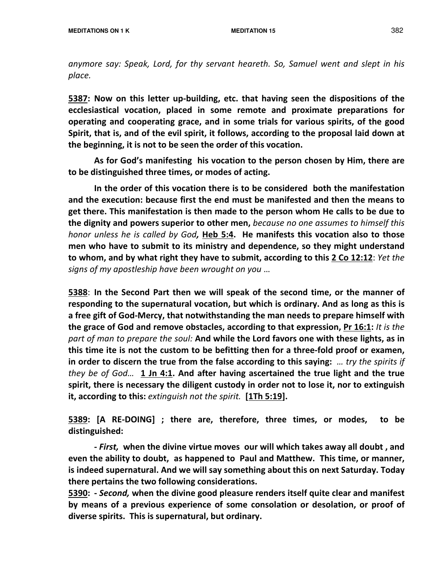anymore say: Speak, Lord, for thy servant heareth. So, Samuel went and slept in his place.

5387: Now on this letter up-building, etc. that having seen the dispositions of the ecclesiastical vocation, placed in some remote and proximate preparations for operating and cooperating grace, and in some trials for various spirits, of the good Spirit, that is, and of the evil spirit, it follows, according to the proposal laid down at the beginning, it is not to be seen the order of this vocation.

 As for God's manifesting his vocation to the person chosen by Him, there are to be distinguished three times, or modes of acting.

 In the order of this vocation there is to be considered both the manifestation and the execution: because first the end must be manifested and then the means to get there. This manifestation is then made to the person whom He calls to be due to the dignity and powers superior to other men, because no one assumes to himself this honor unless he is called by God, Heb 5:4. He manifests this vocation also to those men who have to submit to its ministry and dependence, so they might understand to whom, and by what right they have to submit, according to this 2 Co 12:12: Yet the signs of my apostleship have been wrought on you …

5388: In the Second Part then we will speak of the second time, or the manner of responding to the supernatural vocation, but which is ordinary. And as long as this is a free gift of God-Mercy, that notwithstanding the man needs to prepare himself with the grace of God and remove obstacles, according to that expression, Pr 16:1: It is the part of man to prepare the soul: And while the Lord favors one with these lights, as in this time ite is not the custom to be befitting then for a three-fold proof or examen, in order to discern the true from the false according to this saying:  $...$  try the spirits if they be of God... 1 Jn 4:1. And after having ascertained the true light and the true spirit, there is necessary the diligent custody in order not to lose it, nor to extinguish it, according to this: extinguish not the spirit. [1Th 5:19].

5389: [A RE-DOING] ; there are, therefore, three times, or modes, to be distinguished:

 - First, when the divine virtue moves our will which takes away all doubt , and even the ability to doubt, as happened to Paul and Matthew. This time, or manner, is indeed supernatural. And we will say something about this on next Saturday. Today there pertains the two following considerations.

5390: - Second, when the divine good pleasure renders itself quite clear and manifest by means of a previous experience of some consolation or desolation, or proof of diverse spirits. This is supernatural, but ordinary.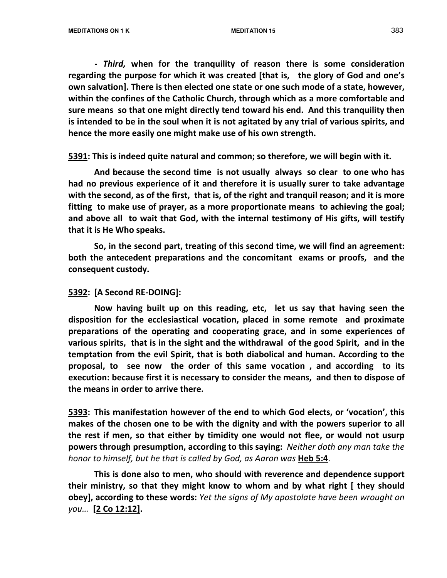- Third, when for the tranquility of reason there is some consideration regarding the purpose for which it was created [that is, the glory of God and one's own salvation]. There is then elected one state or one such mode of a state, however, within the confines of the Catholic Church, through which as a more comfortable and sure means so that one might directly tend toward his end. And this tranquility then is intended to be in the soul when it is not agitated by any trial of various spirits, and hence the more easily one might make use of his own strength.

5391: This is indeed quite natural and common; so therefore, we will begin with it.

 And because the second time is not usually always so clear to one who has had no previous experience of it and therefore it is usually surer to take advantage with the second, as of the first, that is, of the right and tranquil reason; and it is more fitting to make use of prayer, as a more proportionate means to achieving the goal; and above all to wait that God, with the internal testimony of His gifts, will testify that it is He Who speaks.

 So, in the second part, treating of this second time, we will find an agreement: both the antecedent preparations and the concomitant exams or proofs, and the consequent custody.

## 5392: [A Second RE-DOING]:

 Now having built up on this reading, etc, let us say that having seen the disposition for the ecclesiastical vocation, placed in some remote and proximate preparations of the operating and cooperating grace, and in some experiences of various spirits, that is in the sight and the withdrawal of the good Spirit, and in the temptation from the evil Spirit, that is both diabolical and human. According to the proposal, to see now the order of this same vocation , and according to its execution: because first it is necessary to consider the means, and then to dispose of the means in order to arrive there.

5393: This manifestation however of the end to which God elects, or 'vocation', this makes of the chosen one to be with the dignity and with the powers superior to all the rest if men, so that either by timidity one would not flee, or would not usurp powers through presumption, according to this saying: Neither doth any man take the honor to himself, but he that is called by God, as Aaron was Heb 5:4.

This is done also to men, who should with reverence and dependence support their ministry, so that they might know to whom and by what right [ they should obey], according to these words: Yet the signs of My apostolate have been wrought on you… [2 Co 12:12].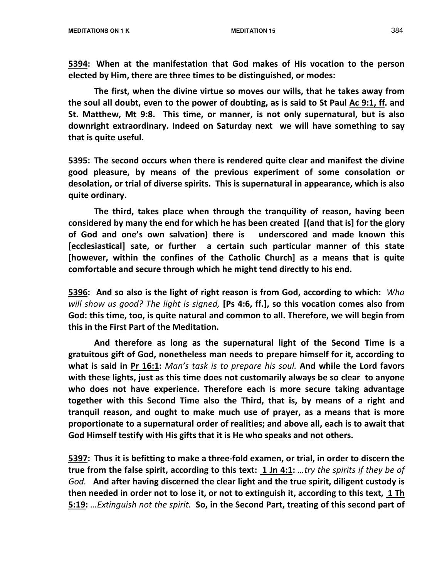5394: When at the manifestation that God makes of His vocation to the person elected by Him, there are three times to be distinguished, or modes:

 The first, when the divine virtue so moves our wills, that he takes away from the soul all doubt, even to the power of doubting, as is said to St Paul Ac 9:1, ff. and St. Matthew, Mt 9:8. This time, or manner, is not only supernatural, but is also downright extraordinary. Indeed on Saturday next we will have something to say that is quite useful.

5395: The second occurs when there is rendered quite clear and manifest the divine good pleasure, by means of the previous experiment of some consolation or desolation, or trial of diverse spirits. This is supernatural in appearance, which is also quite ordinary.

 The third, takes place when through the tranquility of reason, having been considered by many the end for which he has been created [(and that is] for the glory of God and one's own salvation) there is underscored and made known this [ecclesiastical] sate, or further a certain such particular manner of this state [however, within the confines of the Catholic Church] as a means that is quite comfortable and secure through which he might tend directly to his end.

5396: And so also is the light of right reason is from God, according to which:  $Who$ will show us good? The light is signed, [Ps 4:6, ff.], so this vocation comes also from God: this time, too, is quite natural and common to all. Therefore, we will begin from this in the First Part of the Meditation.

 And therefore as long as the supernatural light of the Second Time is a gratuitous gift of God, nonetheless man needs to prepare himself for it, according to what is said in Pr 16:1: Man's task is to prepare his soul. And while the Lord favors with these lights, just as this time does not customarily always be so clear to anyone who does not have experience. Therefore each is more secure taking advantage together with this Second Time also the Third, that is, by means of a right and tranquil reason, and ought to make much use of prayer, as a means that is more proportionate to a supernatural order of realities; and above all, each is to await that God Himself testify with His gifts that it is He who speaks and not others.

5397: Thus it is befitting to make a three-fold examen, or trial, in order to discern the true from the false spirit, according to this text: 1 Jn 4:1: ...try the spirits if they be of God. And after having discerned the clear light and the true spirit, diligent custody is then needed in order not to lose it, or not to extinguish it, according to this text,  $1$  Th 5:19: ... Extinguish not the spirit. So, in the Second Part, treating of this second part of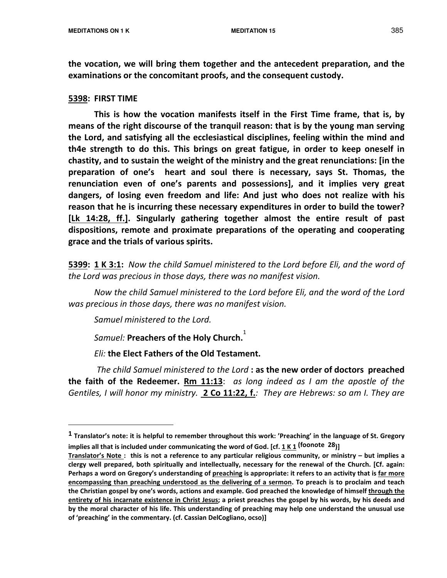the vocation, we will bring them together and the antecedent preparation, and the examinations or the concomitant proofs, and the consequent custody.

## 5398: FIRST TIME

l.

 This is how the vocation manifests itself in the First Time frame, that is, by means of the right discourse of the tranquil reason: that is by the young man serving the Lord, and satisfying all the ecclesiastical disciplines, feeling within the mind and th4e strength to do this. This brings on great fatigue, in order to keep oneself in chastity, and to sustain the weight of the ministry and the great renunciations: [in the preparation of one's heart and soul there is necessary, says St. Thomas, the renunciation even of one's parents and possessions], and it implies very great dangers, of losing even freedom and life: And just who does not realize with his reason that he is incurring these necessary expenditures in order to build the tower? [Lk 14:28, ff.]. Singularly gathering together almost the entire result of past dispositions, remote and proximate preparations of the operating and cooperating grace and the trials of various spirits.

5399: 1 K 3:1: Now the child Samuel ministered to the Lord before Eli, and the word of the Lord was precious in those days, there was no manifest vision.

 Now the child Samuel ministered to the Lord before Eli, and the word of the Lord was precious in those days, there was no manifest vision.

Samuel ministered to the Lord.

Samuel: Preachers of the Holy Church. $^{\rm 1}$ 

Eli: the Elect Fathers of the Old Testament.

The child Samuel ministered to the Lord : as the new order of doctors preached the faith of the Redeemer. Rm 11:13: as long indeed as I am the apostle of the Gentiles, I will honor my ministry. **2 Co 11:22, f.**: They are Hebrews: so am I. They are

<sup>&</sup>lt;sup>1</sup> Translator's note: it is helpful to remember throughout this work: 'Preaching' in the language of St. Gregory implies all that is included under communicating the word of God. [cf.  $1 \times 1$  (foonote 28)]

Translator's Note : this is not a reference to any particular religious community, or ministry – but implies a clergy well prepared, both spiritually and intellectually, necessary for the renewal of the Church. [Cf. again: Perhaps a word on Gregory's understanding of preaching is appropriate: it refers to an activity that is far more encompassing than preaching understood as the delivering of a sermon. To preach is to proclaim and teach the Christian gospel by one's words, actions and example. God preached the knowledge of himself through the entirety of his incarnate existence in Christ Jesus; a priest preaches the gospel by his words, by his deeds and by the moral character of his life. This understanding of preaching may help one understand the unusual use of 'preaching' in the commentary. (cf. Cassian DelCogliano, ocso)]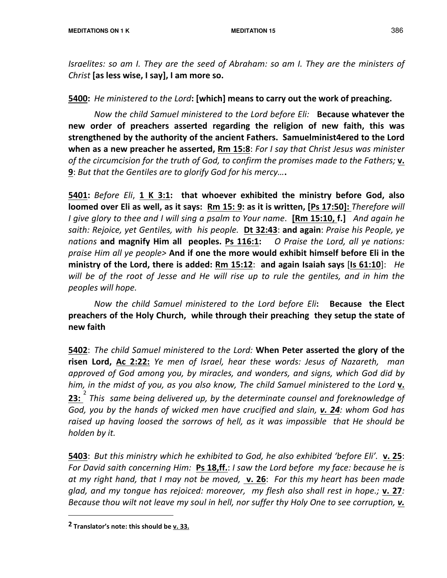Israelites: so am I. They are the seed of Abraham: so am I. They are the ministers of Christ [as less wise, I say], I am more so.

## 5400: He ministered to the Lord: [which] means to carry out the work of preaching.

Now the child Samuel ministered to the Lord before Eli: Because whatever the new order of preachers asserted regarding the religion of new faith, this was strengthened by the authority of the ancient Fathers. Samuelminist4ered to the Lord when as a new preacher he asserted, Rm 15:8: For I say that Christ Jesus was minister of the circumcision for the truth of God, to confirm the promises made to the Fathers;  $v$ . 9: But that the Gentiles are to glorify God for his mercy….

5401: Before Eli, 1 K 3:1: that whoever exhibited the ministry before God, also loomed over Eli as well, as it says: Rm 15: 9: as it is written, [Ps 17:50]: Therefore will I give glory to thee and I will sing a psalm to Your name. **[Rm 15:10, f.]** And again he saith: Rejoice, yet Gentiles, with his people. Dt 32:43: and again: Praise his People, ye nations and magnify Him all peoples. Ps 116:1:  $\sigma$  Praise the Lord, all ye nations: praise Him all ye people> And if one the more would exhibit himself before Eli in the ministry of the Lord, there is added: Rm 15:12: and again Isaiah says [Is 61:10]: He will be of the root of Jesse and He will rise up to rule the gentiles, and in him the peoples will hope.

 Now the child Samuel ministered to the Lord before Eli: Because the Elect preachers of the Holy Church, while through their preaching they setup the state of new faith

5402: The child Samuel ministered to the Lord: When Peter asserted the glory of the risen Lord, Ac 2:22: Ye men of Israel, hear these words: Jesus of Nazareth, man approved of God among you, by miracles, and wonders, and signs, which God did by him, in the midst of you, as you also know, The child Samuel ministered to the Lord  $u$ .</u>  $23$ :  $^{2}$  This same being delivered up, by the determinate counsel and foreknowledge of God, you by the hands of wicked men have crucified and slain, v. 24: whom God has raised up having loosed the sorrows of hell, as it was impossible that He should be holden by it.

5403: But this ministry which he exhibited to God, he also exhibited 'before Eli'. v. 25: For David saith concerning Him: Ps 18, ff.: I saw the Lord before my face: because he is at my right hand, that I may not be moved,  $v. 26$ : For this my heart has been made glad, and my tongue has rejoiced: moreover, my flesh also shall rest in hope.;  $v. 27$ : Because thou wilt not leave my soul in hell, nor suffer thy Holy One to see corruption, v.

 $\overline{a}$ 

<sup>2</sup> Translator's note: this should be v. 33.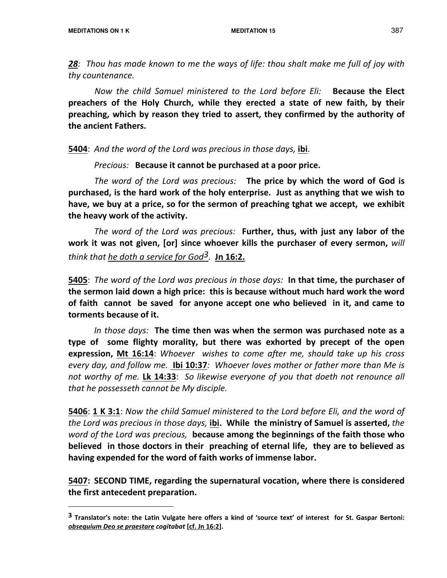$\overline{a}$ 

28: Thou has made known to me the ways of life: thou shalt make me full of joy with thy countenance.

Now the child Samuel ministered to the Lord before Eli: Because the Elect preachers of the Holy Church, while they erected a state of new faith, by their preaching, which by reason they tried to assert, they confirmed by the authority of the ancient Fathers.

5404: And the word of the Lord was precious in those days, ibi.

Precious: Because it cannot be purchased at a poor price.

The word of the Lord was precious: The price by which the word of God is purchased, is the hard work of the holy enterprise. Just as anything that we wish to have, we buy at a price, so for the sermon of preaching tghat we accept, we exhibit the heavy work of the activity.

The word of the Lord was precious: Further, thus, with just any labor of the work it was not given, [or] since whoever kills the purchaser of every sermon, will think that he doth a service for God<sup>3</sup>. **Jn 16:2.** 

5405: The word of the Lord was precious in those days: In that time, the purchaser of the sermon laid down a high price: this is because without much hard work the word of faith cannot be saved for anyone accept one who believed in it, and came to torments because of it.

In those days: The time then was when the sermon was purchased note as a type of some flighty morality, but there was exhorted by precept of the open expression, Mt 16:14: Whoever wishes to come after me, should take up his cross every day, and follow me. **Ibi 10:37**: Whoever loves mother or father more than Me is not worthy of me. Lk 14:33: So likewise everyone of you that doeth not renounce all that he possesseth cannot be My disciple.

5406: 1 K 3:1: Now the child Samuel ministered to the Lord before Eli, and the word of the Lord was precious in those days, *ibi*. While the ministry of Samuel is asserted, the word of the Lord was precious, because among the beginnings of the faith those who believed in those doctors in their preaching of eternal life, they are to believed as having expended for the word of faith works of immense labor.

5407: SECOND TIME, regarding the supernatural vocation, where there is considered the first antecedent preparation.

<sup>3</sup> Translator's note: the Latin Vulgate here offers a kind of 'source text' of interest for St. Gaspar Bertoni: obsequium Deo se praestare cogitabat [cf. Jn 16:2].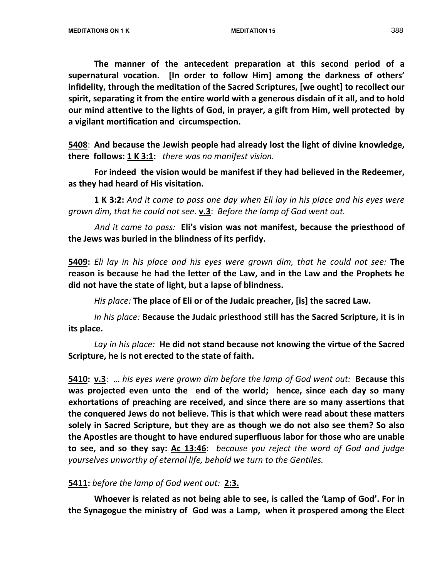The manner of the antecedent preparation at this second period of a supernatural vocation. [In order to follow Him] among the darkness of others' infidelity, through the meditation of the Sacred Scriptures, [we ought] to recollect our spirit, separating it from the entire world with a generous disdain of it all, and to hold our mind attentive to the lights of God, in prayer, a gift from Him, well protected by a vigilant mortification and circumspection.

5408: And because the Jewish people had already lost the light of divine knowledge, there follows: 1 K 3:1: there was no manifest vision.

For indeed the vision would be manifest if they had believed in the Redeemer, as they had heard of His visitation.

**1 K 3:2:** And it came to pass one day when Eli lay in his place and his eyes were grown dim, that he could not see. **v.3**: Before the lamp of God went out.

And it came to pass: Eli's vision was not manifest, because the priesthood of the Jews was buried in the blindness of its perfidy.

5409: Eli lay in his place and his eyes were grown dim, that he could not see: The reason is because he had the letter of the Law, and in the Law and the Prophets he did not have the state of light, but a lapse of blindness.

His place: The place of Eli or of the Judaic preacher, [is] the sacred Law.

In his place: Because the Judaic priesthood still has the Sacred Scripture, it is in its place.

Lay in his place: He did not stand because not knowing the virtue of the Sacred Scripture, he is not erected to the state of faith.

5410: v.3: … his eyes were grown dim before the lamp of God went out: Because this was projected even unto the end of the world; hence, since each day so many exhortations of preaching are received, and since there are so many assertions that the conquered Jews do not believe. This is that which were read about these matters solely in Sacred Scripture, but they are as though we do not also see them? So also the Apostles are thought to have endured superfluous labor for those who are unable to see, and so they say: Ac 13:46: because you reject the word of God and judge yourselves unworthy of eternal life, behold we turn to the Gentiles.

## 5411: before the lamp of God went out: 2:3.

 Whoever is related as not being able to see, is called the 'Lamp of God'. For in the Synagogue the ministry of God was a Lamp, when it prospered among the Elect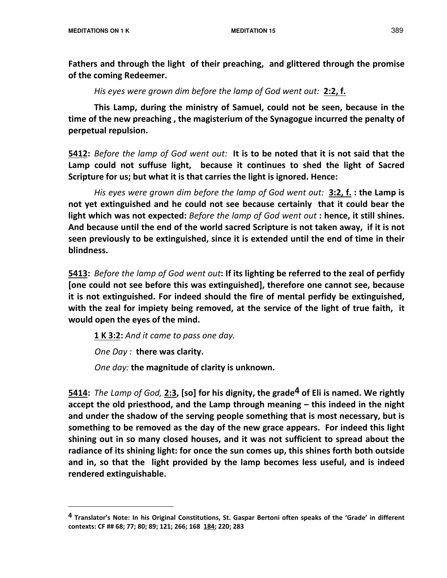$\overline{a}$ 

Fathers and through the light of their preaching, and glittered through the promise of the coming Redeemer.

His eyes were grown dim before the lamp of God went out: 2:2, f.

 This Lamp, during the ministry of Samuel, could not be seen, because in the time of the new preaching , the magisterium of the Synagogue incurred the penalty of perpetual repulsion.

5412: Before the lamp of God went out: It is to be noted that it is not said that the Lamp could not suffuse light, because it continues to shed the light of Sacred Scripture for us; but what it is that carries the light is ignored. Hence:

His eyes were grown dim before the lamp of God went out:  $3:2$ , f. : the Lamp is not yet extinguished and he could not see because certainly that it could bear the light which was not expected: Before the lamp of God went out : hence, it still shines. And because until the end of the world sacred Scripture is not taken away, if it is not seen previously to be extinguished, since it is extended until the end of time in their blindness.

5413: Before the lamp of God went out: If its lighting be referred to the zeal of perfidy [one could not see before this was extinguished], therefore one cannot see, because it is not extinguished. For indeed should the fire of mental perfidy be extinguished, with the zeal for impiety being removed, at the service of the light of true faith, it would open the eyes of the mind.

**1 K 3:2:** And it came to pass one day. One Day : there was clarity. One day: the magnitude of clarity is unknown.

5414: The Lamp of God, 2:3, [so] for his dignity, the grade<sup>4</sup> of Eli is named. We rightly accept the old priesthood, and the Lamp through meaning – this indeed in the night and under the shadow of the serving people something that is most necessary, but is something to be removed as the day of the new grace appears. For indeed this light shining out in so many closed houses, and it was not sufficient to spread about the radiance of its shining light: for once the sun comes up, this shines forth both outside and in, so that the light provided by the lamp becomes less useful, and is indeed rendered extinguishable.

<sup>4</sup> Translator's Note: In his Original Constitutions, St. Gaspar Bertoni often speaks of the 'Grade' in different contexts: CF ## 68; 77; 80; 89; 121; 266; 168 184; 220; 283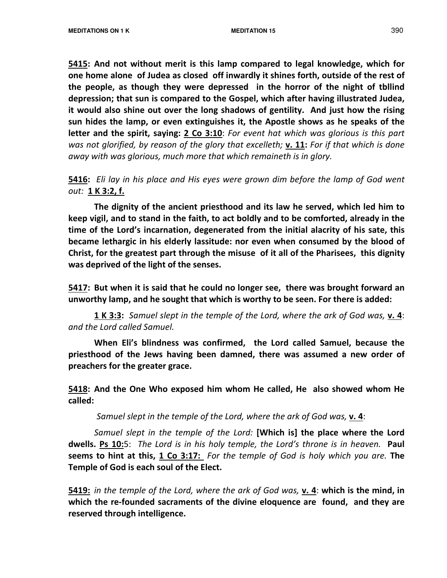5415: And not without merit is this lamp compared to legal knowledge, which for one home alone of Judea as closed off inwardly it shines forth, outside of the rest of the people, as though they were depressed in the horror of the night of tbllind depression; that sun is compared to the Gospel, which after having illustrated Judea, it would also shine out over the long shadows of gentility. And just how the rising sun hides the lamp, or even extinguishes it, the Apostle shows as he speaks of the letter and the spirit, saying: 2 Co 3:10: For event hat which was glorious is this part was not glorified, by reason of the glory that excelleth; **v. 11:** For if that which is done away with was glorious, much more that which remaineth is in glory.

5416: Eli lay in his place and His eyes were grown dim before the lamp of God went out: 1 K 3:2, f.

 The dignity of the ancient priesthood and its law he served, which led him to keep vigil, and to stand in the faith, to act boldly and to be comforted, already in the time of the Lord's incarnation, degenerated from the initial alacrity of his sate, this became lethargic in his elderly lassitude: nor even when consumed by the blood of Christ, for the greatest part through the misuse of it all of the Pharisees, this dignity was deprived of the light of the senses.

5417: But when it is said that he could no longer see, there was brought forward an unworthy lamp, and he sought that which is worthy to be seen. For there is added:

**1 K 3:3:** Samuel slept in the temple of the Lord, where the ark of God was, **y. 4**: and the Lord called Samuel.

When Eli's blindness was confirmed, the Lord called Samuel, because the priesthood of the Jews having been damned, there was assumed a new order of preachers for the greater grace.

5418: And the One Who exposed him whom He called, He also showed whom He called:

Samuel slept in the temple of the Lord, where the ark of God was,  $v. 4$ :

Samuel slept in the temple of the Lord: [Which is] the place where the Lord dwells. Ps 10:5: The Lord is in his holy temple, the Lord's throne is in heaven. Paul seems to hint at this,  $1 \text{ Co } 3:17$ : For the temple of God is holy which you are. The Temple of God is each soul of the Elect.

5419: in the temple of the Lord, where the ark of God was, **v.** 4: which is the mind, in which the re-founded sacraments of the divine eloquence are found, and they are reserved through intelligence.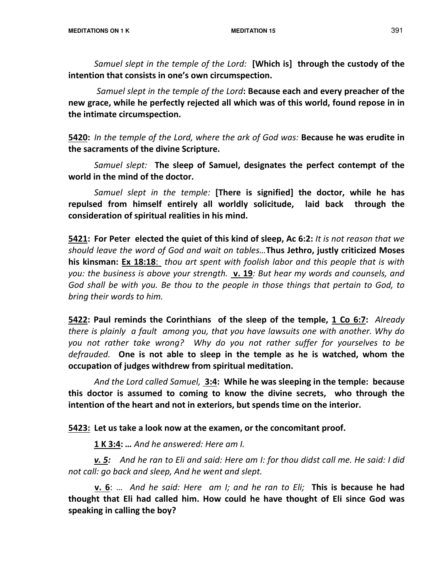Samuel slept in the temple of the Lord: [Which is] through the custody of the intention that consists in one's own circumspection.

Samuel slept in the temple of the Lord: Because each and every preacher of the new grace, while he perfectly rejected all which was of this world, found repose in in the intimate circumspection.

5420: In the temple of the Lord, where the ark of God was: Because he was erudite in the sacraments of the divine Scripture.

Samuel slept: The sleep of Samuel, designates the perfect contempt of the world in the mind of the doctor.

Samuel slept in the temple: [There is signified] the doctor, while he has repulsed from himself entirely all worldly solicitude, laid back through the consideration of spiritual realities in his mind.

5421: For Peter elected the quiet of this kind of sleep, Ac 6:2: It is not reason that we should leave the word of God and wait on tables…Thus Jethro, justly criticized Moses his kinsman: **Ex 18:18**: thou art spent with foolish labor and this people that is with you: the business is above your strength. v. 19: But hear my words and counsels, and God shall be with you. Be thou to the people in those things that pertain to God, to bring their words to him.

**5422: Paul reminds the Corinthians of the sleep of the temple, 1 Co 6:7:** Already there is plainly a fault among you, that you have lawsuits one with another. Why do you not rather take wrong? Why do you not rather suffer for yourselves to be defrauded. One is not able to sleep in the temple as he is watched, whom the occupation of judges withdrew from spiritual meditation.

And the Lord called Samuel, 3:4: While he was sleeping in the temple: because this doctor is assumed to coming to know the divine secrets, who through the intention of the heart and not in exteriors, but spends time on the interior.

5423: Let us take a look now at the examen, or the concomitant proof.

1 K 3:4: ... And he answered: Here am I.

v. 5: And he ran to Eli and said: Here am I: for thou didst call me. He said: I did not call: go back and sleep, And he went and slept.

v. 6: … And he said: Here am I; and he ran to Eli; This is because he had thought that Eli had called him. How could he have thought of Eli since God was speaking in calling the boy?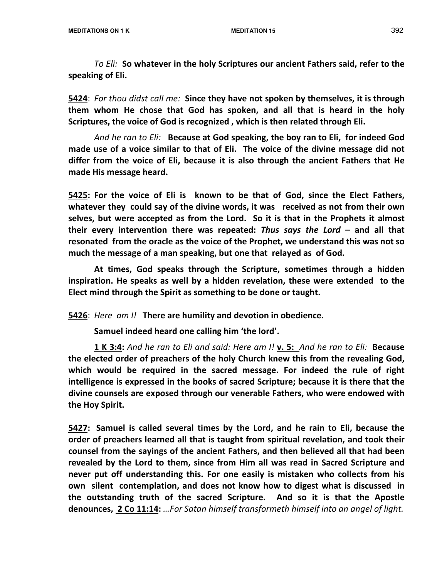To Eli: So whatever in the holy Scriptures our ancient Fathers said, refer to the speaking of Eli.

5424: For thou didst call me: Since they have not spoken by themselves, it is through them whom He chose that God has spoken, and all that is heard in the holy Scriptures, the voice of God is recognized , which is then related through Eli.

And he ran to Eli: Because at God speaking, the boy ran to Eli, for indeed God made use of a voice similar to that of Eli. The voice of the divine message did not differ from the voice of Eli, because it is also through the ancient Fathers that He made His message heard.

5425: For the voice of Eli is known to be that of God, since the Elect Fathers, whatever they could say of the divine words, it was received as not from their own selves, but were accepted as from the Lord. So it is that in the Prophets it almost their every intervention there was repeated: Thus says the Lord  $-$  and all that resonated from the oracle as the voice of the Prophet, we understand this was not so much the message of a man speaking, but one that relayed as of God.

 At times, God speaks through the Scripture, sometimes through a hidden inspiration. He speaks as well by a hidden revelation, these were extended to the Elect mind through the Spirit as something to be done or taught.

**5426:** Here am I! There are humility and devotion in obedience.

Samuel indeed heard one calling him 'the lord'.

 1 K 3:4: And he ran to Eli and said: Here am I! v. 5: And he ran to Eli: Because the elected order of preachers of the holy Church knew this from the revealing God, which would be required in the sacred message. For indeed the rule of right intelligence is expressed in the books of sacred Scripture; because it is there that the divine counsels are exposed through our venerable Fathers, who were endowed with the Hoy Spirit.

5427: Samuel is called several times by the Lord, and he rain to Eli, because the order of preachers learned all that is taught from spiritual revelation, and took their counsel from the sayings of the ancient Fathers, and then believed all that had been revealed by the Lord to them, since from Him all was read in Sacred Scripture and never put off understanding this. For one easily is mistaken who collects from his own silent contemplation, and does not know how to digest what is discussed in the outstanding truth of the sacred Scripture. And so it is that the Apostle denounces, 2 Co 11:14: ... For Satan himself transformeth himself into an angel of light.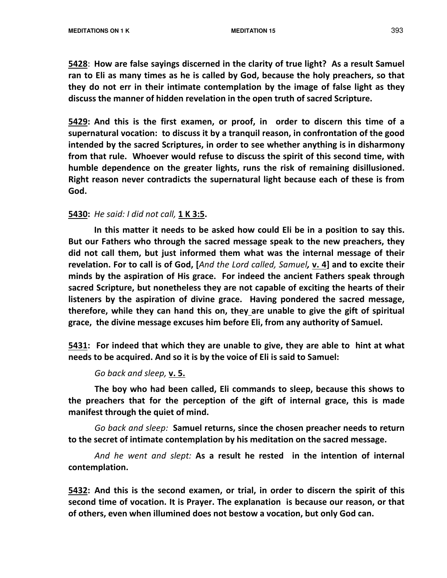5428: How are false sayings discerned in the clarity of true light? As a result Samuel ran to Eli as many times as he is called by God, because the holy preachers, so that they do not err in their intimate contemplation by the image of false light as they discuss the manner of hidden revelation in the open truth of sacred Scripture.

5429: And this is the first examen, or proof, in order to discern this time of a supernatural vocation: to discuss it by a tranquil reason, in confrontation of the good intended by the sacred Scriptures, in order to see whether anything is in disharmony from that rule. Whoever would refuse to discuss the spirit of this second time, with humble dependence on the greater lights, runs the risk of remaining disillusioned. Right reason never contradicts the supernatural light because each of these is from God.

## 5430: He said: I did not call, 1 K 3:5.

 In this matter it needs to be asked how could Eli be in a position to say this. But our Fathers who through the sacred message speak to the new preachers, they did not call them, but just informed them what was the internal message of their revelation. For to call is of God, [And the Lord called, Samuel, v. 4] and to excite their minds by the aspiration of His grace. For indeed the ancient Fathers speak through sacred Scripture, but nonetheless they are not capable of exciting the hearts of their listeners by the aspiration of divine grace. Having pondered the sacred message, therefore, while they can hand this on, they are unable to give the gift of spiritual grace, the divine message excuses him before Eli, from any authority of Samuel.

5431: For indeed that which they are unable to give, they are able to hint at what needs to be acquired. And so it is by the voice of Eli is said to Samuel:

#### Go back and sleep, v. 5.

 The boy who had been called, Eli commands to sleep, because this shows to the preachers that for the perception of the gift of internal grace, this is made manifest through the quiet of mind.

Go back and sleep: Samuel returns, since the chosen preacher needs to return to the secret of intimate contemplation by his meditation on the sacred message.

And he went and slept: As a result he rested in the intention of internal contemplation.

5432: And this is the second examen, or trial, in order to discern the spirit of this second time of vocation. It is Prayer. The explanation is because our reason, or that of others, even when illumined does not bestow a vocation, but only God can.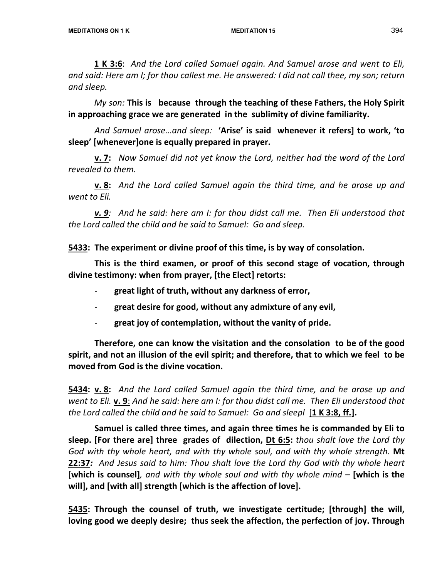1 K 3:6: And the Lord called Samuel again. And Samuel arose and went to Eli, and said: Here am I; for thou callest me. He answered: I did not call thee, my son; return and sleep.

My son: This is because through the teaching of these Fathers, the Holy Spirit in approaching grace we are generated in the sublimity of divine familiarity.

And Samuel arose…and sleep: 'Arise' is said whenever it refers] to work, 'to sleep' [whenever]one is equally prepared in prayer.

 v. 7: Now Samuel did not yet know the Lord, neither had the word of the Lord revealed to them.

v. 8: And the Lord called Samuel again the third time, and he arose up and went to Eli.

v. 9: And he said: here am I: for thou didst call me. Then Eli understood that the Lord called the child and he said to Samuel: Go and sleep.

5433: The experiment or divine proof of this time, is by way of consolation.

 This is the third examen, or proof of this second stage of vocation, through divine testimony: when from prayer, [the Elect] retorts:

- great light of truth, without any darkness of error,
- great desire for good, without any admixture of any evil,
- great joy of contemplation, without the vanity of pride.

 Therefore, one can know the visitation and the consolation to be of the good spirit, and not an illusion of the evil spirit; and therefore, that to which we feel to be moved from God is the divine vocation.

**5434: v. 8:** And the Lord called Samuel again the third time, and he arose up and went to Eli. v. 9: And he said: here am I: for thou didst call me. Then Eli understood that the Lord called the child and he said to Samuel: Go and sleepl  $[1 \,$ K $\,$ 3:8, $\,$ ff. $]$ .

 Samuel is called three times, and again three times he is commanded by Eli to sleep. [For there are] three grades of dilection, Dt 6:5: thou shalt love the Lord thy God with thy whole heart, and with thy whole soul, and with thy whole strength. **Mt** 22:37: And Jesus said to him: Thou shalt love the Lord thy God with thy whole heart [which is counsel], and with thy whole soul and with thy whole mind – [which is the will], and [with all] strength [which is the affection of love].

5435: Through the counsel of truth, we investigate certitude; [through] the will, loving good we deeply desire; thus seek the affection, the perfection of joy. Through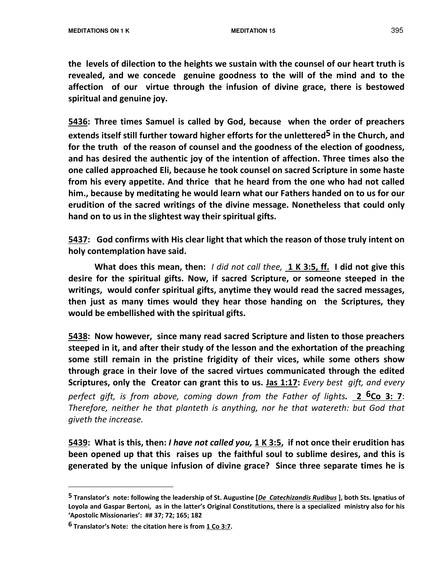the levels of dilection to the heights we sustain with the counsel of our heart truth is revealed, and we concede genuine goodness to the will of the mind and to the affection of our virtue through the infusion of divine grace, there is bestowed spiritual and genuine joy.

5436: Three times Samuel is called by God, because when the order of preachers extends itself still further toward higher efforts for the unlettered<sup>5</sup> in the Church, and for the truth of the reason of counsel and the goodness of the election of goodness, and has desired the authentic joy of the intention of affection. Three times also the one called approached Eli, because he took counsel on sacred Scripture in some haste from his every appetite. And thrice that he heard from the one who had not called him., because by meditating he would learn what our Fathers handed on to us for our erudition of the sacred writings of the divine message. Nonetheless that could only hand on to us in the slightest way their spiritual gifts.

**5437:** God confirms with His clear light that which the reason of those truly intent on holy contemplation have said.

What does this mean, then: *I did not call thee*, 1 K 3:5, ff. I did not give this desire for the spiritual gifts. Now, if sacred Scripture, or someone steeped in the writings, would confer spiritual gifts, anytime they would read the sacred messages, then just as many times would they hear those handing on the Scriptures, they would be embellished with the spiritual gifts.

5438: Now however, since many read sacred Scripture and listen to those preachers steeped in it, and after their study of the lesson and the exhortation of the preaching some still remain in the pristine frigidity of their vices, while some others show through grace in their love of the sacred virtues communicated through the edited Scriptures, only the Creator can grant this to us. Jas 1:17: Every best gift, and every perfect gift, is from above, coming down from the Father of lights. 2  $6C_0$  3: 7: Therefore, neither he that planteth is anything, nor he that watereth: but God that giveth the increase.

5439: What is this, then: I have not called you, 1 K 3:5, if not once their erudition has been opened up that this raises up the faithful soul to sublime desires, and this is generated by the unique infusion of divine grace? Since three separate times he is

 $\overline{a}$ 

<sup>5</sup> Translator's note: following the leadership of St. Augustine [De Catechizandis Rudibus], both Sts. Ignatius of Loyola and Gaspar Bertoni, as in the latter's Original Constitutions, there is a specialized ministry also for his 'Apostolic Missionaries': ## 37; 72; 165; 182

 $6$  Translator's Note: the citation here is from  $1$  Co 3:7.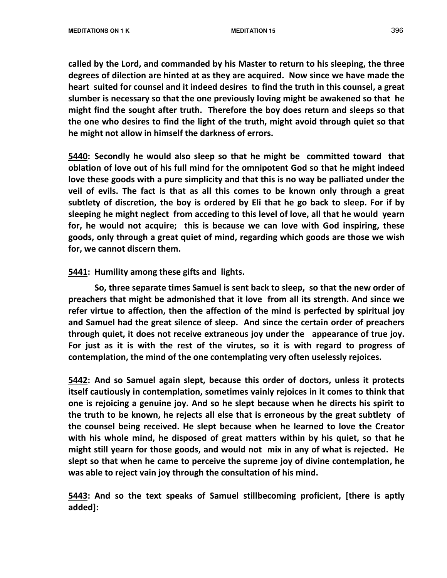called by the Lord, and commanded by his Master to return to his sleeping, the three degrees of dilection are hinted at as they are acquired. Now since we have made the heart suited for counsel and it indeed desires to find the truth in this counsel, a great slumber is necessary so that the one previously loving might be awakened so that he might find the sought after truth. Therefore the boy does return and sleeps so that the one who desires to find the light of the truth, might avoid through quiet so that he might not allow in himself the darkness of errors.

5440: Secondly he would also sleep so that he might be committed toward that oblation of love out of his full mind for the omnipotent God so that he might indeed love these goods with a pure simplicity and that this is no way be palliated under the veil of evils. The fact is that as all this comes to be known only through a great subtlety of discretion, the boy is ordered by Eli that he go back to sleep. For if by sleeping he might neglect from acceding to this level of love, all that he would yearn for, he would not acquire; this is because we can love with God inspiring, these goods, only through a great quiet of mind, regarding which goods are those we wish for, we cannot discern them.

5441: Humility among these gifts and lights.

 So, three separate times Samuel is sent back to sleep, so that the new order of preachers that might be admonished that it love from all its strength. And since we refer virtue to affection, then the affection of the mind is perfected by spiritual joy and Samuel had the great silence of sleep. And since the certain order of preachers through quiet, it does not receive extraneous joy under the appearance of true joy. For just as it is with the rest of the virutes, so it is with regard to progress of contemplation, the mind of the one contemplating very often uselessly rejoices.

5442: And so Samuel again slept, because this order of doctors, unless it protects itself cautiously in contemplation, sometimes vainly rejoices in it comes to think that one is rejoicing a genuine joy. And so he slept because when he directs his spirit to the truth to be known, he rejects all else that is erroneous by the great subtlety of the counsel being received. He slept because when he learned to love the Creator with his whole mind, he disposed of great matters within by his quiet, so that he might still yearn for those goods, and would not mix in any of what is rejected. He slept so that when he came to perceive the supreme joy of divine contemplation, he was able to reject vain joy through the consultation of his mind.

5443: And so the text speaks of Samuel stillbecoming proficient, [there is aptly added]: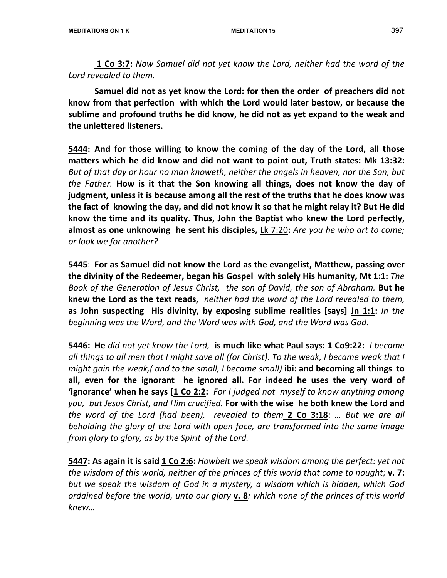1 Co 3:7: Now Samuel did not yet know the Lord, neither had the word of the Lord revealed to them.

Samuel did not as yet know the Lord: for then the order of preachers did not know from that perfection with which the Lord would later bestow, or because the sublime and profound truths he did know, he did not as yet expand to the weak and the unlettered listeners.

5444: And for those willing to know the coming of the day of the Lord, all those matters which he did know and did not want to point out, Truth states: Mk 13:32: But of that day or hour no man knoweth, neither the angels in heaven, nor the Son, but the Father. How is it that the Son knowing all things, does not know the day of judgment, unless it is because among all the rest of the truths that he does know was the fact of knowing the day, and did not know it so that he might relay it? But He did know the time and its quality. Thus, John the Baptist who knew the Lord perfectly, almost as one unknowing he sent his disciples,  $\underline{\text{Lk}}$  7:20: Are you he who art to come; or look we for another?

5445: For as Samuel did not know the Lord as the evangelist, Matthew, passing over the divinity of the Redeemer, began his Gospel with solely His humanity, Mt 1:1: The Book of the Generation of Jesus Christ, the son of David, the son of Abraham. But he knew the Lord as the text reads, neither had the word of the Lord revealed to them, as John suspecting His divinity, by exposing sublime realities [says] Jn 1:1: In the beginning was the Word, and the Word was with God, and the Word was God.

5446: He did not yet know the Lord, is much like what Paul says: 1 Co9:22: I became all things to all men that I might save all (for Christ). To the weak, I became weak that I might gain the weak, (and to the small, I became small) ibi: and becoming all things to all, even for the ignorant he ignored all. For indeed he uses the very word of **'ignorance' when he says**  $[1 \text{ Co } 2:2:$  For I judged not myself to know anything among you, but Jesus Christ, and Him crucified. For with the wise he both knew the Lord and the word of the Lord (had been), revealed to them  $2$  Co  $3:18$ : ... But we are all beholding the glory of the Lord with open face, are transformed into the same image from glory to glory, as by the Spirit of the Lord.

5447: As again it is said 1 Co 2:6: Howbeit we speak wisdom among the perfect: yet not the wisdom of this world, neither of the princes of this world that come to nought;  $v. 7$ : but we speak the wisdom of God in a mystery, a wisdom which is hidden, which God ordained before the world, unto our glory  $v. 8$ : which none of the princes of this world knew…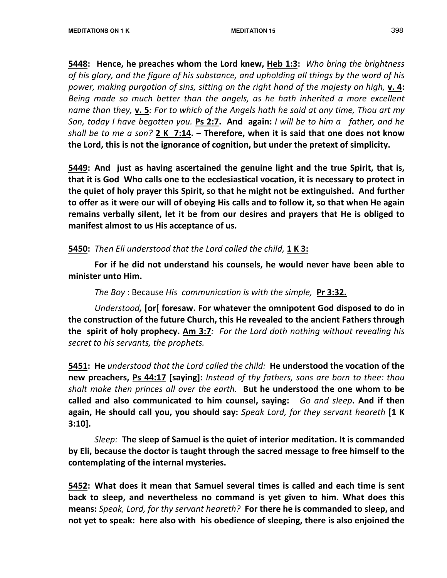5448: Hence, he preaches whom the Lord knew, Heb 1:3: Who bring the brightness of his glory, and the figure of his substance, and upholding all things by the word of his power, making purgation of sins, sitting on the right hand of the majesty on high, **v. 4:** Being made so much better than the angels, as he hath inherited a more excellent name than they, **v. 5**: For to which of the Angels hath he said at any time, Thou art my Son, today I have begotten you. Ps 2:7. And again: I will be to him a father, and he shall be to me a son?  $2 \text{ K}$  7:14. – Therefore, when it is said that one does not know the Lord, this is not the ignorance of cognition, but under the pretext of simplicity.

5449: And just as having ascertained the genuine light and the true Spirit, that is, that it is God Who calls one to the ecclesiastical vocation, it is necessary to protect in the quiet of holy prayer this Spirit, so that he might not be extinguished. And further to offer as it were our will of obeying His calls and to follow it, so that when He again remains verbally silent, let it be from our desires and prayers that He is obliged to manifest almost to us His acceptance of us.

5450: Then Eli understood that the Lord called the child, 1 K 3:

 For if he did not understand his counsels, he would never have been able to minister unto Him.

The Boy : Because His communication is with the simple, Pr 3:32.

Understood, [or[ foresaw. For whatever the omnipotent God disposed to do in the construction of the future Church, this He revealed to the ancient Fathers through the spirit of holy prophecy. Am 3:7: For the Lord doth nothing without revealing his secret to his servants, the prophets.

5451: He understood that the Lord called the child: He understood the vocation of the new preachers, Ps 44:17 [saying]: Instead of thy fathers, sons are born to thee: thou shalt make then princes all over the earth. But he understood the one whom to be called and also communicated to him counsel, saying: Go and sleep. And if then again, He should call you, you should say: Speak Lord, for they servant heareth [1 K 3:10].

Sleep: The sleep of Samuel is the quiet of interior meditation. It is commanded by Eli, because the doctor is taught through the sacred message to free himself to the contemplating of the internal mysteries.

5452: What does it mean that Samuel several times is called and each time is sent back to sleep, and nevertheless no command is yet given to him. What does this means: Speak, Lord, for thy servant heareth? For there he is commanded to sleep, and not yet to speak: here also with his obedience of sleeping, there is also enjoined the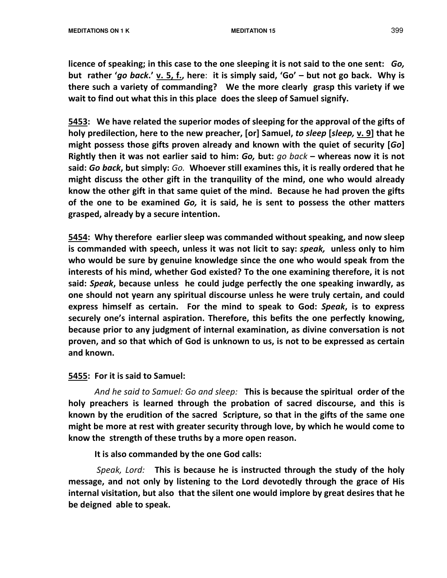licence of speaking; in this case to the one sleeping it is not said to the one sent: Go, but rather 'go back.' v. 5, f., here: it is simply said, 'Go' – but not go back. Why is there such a variety of commanding? We the more clearly grasp this variety if we wait to find out what this in this place does the sleep of Samuel signify.

5453: We have related the superior modes of sleeping for the approval of the gifts of holy predilection, here to the new preacher, [or] Samuel, to sleep [sleep, v. 9] that he might possess those gifts proven already and known with the quiet of security  $[Go]$ Rightly then it was not earlier said to him: Go, but:  $go$  back – whereas now it is not said: Go back, but simply: Go. Whoever still examines this, it is really ordered that he might discuss the other gift in the tranquility of the mind, one who would already know the other gift in that same quiet of the mind. Because he had proven the gifts of the one to be examined Go, it is said, he is sent to possess the other matters grasped, already by a secure intention.

5454: Why therefore earlier sleep was commanded without speaking, and now sleep is commanded with speech, unless it was not licit to say: speak, unless only to him who would be sure by genuine knowledge since the one who would speak from the interests of his mind, whether God existed? To the one examining therefore, it is not said: Speak, because unless he could judge perfectly the one speaking inwardly, as one should not yearn any spiritual discourse unless he were truly certain, and could express himself as certain. For the mind to speak to God: Speak, is to express securely one's internal aspiration. Therefore, this befits the one perfectly knowing, because prior to any judgment of internal examination, as divine conversation is not proven, and so that which of God is unknown to us, is not to be expressed as certain and known.

## 5455: For it is said to Samuel:

And he said to Samuel: Go and sleep: This is because the spiritual order of the holy preachers is learned through the probation of sacred discourse, and this is known by the erudition of the sacred Scripture, so that in the gifts of the same one might be more at rest with greater security through love, by which he would come to know the strength of these truths by a more open reason.

It is also commanded by the one God calls:

Speak, Lord: This is because he is instructed through the study of the holy message, and not only by listening to the Lord devotedly through the grace of His internal visitation, but also that the silent one would implore by great desires that he be deigned able to speak.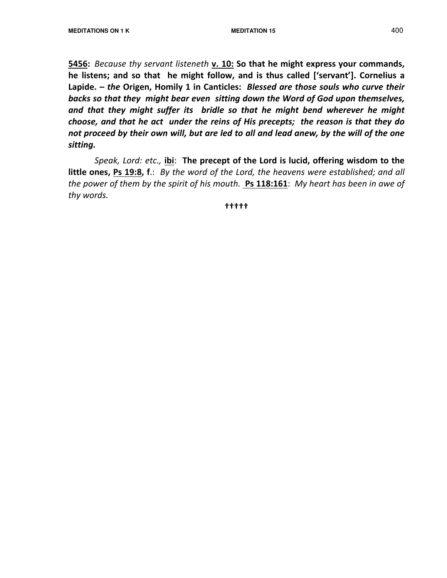5456: Because thy servant listeneth v. 10: So that he might express your commands, he listens; and so that he might follow, and is thus called ['servant']. Cornelius a Lapide. - the Origen, Homily 1 in Canticles: Blessed are those souls who curve their backs so that they might bear even sitting down the Word of God upon themselves, and that they might suffer its bridle so that he might bend wherever he might choose, and that he act under the reins of His precepts; the reason is that they do not proceed by their own will, but are led to all and lead anew, by the will of the one sitting.

Speak, Lord: etc., ibi: The precept of the Lord is lucid, offering wisdom to the little ones, Ps 19:8, f.: By the word of the Lord, the heavens were established; and all the power of them by the spirit of his mouth. Ps 118:161: My heart has been in awe of thy words.

†††††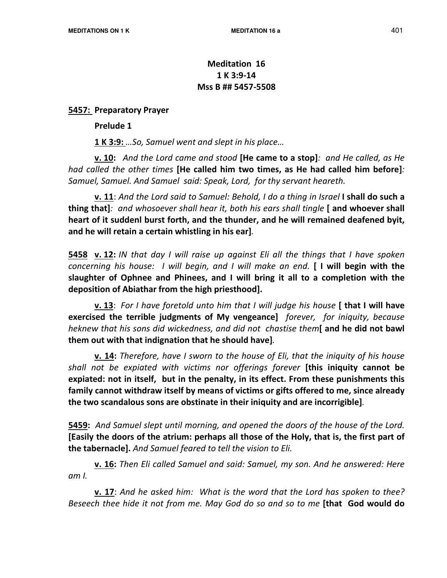## Meditation 16 1 K 3:9-14 Mss B ## 5457-5508

#### 5457: Preparatory Prayer

#### Prelude 1

**1 K 3:9:** ...So, Samuel went and slept in his place...

**v. 10:** And the Lord came and stood [He came to a stop]: and He called, as He had called the other times [He called him two times, as He had called him before]: Samuel, Samuel. And Samuel said: Speak, Lord, for thy servant heareth.

v. 11: And the Lord said to Samuel: Behold, I do a thing in Israel I shall do such a thing that]: and whosoever shall hear it, both his ears shall tingle [ and whoever shall heart of it suddenl burst forth, and the thunder, and he will remained deafened byit, and he will retain a certain whistling in his ear].

5458 v. 12: IN that day I will raise up against Eli all the things that I have spoken concerning his house: I will begin, and I will make an end. [ I will begin with the slaughter of Ophnee and Phinees, and I will bring it all to a completion with the deposition of Abiathar from the high priesthood].

**v. 13:** For I have foretold unto him that I will judge his house  $\int$  that I will have exercised the terrible judgments of My vengeance] forever, for iniquity, because heknew that his sons did wickedness, and did not chastise them[ and he did not bawl them out with that indignation that he should have].

**v. 14:** Therefore, have I sworn to the house of Eli, that the iniquity of his house shall not be expiated with victims nor offerings forever [this iniquity cannot be expiated: not in itself, but in the penalty, in its effect. From these punishments this family cannot withdraw itself by means of victims or gifts offered to me, since already the two scandalous sons are obstinate in their iniquity and are incorrigible].

**5459:** And Samuel slept until morning, and opened the doors of the house of the Lord. [Easily the doors of the atrium: perhaps all those of the Holy, that is, the first part of the tabernacle]. And Samuel feared to tell the vision to Eli.

 v. 16: Then Eli called Samuel and said: Samuel, my son. And he answered: Here am I.

v. 17: And he asked him: What is the word that the Lord has spoken to thee? Beseech thee hide it not from me. May God do so and so to me [that God would do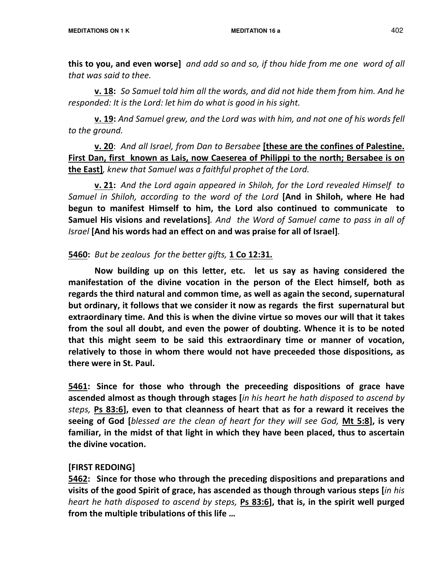this to you, and even worse] and add so and so, if thou hide from me one word of all that was said to thee.

 v. 18: So Samuel told him all the words, and did not hide them from him. And he responded: It is the Lord: let him do what is good in his sight.

v. 19: And Samuel grew, and the Lord was with him, and not one of his words fell to the ground.

v. 20: And all Israel, from Dan to Bersabee [these are the confines of Palestine. First Dan, first known as Lais, now Caeserea of Philippi to the north; Bersabee is on the East], knew that Samuel was a faithful prophet of the Lord.

v. 21: And the Lord again appeared in Shiloh, for the Lord revealed Himself to Samuel in Shiloh, according to the word of the Lord [And in Shiloh, where He had begun to manifest Himself to him, the Lord also continued to communicate to Samuel His visions and revelations]. And the Word of Samuel came to pass in all of Israel [And his words had an effect on and was praise for all of Israel].

## 5460: But be zealous for the better gifts, 1 Co 12:31.

Now building up on this letter, etc. let us say as having considered the manifestation of the divine vocation in the person of the Elect himself, both as regards the third natural and common time, as well as again the second, supernatural but ordinary, it follows that we consider it now as regards the first supernatural but extraordinary time. And this is when the divine virtue so moves our will that it takes from the soul all doubt, and even the power of doubting. Whence it is to be noted that this might seem to be said this extraordinary time or manner of vocation, relatively to those in whom there would not have preceeded those dispositions, as there were in St. Paul.

5461: Since for those who through the preceeding dispositions of grace have ascended almost as though through stages [in his heart he hath disposed to ascend by steps, Ps 83:6], even to that cleanness of heart that as for a reward it receives the seeing of God [blessed are the clean of heart for they will see God, Mt 5:8], is very familiar, in the midst of that light in which they have been placed, thus to ascertain the divine vocation.

## [FIRST REDOING]

5462: Since for those who through the preceding dispositions and preparations and visits of the good Spirit of grace, has ascended as though through various steps [in his heart he hath disposed to ascend by steps, Ps 83:6], that is, in the spirit well purged from the multiple tribulations of this life …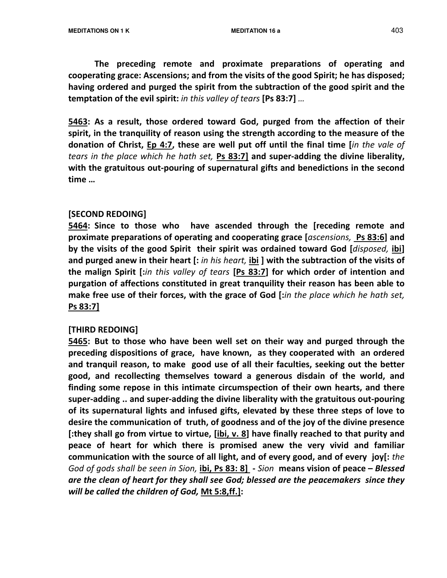The preceding remote and proximate preparations of operating and cooperating grace: Ascensions; and from the visits of the good Spirit; he has disposed; having ordered and purged the spirit from the subtraction of the good spirit and the temptation of the evil spirit: in this valley of tears [Ps 83:7] ...

5463: As a result, those ordered toward God, purged from the affection of their spirit, in the tranquility of reason using the strength according to the measure of the donation of Christ, Ep 4:7, these are well put off until the final time [in the vale of tears in the place which he hath set, Ps 83:7] and super-adding the divine liberality, with the gratuitous out-pouring of supernatural gifts and benedictions in the second time …

## [SECOND REDOING]

5464: Since to those who have ascended through the [receding remote and proximate preparations of operating and cooperating grace [ascensions, Ps 83:6] and by the visits of the good Spirit their spirit was ordained toward God [disposed, ibi] and purged anew in their heart [: in his heart, ibi ] with the subtraction of the visits of the malign Spirit [:in this valley of tears [Ps 83:7] for which order of intention and purgation of affections constituted in great tranquility their reason has been able to make free use of their forces, with the grace of God [:in the place which he hath set, Ps 83:7]

## [THIRD REDOING]

5465: But to those who have been well set on their way and purged through the preceding dispositions of grace, have known, as they cooperated with an ordered and tranquil reason, to make good use of all their faculties, seeking out the better good, and recollecting themselves toward a generous disdain of the world, and finding some repose in this intimate circumspection of their own hearts, and there super-adding .. and super-adding the divine liberality with the gratuitous out-pouring of its supernatural lights and infused gifts, elevated by these three steps of love to desire the communication of truth, of goodness and of the joy of the divine presence [:they shall go from virtue to virtue, [ibi, v. 8] have finally reached to that purity and peace of heart for which there is promised anew the very vivid and familiar communication with the source of all light, and of every good, and of every joy[: the God of gods shall be seen in Sion, **ibi, Ps 83: 8**] - Sion **means vision of peace – Blessed** are the clean of heart for they shall see God; blessed are the peacemakers since they will be called the children of God, Mt 5:8,ff.]: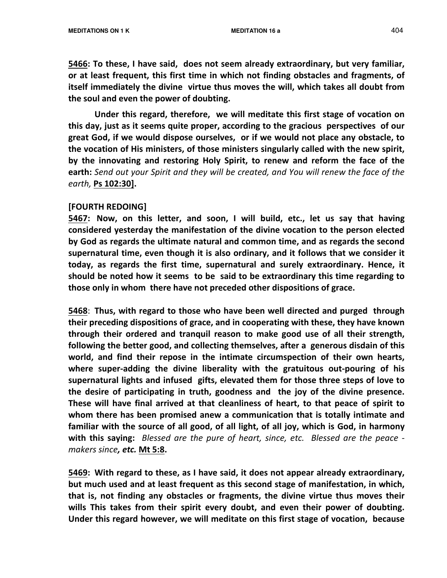5466: To these, I have said, does not seem already extraordinary, but very familiar, or at least frequent, this first time in which not finding obstacles and fragments, of itself immediately the divine virtue thus moves the will, which takes all doubt from the soul and even the power of doubting.

 Under this regard, therefore, we will meditate this first stage of vocation on this day, just as it seems quite proper, according to the gracious perspectives of our great God, if we would dispose ourselves, or if we would not place any obstacle, to the vocation of His ministers, of those ministers singularly called with the new spirit, by the innovating and restoring Holy Spirit, to renew and reform the face of the earth: Send out your Spirit and they will be created, and You will renew the face of the earth, Ps 102:30].

## [FOURTH REDOING]

5467: Now, on this letter, and soon, I will build, etc., let us say that having considered yesterday the manifestation of the divine vocation to the person elected by God as regards the ultimate natural and common time, and as regards the second supernatural time, even though it is also ordinary, and it follows that we consider it today, as regards the first time, supernatural and surely extraordinary. Hence, it should be noted how it seems to be said to be extraordinary this time regarding to those only in whom there have not preceded other dispositions of grace.

5468: Thus, with regard to those who have been well directed and purged through their preceding dispositions of grace, and in cooperating with these, they have known through their ordered and tranquil reason to make good use of all their strength, following the better good, and collecting themselves, after a generous disdain of this world, and find their repose in the intimate circumspection of their own hearts, where super-adding the divine liberality with the gratuitous out-pouring of his supernatural lights and infused gifts, elevated them for those three steps of love to the desire of participating in truth, goodness and the joy of the divine presence. These will have final arrived at that cleanliness of heart, to that peace of spirit to whom there has been promised anew a communication that is totally intimate and familiar with the source of all good, of all light, of all joy, which is God, in harmony with this saying: Blessed are the pure of heart, since, etc. Blessed are the peace makers since, etc. Mt 5:8.

5469: With regard to these, as I have said, it does not appear already extraordinary, but much used and at least frequent as this second stage of manifestation, in which, that is, not finding any obstacles or fragments, the divine virtue thus moves their wills This takes from their spirit every doubt, and even their power of doubting. Under this regard however, we will meditate on this first stage of vocation, because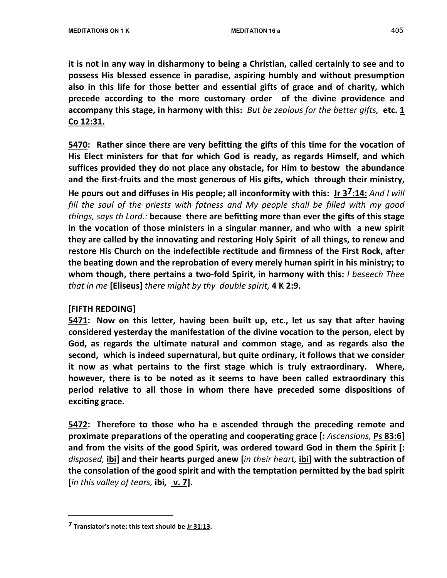it is not in any way in disharmony to being a Christian, called certainly to see and to possess His blessed essence in paradise, aspiring humbly and without presumption also in this life for those better and essential gifts of grace and of charity, which precede according to the more customary order of the divine providence and accompany this stage, in harmony with this: But be zealous for the better gifts, etc. 1 Co 12:31.

5470: Rather since there are very befitting the gifts of this time for the vocation of His Elect ministers for that for which God is ready, as regards Himself, and which suffices provided they do not place any obstacle, for Him to bestow the abundance and the first-fruits and the most generous of His gifts, which through their ministry, He pours out and diffuses in His people; all inconformity with this: Jr  $3^7:14$ : And I will fill the soul of the priests with fatness and My people shall be filled with my good things, says th Lord.: because there are befitting more than ever the gifts of this stage in the vocation of those ministers in a singular manner, and who with a new spirit they are called by the innovating and restoring Holy Spirit of all things, to renew and restore His Church on the indefectible rectitude and firmness of the First Rock, after the beating down and the reprobation of every merely human spirit in his ministry; to whom though, there pertains a two-fold Spirit, in harmony with this: I beseech Thee that in me [Eliseus] there might by thy double spirit, 4 K 2:9.

## [FIFTH REDOING]

5471: Now on this letter, having been built up, etc., let us say that after having considered yesterday the manifestation of the divine vocation to the person, elect by God, as regards the ultimate natural and common stage, and as regards also the second, which is indeed supernatural, but quite ordinary, it follows that we consider it now as what pertains to the first stage which is truly extraordinary. Where, however, there is to be noted as it seems to have been called extraordinary this period relative to all those in whom there have preceded some dispositions of exciting grace.

**5472:** Therefore to those who ha e ascended through the preceding remote and proximate preparations of the operating and cooperating grace [: Ascensions, Ps 83:6] and from the visits of the good Spirit, was ordered toward God in them the Spirit [: disposed, ibi] and their hearts purged anew [in their heart, ibi] with the subtraction of the consolation of the good spirit and with the temptation permitted by the bad spirit  $[$ in this valley of tears, ibi, v. 7 $]$ .

 $\overline{a}$ 

<sup>7</sup> Translator's note: this text should be Jr 31:13.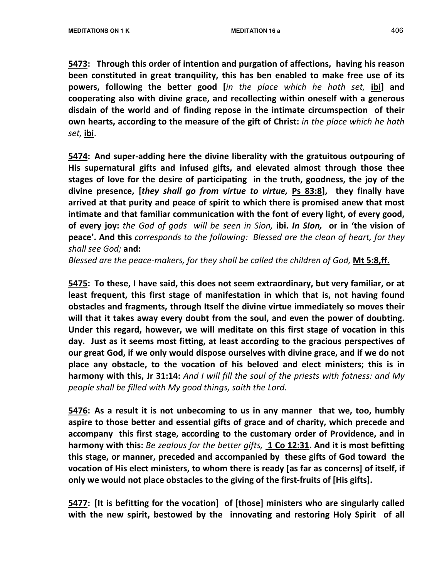5473: Through this order of intention and purgation of affections, having his reason been constituted in great tranquility, this has ben enabled to make free use of its powers, following the better good [in the place which he hath set, ibi] and cooperating also with divine grace, and recollecting within oneself with a generous disdain of the world and of finding repose in the intimate circumspection of their own hearts, according to the measure of the gift of Christ: in the place which he hath set, <u>ibi</u>.

5474: And super-adding here the divine liberality with the gratuitous outpouring of His supernatural gifts and infused gifts, and elevated almost through those thee stages of love for the desire of participating in the truth, goodness, the joy of the divine presence, [they shall go from virtue to virtue, Ps 83:8], they finally have arrived at that purity and peace of spirit to which there is promised anew that most intimate and that familiar communication with the font of every light, of every good, of every joy: the God of gods will be seen in Sion, ibi. In SIon, or in 'the vision of peace'. And this corresponds to the following: Blessed are the clean of heart, for they shall see God; and:

Blessed are the peace-makers, for they shall be called the children of God, Mt 5:8,ff.

5475: To these, I have said, this does not seem extraordinary, but very familiar, or at least frequent, this first stage of manifestation in which that is, not having found obstacles and fragments, through Itself the divine virtue immediately so moves their will that it takes away every doubt from the soul, and even the power of doubting. Under this regard, however, we will meditate on this first stage of vocation in this day. Just as it seems most fitting, at least according to the gracious perspectives of our great God, if we only would dispose ourselves with divine grace, and if we do not place any obstacle, to the vocation of his beloved and elect ministers; this is in harmony with this, Jr 31:14: And I will fill the soul of the priests with fatness: and My people shall be filled with My good things, saith the Lord.

5476: As a result it is not unbecoming to us in any manner that we, too, humbly aspire to those better and essential gifts of grace and of charity, which precede and accompany this first stage, according to the customary order of Providence, and in harmony with this: Be zealous for the better gifts, 1 Co 12:31. And it is most befitting this stage, or manner, preceded and accompanied by these gifts of God toward the vocation of His elect ministers, to whom there is ready [as far as concerns] of itself, if only we would not place obstacles to the giving of the first-fruits of [His gifts].

5477: [It is befitting for the vocation] of [those] ministers who are singularly called with the new spirit, bestowed by the innovating and restoring Holy Spirit of all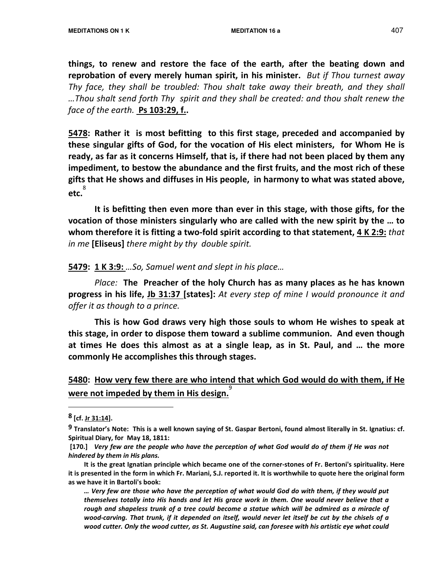things, to renew and restore the face of the earth, after the beating down and reprobation of every merely human spirit, in his minister. But if Thou turnest away Thy face, they shall be troubled: Thou shalt take away their breath, and they shall …Thou shalt send forth Thy spirit and they shall be created: and thou shalt renew the face of the earth. **Ps 103:29, f..** 

5478: Rather it is most befitting to this first stage, preceded and accompanied by these singular gifts of God, for the vocation of His elect ministers, for Whom He is ready, as far as it concerns Himself, that is, if there had not been placed by them any impediment, to bestow the abundance and the first fruits, and the most rich of these gifts that He shows and diffuses in His people, in harmony to what was stated above, etc. 8

 It is befitting then even more than ever in this stage, with those gifts, for the vocation of those ministers singularly who are called with the new spirit by the … to whom therefore it is fitting a two-fold spirit according to that statement,  $4 \text{ K } 2:9$ : that in me [Eliseus] there might by thy double spirit.

5479: 1 K 3:9: …So, Samuel went and slept in his place…

 Place: The Preacher of the holy Church has as many places as he has known progress in his life, Jb 31:37 [states]: At every step of mine I would pronounce it and offer it as though to a prince.

This is how God draws very high those souls to whom He wishes to speak at this stage, in order to dispose them toward a sublime communion. And even though at times He does this almost as at a single leap, as in St. Paul, and … the more commonly He accomplishes this through stages.

## 5480: How very few there are who intend that which God would do with them, if He were not impeded by them in His design.<sup>9</sup>

 $\overline{a}$ 

… Very few are those who have the perception of what would God do with them, if they would put themselves totally into His hands and let His grace work in them. One would never believe that a rough and shapeless trunk of a tree could become a statue which will be admired as a miracle of wood-carving. That trunk, if it depended on itself, would never let itself be cut by the chisels of a wood cutter. Only the wood cutter, as St. Augustine said, can foresee with his artistic eye what could

<sup>8 [</sup>cf. Jr 31:14].

<sup>9</sup> Translator's Note: This is a well known saying of St. Gaspar Bertoni, found almost literally in St. Ignatius: cf. Spiritual Diary, for May 18, 1811:

 <sup>[170.]</sup> Very few are the people who have the perception of what God would do of them if He was not hindered by them in His plans.

It is the great Ignatian principle which became one of the corner-stones of Fr. Bertoni's spirituality. Here it is presented in the form in which Fr. Mariani, S.J. reported it. It is worthwhile to quote here the original form as we have it in Bartoli's book: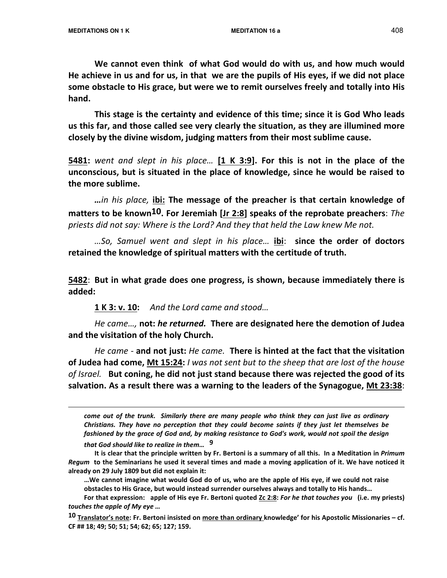We cannot even think of what God would do with us, and how much would He achieve in us and for us, in that we are the pupils of His eyes, if we did not place some obstacle to His grace, but were we to remit ourselves freely and totally into His hand.

 This stage is the certainty and evidence of this time; since it is God Who leads us this far, and those called see very clearly the situation, as they are illumined more closely by the divine wisdom, judging matters from their most sublime cause.

5481: went and slept in his place… [1 K 3:9]. For this is not in the place of the unconscious, but is situated in the place of knowledge, since he would be raised to the more sublime.

…in his place, ibi: The message of the preacher is that certain knowledge of matters to be known<sup>10</sup>. For Jeremiah [Jr 2:8] speaks of the reprobate preachers: The priests did not say: Where is the Lord? And they that held the Law knew Me not.

 …So, Samuel went and slept in his place… ibi: since the order of doctors retained the knowledge of spiritual matters with the certitude of truth.

5482: But in what grade does one progress, is shown, because immediately there is added:

1 K 3: v. 10: And the Lord came and stood...

 He came…, not: he returned. There are designated here the demotion of Judea and the visitation of the holy Church.

He came - and not just: He came. There is hinted at the fact that the visitation of Judea had come, Mt 15:24: I was not sent but to the sheep that are lost of the house of Israel. But coning, he did not just stand because there was rejected the good of its salvation. As a result there was a warning to the leaders of the Synagogue, Mt 23:38:

come out of the trunk. Similarly there are many people who think they can just live as ordinary Christians. They have no perception that they could become saints if they just let themselves be fashioned by the grace of God and, by making resistance to God's work, would not spoil the design

that God should like to realize in them… 9

 $\overline{a}$ 

- …We cannot imagine what would God do of us, who are the apple of His eye, if we could not raise obstacles to His Grace, but would instead surrender ourselves always and totally to His hands…
- For that expression: apple of His eye Fr. Bertoni quoted Zc 2:8: For he that touches you (i.e. my priests) touches the apple of My eye …

It is clear that the principle written by Fr. Bertoni is a summary of all this. In a Meditation in Primum Regum to the Seminarians he used it several times and made a moving application of it. We have noticed it already on 29 July 1809 but did not explain it:

<sup>10</sup> Translator's note: Fr. Bertoni insisted on more than ordinary knowledge' for his Apostolic Missionaries - cf. CF ## 18; 49; 50; 51; 54; 62; 65; 127; 159.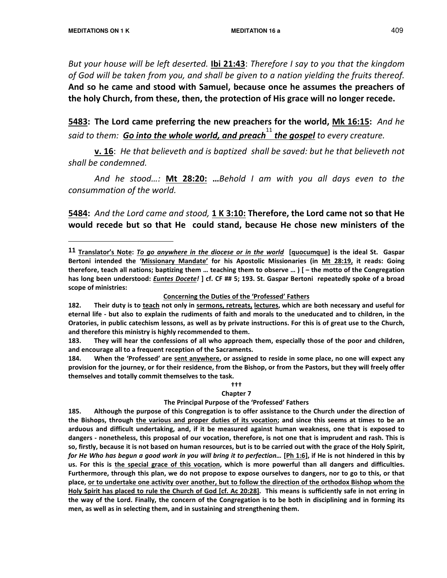$\overline{a}$ 

But your house will be left deserted. **Ibi 21:43**: Therefore I say to you that the kingdom of God will be taken from you, and shall be given to a nation yielding the fruits thereof. And so he came and stood with Samuel, because once he assumes the preachers of the holy Church, from these, then, the protection of His grace will no longer recede.

5483: The Lord came preferring the new preachers for the world, Mk 16:15: And he said to them: <u>Go in<mark>to the whole world, and preach<sup>11</sup> the gospel</mark> to every creature.</u>

v. 16: He that believeth and is baptized shall be saved: but he that believeth not shall be condemned.

And he stood...: Mt 28:20: ...Behold I am with you all days even to the consummation of the world.

5484: And the Lord came and stood, 1 K 3:10: Therefore, the Lord came not so that He would recede but so that He could stand, because He chose new ministers of the

#### Concerning the Duties of the 'Professed' Fathers

182. Their duty is to teach not only in sermons, retreats, lectures, which are both necessary and useful for eternal life - but also to explain the rudiments of faith and morals to the uneducated and to children, in the Oratories, in public catechism lessons, as well as by private instructions. For this is of great use to the Church, and therefore this ministry is highly recommended to them.

183. They will hear the confessions of all who approach them, especially those of the poor and children, and encourage all to a frequent reception of the Sacraments.

184. When the 'Professed' are sent anywhere, or assigned to reside in some place, no one will expect any provision for the journey, or for their residence, from the Bishop, or from the Pastors, but they will freely offer themselves and totally commit themselves to the task.

#### †††

#### Chapter 7

#### The Principal Purpose of the 'Professed' Fathers

185. Although the purpose of this Congregation is to offer assistance to the Church under the direction of the Bishops, through the various and proper duties of its vocation; and since this seems at times to be an arduous and difficult undertaking, and, if it be measured against human weakness, one that is exposed to dangers - nonetheless, this proposal of our vocation, therefore, is not one that is imprudent and rash. This is so, firstly, because it is not based on human resources, but is to be carried out with the grace of the Holy Spirit, for He Who has begun a good work in you will bring it to perfection... [Ph 1:6], if He is not hindered in this by us. For this is the special grace of this vocation, which is more powerful than all dangers and difficulties. Furthermore, through this plan, we do not propose to expose ourselves to dangers, nor to go to this, or that place, or to undertake one activity over another, but to follow the direction of the orthodox Bishop whom the Holy Spirit has placed to rule the Church of God [cf. Ac 20:28]. This means is sufficiently safe in not erring in the way of the Lord. Finally, the concern of the Congregation is to be both in disciplining and in forming its men, as well as in selecting them, and in sustaining and strengthening them.

<sup>11</sup> Translator's Note: To go anywhere in the diocese or in the world [quocumque] is the ideal St. Gaspar Bertoni intended the 'Missionary Mandate' for his Apostolic Missionaries (in Mt 28:19, it reads: Going therefore, teach all nations; baptizing them … teaching them to observe … ) [ – the motto of the Congregation has long been understood: *Euntes Docete!* ] cf. CF ## 5; 193. St. Gaspar Bertoni repeatedly spoke of a broad scope of ministries: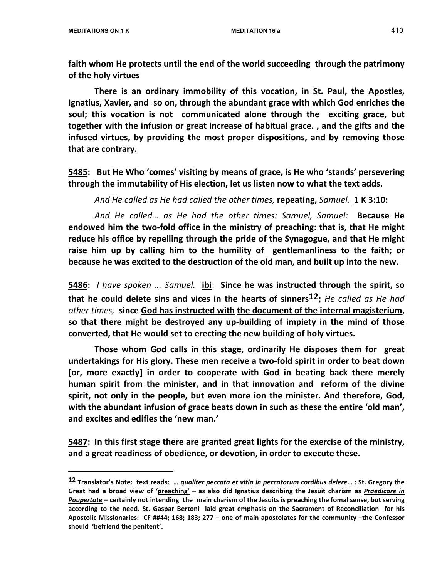$\overline{a}$ 

faith whom He protects until the end of the world succeeding through the patrimony of the holy virtues

 There is an ordinary immobility of this vocation, in St. Paul, the Apostles, Ignatius, Xavier, and so on, through the abundant grace with which God enriches the soul; this vocation is not communicated alone through the exciting grace, but together with the infusion or great increase of habitual grace. , and the gifts and the infused virtues, by providing the most proper dispositions, and by removing those that are contrary.

5485: But He Who 'comes' visiting by means of grace, is He who 'stands' persevering through the immutability of His election, let us listen now to what the text adds.

And He called as He had called the other times, repeating, Samuel. 1 K 3:10:

And He called... as He had the other times: Samuel, Samuel: Because He endowed him the two-fold office in the ministry of preaching: that is, that He might reduce his office by repelling through the pride of the Synagogue, and that He might raise him up by calling him to the humility of gentlemanliness to the faith; or because he was excited to the destruction of the old man, and built up into the new.

5486: I have spoken ... Samuel. ibi: Since he was instructed through the spirit, so that he could delete sins and vices in the hearts of sinners<sup>12</sup>; He called as He had other times, since God has instructed with the document of the internal magisterium, so that there might be destroyed any up-building of impiety in the mind of those converted, that He would set to erecting the new building of holy virtues.

 Those whom God calls in this stage, ordinarily He disposes them for great undertakings for His glory. These men receive a two-fold spirit in order to beat down [or, more exactly] in order to cooperate with God in beating back there merely human spirit from the minister, and in that innovation and reform of the divine spirit, not only in the people, but even more ion the minister. And therefore, God, with the abundant infusion of grace beats down in such as these the entire 'old man', and excites and edifies the 'new man.'

5487: In this first stage there are granted great lights for the exercise of the ministry, and a great readiness of obedience, or devotion, in order to execute these.

<sup>12</sup> Translator's Note: text reads: ... qualiter peccata et vitia in peccatorum cordibus delere... : St. Gregory the Great had a broad view of 'preaching' – as also did Ignatius describing the Jesuit charism as Praedicare in Paupertate – certainly not intending the main charism of the Jesuits is preaching the fomal sense, but serving according to the need. St. Gaspar Bertoni laid great emphasis on the Sacrament of Reconciliation for his Apostolic Missionaries: CF ##44; 168; 183; 277 – one of main apostolates for the community –the Confessor should 'befriend the penitent'.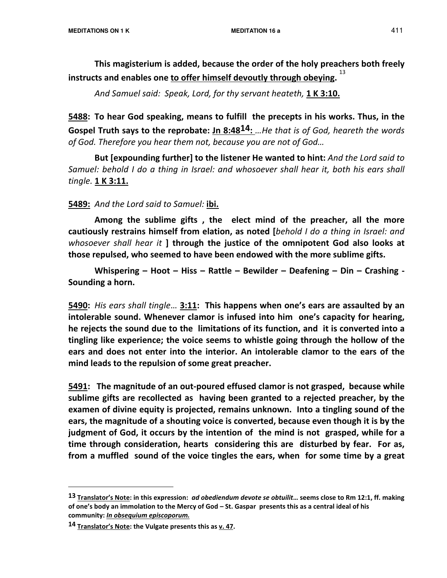This magisterium is added, because the order of the holy preachers both freely instructs and enables one to offer himself devoutly through obeying. 13

And Samuel said: Speak, Lord, for thy servant heateth, 1 K 3:10.

5488: To hear God speaking, means to fulfill the precepts in his works. Thus, in the Gospel Truth says to the reprobate: Jn 8:48 $14$ : ... He that is of God, heareth the words of God. Therefore you hear them not, because you are not of God…

But [expounding further] to the listener He wanted to hint: And the Lord said to Samuel: behold I do a thing in Israel: and whosoever shall hear it, both his ears shall tingle. 1 K 3:11.

## 5489: And the Lord said to Samuel: ibi.

 Among the sublime gifts , the elect mind of the preacher, all the more cautiously restrains himself from elation, as noted [behold I do a thing in Israel: and whosoever shall hear it ] through the justice of the omnipotent God also looks at those repulsed, who seemed to have been endowed with the more sublime gifts.

 Whispering – Hoot – Hiss – Rattle – Bewilder – Deafening – Din – Crashing - Sounding a horn.

5490: His ears shall tingle… 3:11: This happens when one's ears are assaulted by an intolerable sound. Whenever clamor is infused into him one's capacity for hearing, he rejects the sound due to the limitations of its function, and it is converted into a tingling like experience; the voice seems to whistle going through the hollow of the ears and does not enter into the interior. An intolerable clamor to the ears of the mind leads to the repulsion of some great preacher.

5491: The magnitude of an out-poured effused clamor is not grasped, because while sublime gifts are recollected as having been granted to a rejected preacher, by the examen of divine equity is projected, remains unknown. Into a tingling sound of the ears, the magnitude of a shouting voice is converted, because even though it is by the judgment of God, it occurs by the intention of the mind is not grasped, while for a time through consideration, hearts considering this are disturbed by fear. For as, from a muffled sound of the voice tingles the ears, when for some time by a great

 $\overline{a}$ 

<sup>13</sup> Translator's Note: in this expression: ad obediendum devote se obtuilit... seems close to Rm 12:1, ff. making of one's body an immolation to the Mercy of God – St. Gaspar presents this as a central ideal of his community: In obsequium episcoporum.

<sup>14</sup> Translator's Note: the Vulgate presents this as v. 47.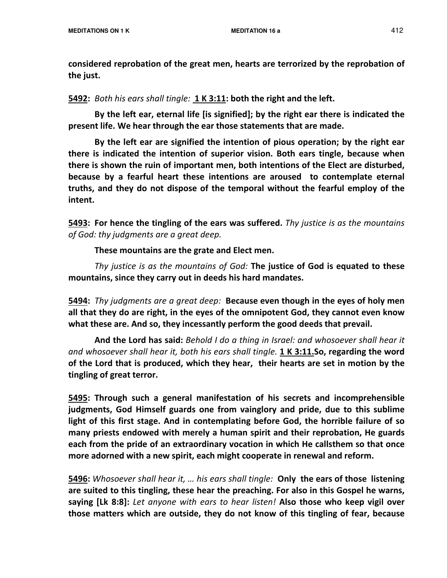considered reprobation of the great men, hearts are terrorized by the reprobation of the just.

5492: Both his ears shall tingle: 1 K 3:11: both the right and the left.

 By the left ear, eternal life [is signified]; by the right ear there is indicated the present life. We hear through the ear those statements that are made.

 By the left ear are signified the intention of pious operation; by the right ear there is indicated the intention of superior vision. Both ears tingle, because when there is shown the ruin of important men, both intentions of the Elect are disturbed, because by a fearful heart these intentions are aroused to contemplate eternal truths, and they do not dispose of the temporal without the fearful employ of the intent.

**5493:** For hence the tingling of the ears was suffered. Thy justice is as the mountains of God: thy judgments are a great deep.

These mountains are the grate and Elect men.

Thy justice is as the mountains of God: The justice of God is equated to these mountains, since they carry out in deeds his hard mandates.

5494: Thy judgments are a great deep: Because even though in the eyes of holy men all that they do are right, in the eyes of the omnipotent God, they cannot even know what these are. And so, they incessantly perform the good deeds that prevail.

And the Lord has said: Behold I do a thing in Israel: and whosoever shall hear it and whosoever shall hear it, both his ears shall tingle. 1 K 3:11.So, regarding the word of the Lord that is produced, which they hear, their hearts are set in motion by the tingling of great terror.

5495: Through such a general manifestation of his secrets and incomprehensible judgments, God Himself guards one from vainglory and pride, due to this sublime light of this first stage. And in contemplating before God, the horrible failure of so many priests endowed with merely a human spirit and their reprobation, He guards each from the pride of an extraordinary vocation in which He callsthem so that once more adorned with a new spirit, each might cooperate in renewal and reform.

5496: Whosoever shall hear it, ... his ears shall tingle: Only the ears of those listening are suited to this tingling, these hear the preaching. For also in this Gospel he warns, saying [Lk 8:8]: Let anyone with ears to hear listen! Also those who keep vigil over those matters which are outside, they do not know of this tingling of fear, because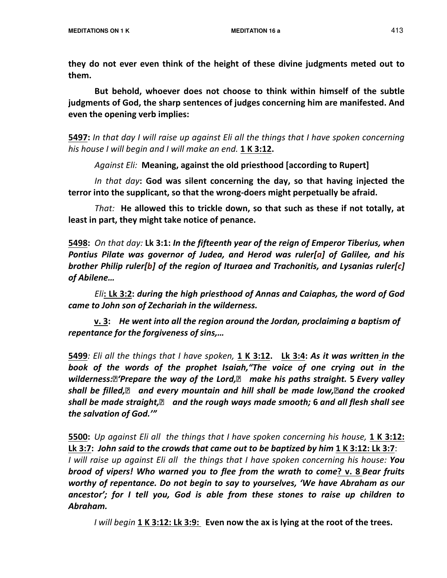they do not ever even think of the height of these divine judgments meted out to them.

 But behold, whoever does not choose to think within himself of the subtle judgments of God, the sharp sentences of judges concerning him are manifested. And even the opening verb implies:

5497: In that day I will raise up against Eli all the things that I have spoken concerning his house I will begin and I will make an end. 1 K 3:12.

Against Eli: Meaning, against the old priesthood [according to Rupert]

In that day: God was silent concerning the day, so that having injected the terror into the supplicant, so that the wrong-doers might perpetually be afraid.

That: He allowed this to trickle down, so that such as these if not totally, at least in part, they might take notice of penance.

5498: On that day: Lk 3:1: In the fifteenth year of the reign of Emperor Tiberius, when Pontius Pilate was governor of Judea, and Herod was ruler[a] of Galilee, and his brother Philip ruler[b] of the region of Ituraea and Trachonitis, and Lysanias ruler[c] of Abilene…

Eli: Lk 3:2: during the high priesthood of Annas and Caiaphas, the word of God came to John son of Zechariah in the wilderness.

v. 3: He went into all the region around the Jordan, proclaiming a baptism of repentance for the forgiveness of sins,…

5499: Eli all the things that I have spoken,  $1 \text{ K } 3:12$ . Lk 3:4: As it was written in the book of the words of the prophet Isaiah,"The voice of one crying out in the wilderness: <sup>[2]</sup> 'Prepare the way of the Lord, <sup>[2]</sup> make his paths straight. 5 Every valley shall be filled, $\mathbb D$  and every mountain and hill shall be made low, $\mathbb D$ and the crooked shall be made straight, $\mathbb{Z}$  and the rough ways made smooth; 6 and all flesh shall see the salvation of God.'"

5500: Up against Eli all the things that I have spoken concerning his house, 1 K 3:12: Lk 3:7: John said to the crowds that came out to be baptized by him  $1 \times 3:12$ : Lk 3:7: I will raise up against Eli all the things that I have spoken concerning his house: You brood of vipers! Who warned you to flee from the wrath to come? v. 8 Bear fruits worthy of repentance. Do not begin to say to yourselves, 'We have Abraham as our ancestor'; for I tell you, God is able from these stones to raise up children to Abraham.

I will begin  $1 \times 3:12$ : Lk  $3:9$ : Even now the ax is lying at the root of the trees.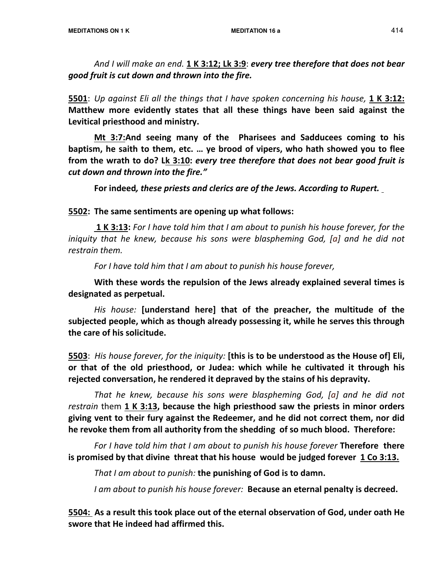And I will make an end. 1 K 3:12; Lk 3:9: every tree therefore that does not bear good fruit is cut down and thrown into the fire.

5501: Up against Eli all the things that I have spoken concerning his house, 1 K 3:12: Matthew more evidently states that all these things have been said against the Levitical priesthood and ministry.

 Mt 3:7:And seeing many of the Pharisees and Sadducees coming to his baptism, he saith to them, etc. … ye brood of vipers, who hath showed you to flee from the wrath to do? Lk 3:10: every tree therefore that does not bear good fruit is cut down and thrown into the fire."

For indeed, these priests and clerics are of the Jews. According to Rupert.

## 5502: The same sentiments are opening up what follows:

1 K 3:13: For I have told him that I am about to punish his house forever, for the iniquity that he knew, because his sons were blaspheming God, [a] and he did not restrain them.

For I have told him that I am about to punish his house forever,

With these words the repulsion of the Jews already explained several times is designated as perpetual.

His house: [understand here] that of the preacher, the multitude of the subjected people, which as though already possessing it, while he serves this through the care of his solicitude.

5503: His house forever, for the iniquity: [this is to be understood as the House of] Eli, or that of the old priesthood, or Judea: which while he cultivated it through his rejected conversation, he rendered it depraved by the stains of his depravity.

That he knew, because his sons were blaspheming God, [a] and he did not restrain them 1 K 3:13, because the high priesthood saw the priests in minor orders giving vent to their fury against the Redeemer, and he did not correct them, nor did he revoke them from all authority from the shedding of so much blood. Therefore:

For I have told him that I am about to punish his house forever Therefore there is promised by that divine threat that his house would be judged forever  $1 \text{ Co } 3:13$ .

That I am about to punish: the punishing of God is to damn.

I am about to punish his house forever: Because an eternal penalty is decreed.

5504: As a result this took place out of the eternal observation of God, under oath He swore that He indeed had affirmed this.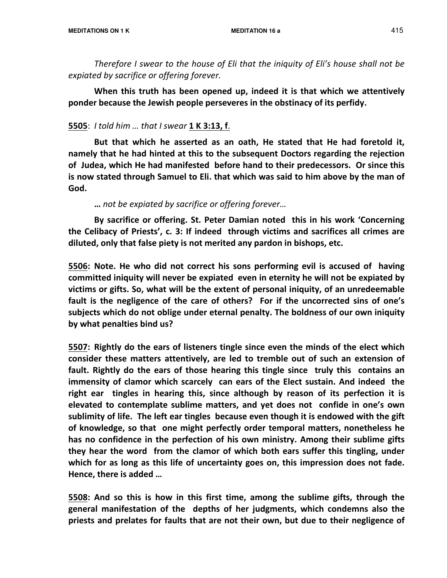Therefore I swear to the house of Eli that the iniquity of Eli's house shall not be expiated by sacrifice or offering forever.

When this truth has been opened up, indeed it is that which we attentively ponder because the Jewish people perseveres in the obstinacy of its perfidy.

### **5505**: I told him ... that I swear **1 K 3:13, f**.

But that which he asserted as an oath, He stated that He had foretold it, namely that he had hinted at this to the subsequent Doctors regarding the rejection of Judea, which He had manifested before hand to their predecessors. Or since this is now stated through Samuel to Eli. that which was said to him above by the man of God.

### … not be expiated by sacrifice or offering forever…

 By sacrifice or offering. St. Peter Damian noted this in his work 'Concerning the Celibacy of Priests', c. 3: If indeed through victims and sacrifices all crimes are diluted, only that false piety is not merited any pardon in bishops, etc.

5506: Note. He who did not correct his sons performing evil is accused of having committed iniquity will never be expiated even in eternity he will not be expiated by victims or gifts. So, what will be the extent of personal iniquity, of an unredeemable fault is the negligence of the care of others? For if the uncorrected sins of one's subjects which do not oblige under eternal penalty. The boldness of our own iniquity by what penalties bind us?

5507: Rightly do the ears of listeners tingle since even the minds of the elect which consider these matters attentively, are led to tremble out of such an extension of fault. Rightly do the ears of those hearing this tingle since truly this contains an immensity of clamor which scarcely can ears of the Elect sustain. And indeed the right ear tingles in hearing this, since although by reason of its perfection it is elevated to contemplate sublime matters, and yet does not confide in one's own sublimity of life. The left ear tingles because even though it is endowed with the gift of knowledge, so that one might perfectly order temporal matters, nonetheless he has no confidence in the perfection of his own ministry. Among their sublime gifts they hear the word from the clamor of which both ears suffer this tingling, under which for as long as this life of uncertainty goes on, this impression does not fade. Hence, there is added …

5508: And so this is how in this first time, among the sublime gifts, through the general manifestation of the depths of her judgments, which condemns also the priests and prelates for faults that are not their own, but due to their negligence of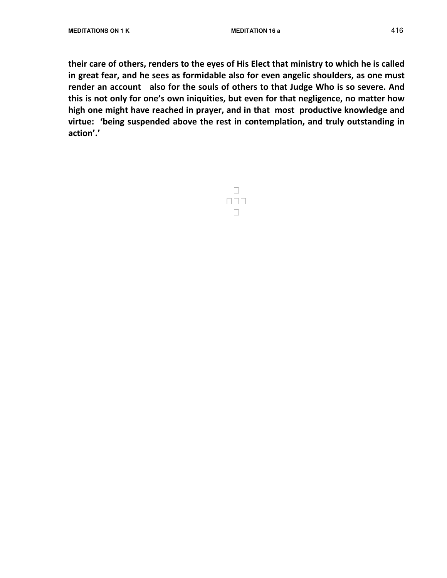their care of others, renders to the eyes of His Elect that ministry to which he is called in great fear, and he sees as formidable also for even angelic shoulders, as one must render an account also for the souls of others to that Judge Who is so severe. And this is not only for one's own iniquities, but even for that negligence, no matter how high one might have reached in prayer, and in that most productive knowledge and virtue: 'being suspended above the rest in contemplation, and truly outstanding in action'.'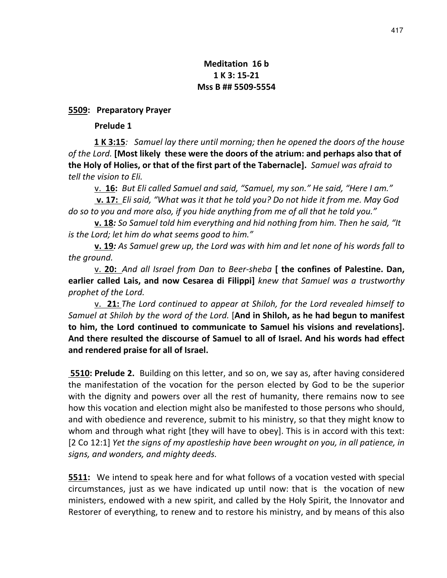### Meditation 16 b 1 K 3: 15-21 Mss B ## 5509-5554

5509: Preparatory Prayer

#### Prelude 1

 1 K 3:15: Samuel lay there until morning; then he opened the doors of the house of the Lord. [Most likely these were the doors of the atrium: and perhaps also that of the Holy of Holies, or that of the first part of the Tabernacle]. Samuel was afraid to tell the vision to Eli.

v. 16: But Eli called Samuel and said, "Samuel, my son." He said, "Here I am."

 v. 17: Eli said, "What was it that he told you? Do not hide it from me. May God do so to you and more also, if you hide anything from me of all that he told you."

v. 18: So Samuel told him everything and hid nothing from him. Then he said, "It is the Lord; let him do what seems good to him."

**v. 19:** As Samuel grew up, the Lord was with him and let none of his words fall to the ground.

v. 20: And all Israel from Dan to Beer-sheba [ the confines of Palestine. Dan, earlier called Lais, and now Cesarea di Filippi] knew that Samuel was a trustworthy prophet of the Lord.

v. 21: The Lord continued to appear at Shiloh, for the Lord revealed himself to Samuel at Shiloh by the word of the Lord. [And in Shiloh, as he had begun to manifest to him, the Lord continued to communicate to Samuel his visions and revelations]. And there resulted the discourse of Samuel to all of Israel. And his words had effect and rendered praise for all of Israel.

**5510: Prelude 2.** Building on this letter, and so on, we say as, after having considered the manifestation of the vocation for the person elected by God to be the superior with the dignity and powers over all the rest of humanity, there remains now to see how this vocation and election might also be manifested to those persons who should, and with obedience and reverence, submit to his ministry, so that they might know to whom and through what right [they will have to obey]. This is in accord with this text: [2 Co 12:1] Yet the signs of my apostleship have been wrought on you, in all patience, in signs, and wonders, and mighty deeds.

5511: We intend to speak here and for what follows of a vocation vested with special circumstances, just as we have indicated up until now: that is the vocation of new ministers, endowed with a new spirit, and called by the Holy Spirit, the Innovator and Restorer of everything, to renew and to restore his ministry, and by means of this also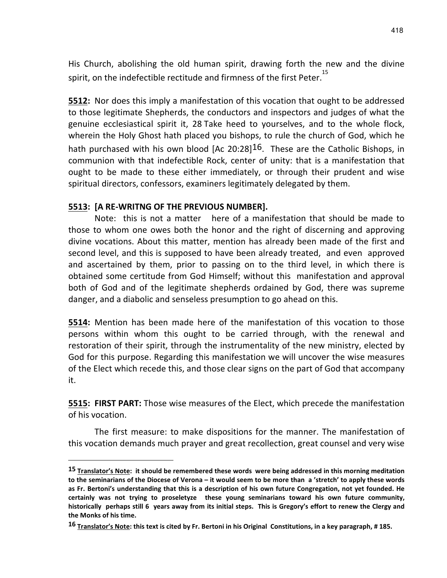His Church, abolishing the old human spirit, drawing forth the new and the divine spirit, on the indefectible rectitude and firmness of the first Peter. $^{15}$ 

5512: Nor does this imply a manifestation of this vocation that ought to be addressed to those legitimate Shepherds, the conductors and inspectors and judges of what the genuine ecclesiastical spirit it, 28 Take heed to yourselves, and to the whole flock, wherein the Holy Ghost hath placed you bishops, to rule the church of God, which he hath purchased with his own blood  $Ac 20:28$ <sup>16</sup>. These are the Catholic Bishops, in communion with that indefectible Rock, center of unity: that is a manifestation that ought to be made to these either immediately, or through their prudent and wise spiritual directors, confessors, examiners legitimately delegated by them.

### 5513: [A RE-WRITNG OF THE PREVIOUS NUMBER].

 $\overline{a}$ 

Note: this is not a matter here of a manifestation that should be made to those to whom one owes both the honor and the right of discerning and approving divine vocations. About this matter, mention has already been made of the first and second level, and this is supposed to have been already treated, and even approved and ascertained by them, prior to passing on to the third level, in which there is obtained some certitude from God Himself; without this manifestation and approval both of God and of the legitimate shepherds ordained by God, there was supreme danger, and a diabolic and senseless presumption to go ahead on this.

5514: Mention has been made here of the manifestation of this vocation to those persons within whom this ought to be carried through, with the renewal and restoration of their spirit, through the instrumentality of the new ministry, elected by God for this purpose. Regarding this manifestation we will uncover the wise measures of the Elect which recede this, and those clear signs on the part of God that accompany it.

**5515: FIRST PART:** Those wise measures of the Elect, which precede the manifestation of his vocation.

 The first measure: to make dispositions for the manner. The manifestation of this vocation demands much prayer and great recollection, great counsel and very wise

<sup>15</sup> Translator's Note: it should be remembered these words were being addressed in this morning meditation to the seminarians of the Diocese of Verona – it would seem to be more than a 'stretch' to apply these words as Fr. Bertoni's understanding that this is a description of his own future Congregation, not yet founded. He certainly was not trying to proseletyze these young seminarians toward his own future community, historically perhaps still 6 years away from its initial steps. This is Gregory's effort to renew the Clergy and the Monks of his time.

<sup>16</sup> Translator's Note: this text is cited by Fr. Bertoni in his Original Constitutions, in a key paragraph, # 185.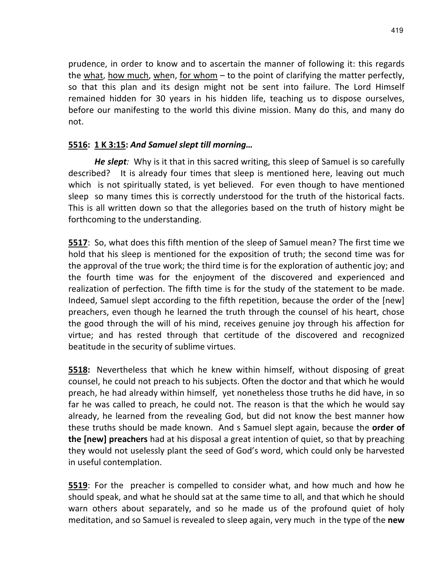prudence, in order to know and to ascertain the manner of following it: this regards the what, how much, when, for whom – to the point of clarifying the matter perfectly, so that this plan and its design might not be sent into failure. The Lord Himself remained hidden for 30 years in his hidden life, teaching us to dispose ourselves, before our manifesting to the world this divine mission. Many do this, and many do not.

### 5516: 1 K 3:15: And Samuel slept till morning…

**He slept**: Why is it that in this sacred writing, this sleep of Samuel is so carefully described? It is already four times that sleep is mentioned here, leaving out much which is not spiritually stated, is yet believed. For even though to have mentioned sleep so many times this is correctly understood for the truth of the historical facts. This is all written down so that the allegories based on the truth of history might be forthcoming to the understanding.

5517: So, what does this fifth mention of the sleep of Samuel mean? The first time we hold that his sleep is mentioned for the exposition of truth; the second time was for the approval of the true work; the third time is for the exploration of authentic joy; and the fourth time was for the enjoyment of the discovered and experienced and realization of perfection. The fifth time is for the study of the statement to be made. Indeed, Samuel slept according to the fifth repetition, because the order of the [new] preachers, even though he learned the truth through the counsel of his heart, chose the good through the will of his mind, receives genuine joy through his affection for virtue; and has rested through that certitude of the discovered and recognized beatitude in the security of sublime virtues.

5518: Nevertheless that which he knew within himself, without disposing of great counsel, he could not preach to his subjects. Often the doctor and that which he would preach, he had already within himself, yet nonetheless those truths he did have, in so far he was called to preach, he could not. The reason is that the which he would say already, he learned from the revealing God, but did not know the best manner how these truths should be made known. And s Samuel slept again, because the **order of** the [new] preachers had at his disposal a great intention of quiet, so that by preaching they would not uselessly plant the seed of God's word, which could only be harvested in useful contemplation.

5519: For the preacher is compelled to consider what, and how much and how he should speak, and what he should sat at the same time to all, and that which he should warn others about separately, and so he made us of the profound quiet of holy meditation, and so Samuel is revealed to sleep again, very much in the type of the new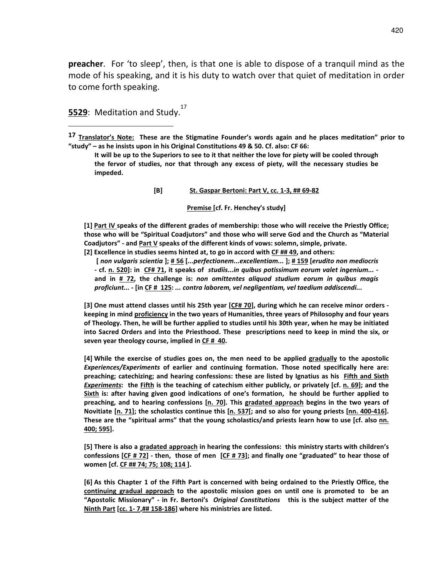preacher. For 'to sleep', then, is that one is able to dispose of a tranquil mind as the mode of his speaking, and it is his duty to watch over that quiet of meditation in order to come forth speaking.

5529: Meditation and Study.<sup>17</sup>

 $\overline{a}$ 

17 Translator's Note: These are the Stigmatine Founder's words again and he places meditation" prior to "study" – as he insists upon in his Original Constitutions 49 & 50. Cf. also: CF 66:

It will be up to the Superiors to see to it that neither the love for piety will be cooled through the fervor of studies, nor that through any excess of piety, will the necessary studies be impeded.

[B] St. Gaspar Bertoni: Part V, cc. 1-3, ## 69-82

Premise [cf. Fr. Henchey's study]

[1] Part IV speaks of the different grades of membership: those who will receive the Priestly Office; those who will be "Spiritual Coadjutors" and those who will serve God and the Church as "Material Coadjutors" - and Part V speaks of the different kinds of vows: solemn, simple, private. [2] Excellence in studies seems hinted at, to go in accord with CF ## 49, and others:

[ non vulgaris scientia ];  $\frac{1}{2}$  56 [...perfectionem...excellentiam... ];  $\frac{1}{2}$  [erudito non mediocris - cf. n. 520]: in CF# 71, it speaks of studiis...in quibus potissimum eorum valet ingenium... and in # 72, the challenge is: non omittentes aliquod studium eorum in quibus magis proficiunt... - [in CF # 125: ... contra laborem, vel negligentiam, vel taedium addiscendi...

[3] One must attend classes until his 25th year [CF# 70], during which he can receive minor orders keeping in mind proficiency in the two years of Humanities, three years of Philosophy and four years of Theology. Then, he will be further applied to studies until his 30th year, when he may be initiated into Sacred Orders and into the Priesthood. These prescriptions need to keep in mind the six, or seven year theology course, implied in CF # 40.

[4] While the exercise of studies goes on, the men need to be applied gradually to the apostolic Experiences/Experiments of earlier and continuing formation. Those noted specifically here are: preaching; catechizing; and hearing confessions: these are listed by Ignatius as his Fifth and Sixth Experiments: the Fifth is the teaching of catechism either publicly, or privately [cf. n. 69]; and the Sixth is: after having given good indications of one's formation, he should be further applied to preaching, and to hearing confessions [n. 70]. This gradated approach begins in the two years of Novitiate [n. 71]; the scholastics continue this [n. 537[; and so also for young priests [nn. 400-416]. These are the "spiritual arms" that the young scholastics/and priests learn how to use [cf. also nn. 400; 595].

[5] There is also a gradated approach in hearing the confessions: this ministry starts with children's confessions  $[CF # 72]$  - then, those of men  $[CF # 73]$ ; and finally one "graduated" to hear those of women [cf. CF ## 74; 75; 108; 114 ].

[6] As this Chapter 1 of the Fifth Part is concerned with being ordained to the Priestly Office, the continuing gradual approach to the apostolic mission goes on until one is promoted to be an "Apostolic Missionary" - in Fr. Bertoni's Original Constitutions this is the subject matter of the Ninth Part [cc. 1- 7,## 158-186] where his ministries are listed.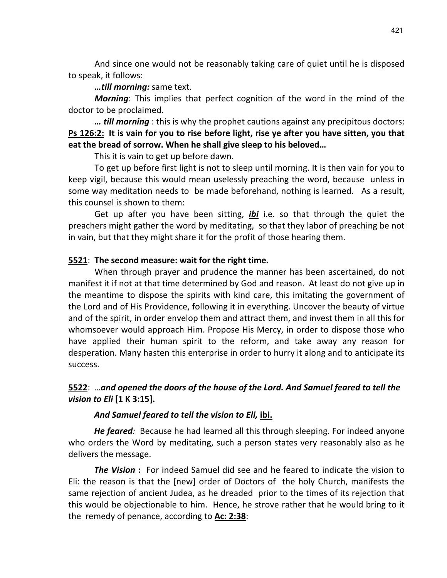And since one would not be reasonably taking care of quiet until he is disposed to speak, it follows:

…till morning: same text.

**Morning:** This implies that perfect cognition of the word in the mind of the doctor to be proclaimed.

... till morning : this is why the prophet cautions against any precipitous doctors: Ps 126:2: It is vain for you to rise before light, rise ye after you have sitten, you that eat the bread of sorrow. When he shall give sleep to his beloved…

This it is vain to get up before dawn.

 To get up before first light is not to sleep until morning. It is then vain for you to keep vigil, because this would mean uselessly preaching the word, because unless in some way meditation needs to be made beforehand, nothing is learned. As a result, this counsel is shown to them:

Get up after you have been sitting, *ibi* i.e. so that through the quiet the preachers might gather the word by meditating, so that they labor of preaching be not in vain, but that they might share it for the profit of those hearing them.

### 5521: The second measure: wait for the right time.

When through prayer and prudence the manner has been ascertained, do not manifest it if not at that time determined by God and reason. At least do not give up in the meantime to dispose the spirits with kind care, this imitating the government of the Lord and of His Providence, following it in everything. Uncover the beauty of virtue and of the spirit, in order envelop them and attract them, and invest them in all this for whomsoever would approach Him. Propose His Mercy, in order to dispose those who have applied their human spirit to the reform, and take away any reason for desperation. Many hasten this enterprise in order to hurry it along and to anticipate its success.

### 5522: …and opened the doors of the house of the Lord. And Samuel feared to tell the vision to Eli [1 K 3:15].

### And Samuel feared to tell the vision to Eli, ibi.

He feared: Because he had learned all this through sleeping. For indeed anyone who orders the Word by meditating, such a person states very reasonably also as he delivers the message.

The Vision : For indeed Samuel did see and he feared to indicate the vision to Eli: the reason is that the [new] order of Doctors of the holy Church, manifests the same rejection of ancient Judea, as he dreaded prior to the times of its rejection that this would be objectionable to him. Hence, he strove rather that he would bring to it the remedy of penance, according to  $Ac: 2:38$ :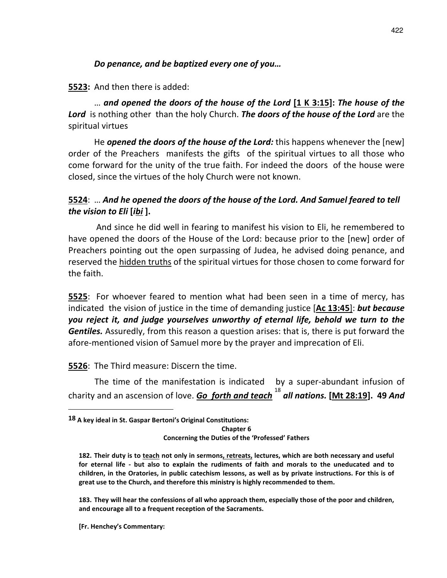### Do penance, and be baptized every one of you…

5523: And then there is added:

 … and opened the doors of the house of the Lord [1 K 3:15]: The house of the Lord is nothing other than the holy Church. The doors of the house of the Lord are the spiritual virtues

He **opened the doors of the house of the Lord:** this happens whenever the  $[new]$ order of the Preachers manifests the gifts of the spiritual virtues to all those who come forward for the unity of the true faith. For indeed the doors of the house were closed, since the virtues of the holy Church were not known.

### 5524: … And he opened the doors of the house of the Lord. And Samuel feared to tell the vision to Eli [ibi ].

 And since he did well in fearing to manifest his vision to Eli, he remembered to have opened the doors of the House of the Lord: because prior to the [new] order of Preachers pointing out the open surpassing of Judea, he advised doing penance, and reserved the hidden truths of the spiritual virtues for those chosen to come forward for the faith.

5525: For whoever feared to mention what had been seen in a time of mercy, has indicated the vision of justice in the time of demanding justice  $[Ac 13:45]$ : but because you reject it, and judge yourselves unworthy of eternal life, behold we turn to the **Gentiles.** Assuredly, from this reason a question arises: that is, there is put forward the afore-mentioned vision of Samuel more by the prayer and imprecation of Eli.

5526: The Third measure: Discern the time.

 The time of the manifestation is indicated by a super-abundant infusion of charity and an ascension of love. Go forth and teach  $^{18}$  all nations. [Mt 28:19]. 49 And

Concerning the Duties of the 'Professed' Fathers

183. They will hear the confessions of all who approach them, especially those of the poor and children, and encourage all to a frequent reception of the Sacraments.

[Fr. Henchey's Commentary:

<sup>18</sup> A key ideal in St. Gaspar Bertoni's Original Constitutions: Chapter 6

<sup>182.</sup> Their duty is to teach not only in sermons, retreats, lectures, which are both necessary and useful for eternal life - but also to explain the rudiments of faith and morals to the uneducated and to children, in the Oratories, in public catechism lessons, as well as by private instructions. For this is of great use to the Church, and therefore this ministry is highly recommended to them.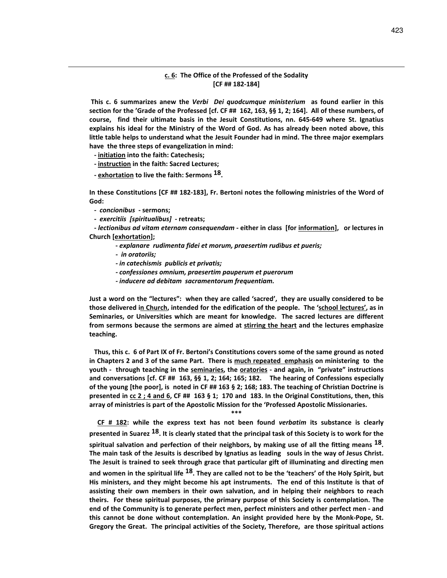#### c. 6: The Office of the Professed of the Sodality [CF ## 182-184]

This c. 6 summarizes anew the Verbi Dei quodcumque ministerium as found earlier in this section for the 'Grade of the Professed [cf. CF ## 162, 163, §§ 1, 2; 164]. All of these numbers, of course, find their ultimate basis in the Jesuit Constitutions, nn. 645-649 where St. Ignatius explains his ideal for the Ministry of the Word of God. As has already been noted above, this little table helps to understand what the Jesuit Founder had in mind. The three major exemplars have the three steps of evangelization in mind:

- initiation into the faith: Catechesis;

- instruction in the faith: Sacred Lectures;

- exhortation to live the faith: Sermons 18.

In these Constitutions [CF ## 182-183], Fr. Bertoni notes the following ministries of the Word of God:

- concionibus - sermons;

 $\overline{a}$ 

- exercitiis [spiritualibus] - retreats;

- lectionibus ad vitam eternam consequendam - either in class [for information], or lectures in Church [exhortation];

- explanare rudimenta fidei et morum, praesertim rudibus et pueris;
- in oratoriis;
- in catechismis publicis et privatis;
- confessiones omnium, praesertim pauperum et puerorum
- inducere ad debitam sacramentorum frequentiam.

Just a word on the "lectures": when they are called 'sacred', they are usually considered to be those delivered in Church, intended for the edification of the people. The 'school lectures', as in Seminaries, or Universities which are meant for knowledge. The sacred lectures are different from sermons because the sermons are aimed at stirring the heart and the lectures emphasize teaching.

 Thus, this c. 6 of Part IX of Fr. Bertoni's Constitutions covers some of the same ground as noted in Chapters 2 and 3 of the same Part. There is much repeated emphasis on ministering to the youth - through teaching in the seminaries, the oratories - and again, in "private" instructions and conversations [cf. CF ## 163, §§ 1, 2; 164; 165; 182. The hearing of Confessions especially of the young [the poor], is noted in CF ## 163 § 2; 168; 183. The teaching of Christian Doctrine is presented in cc 2 ; 4 and 6, CF ## 163 § 1; 170 and 183. In the Original Constitutions, then, this array of ministries is part of the Apostolic Mission for the 'Professed Apostolic Missionaries.

\*\*\*

 CF # 182: while the express text has not been found verbatim its substance is clearly presented in Suarez  $^{18}$ . It is clearly stated that the principal task of this Society is to work for the spiritual salvation and perfection of their neighbors, by making use of all the fitting means  $^{18}$ . The main task of the Jesuits is described by Ignatius as leading souls in the way of Jesus Christ. The Jesuit is trained to seek through grace that particular gift of illuminating and directing men and women in the spiritual life <sup>18</sup>. They are called not to be the 'teachers' of the Holy Spirit, but His ministers, and they might become his apt instruments. The end of this Institute is that of assisting their own members in their own salvation, and in helping their neighbors to reach theirs. For these spiritual purposes, the primary purpose of this Society is contemplation. The end of the Community is to generate perfect men, perfect ministers and other perfect men - and this cannot be done without contemplation. An insight provided here by the Monk-Pope, St. Gregory the Great. The principal activities of the Society, Therefore, are those spiritual actions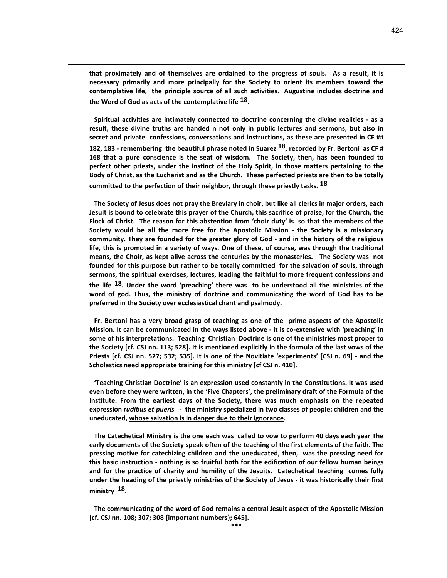that proximately and of themselves are ordained to the progress of souls. As a result, it is necessary primarily and more principally for the Society to orient its members toward the contemplative life, the principle source of all such activities. Augustine includes doctrine and the Word of God as acts of the contemplative life <sup>18</sup>.

 $\overline{a}$ 

 Spiritual activities are intimately connected to doctrine concerning the divine realities - as a result, these divine truths are handed n not only in public lectures and sermons, but also in secret and private confessions, conversations and instructions, as these are presented in CF ## 182, 183 - remembering the beautiful phrase noted in Suarez  $^{18}$ , recorded by Fr. Bertoni as CF # 168 that a pure conscience is the seat of wisdom. The Society, then, has been founded to perfect other priests, under the instinct of the Holy Spirit, in those matters pertaining to the Body of Christ, as the Eucharist and as the Church. These perfected priests are then to be totally committed to the perfection of their neighbor, through these priestly tasks. <sup>18</sup>

 The Society of Jesus does not pray the Breviary in choir, but like all clerics in major orders, each Jesuit is bound to celebrate this prayer of the Church, this sacrifice of praise, for the Church, the Flock of Christ. The reason for this abstention from 'choir duty' is so that the members of the Society would be all the more free for the Apostolic Mission - the Society is a missionary community. They are founded for the greater glory of God - and in the history of the religious life, this is promoted in a variety of ways. One of these, of course, was through the traditional means, the Choir, as kept alive across the centuries by the monasteries. The Society was not founded for this purpose but rather to be totally committed for the salvation of souls, through sermons, the spiritual exercises, lectures, leading the faithful to more frequent confessions and the life  $18$ . Under the word 'preaching' there was to be understood all the ministries of the word of god. Thus, the ministry of doctrine and communicating the word of God has to be preferred in the Society over ecclesiastical chant and psalmody.

 Fr. Bertoni has a very broad grasp of teaching as one of the prime aspects of the Apostolic Mission. It can be communicated in the ways listed above - it is co-extensive with 'preaching' in some of his interpretations. Teaching Christian Doctrine is one of the ministries most proper to the Society [cf. CSJ nn. 113; 528]. It is mentioned explicitly in the formula of the last vows of the Priests [cf. CSJ nn. 527; 532; 535]. It is one of the Novitiate 'experiments' [CSJ n. 69] - and the Scholastics need appropriate training for this ministry [cf CSJ n. 410].

 'Teaching Christian Doctrine' is an expression used constantly in the Constitutions. It was used even before they were written, in the 'Five Chapters', the preliminary draft of the Formula of the Institute. From the earliest days of the Society, there was much emphasis on the repeated expression rudibus et pueris - the ministry specialized in two classes of people: children and the uneducated, whose salvation is in danger due to their ignorance.

 The Catechetical Ministry is the one each was called to vow to perform 40 days each year The early documents of the Society speak often of the teaching of the first elements of the faith. The pressing motive for catechizing children and the uneducated, then, was the pressing need for this basic instruction - nothing is so fruitful both for the edification of our fellow human beings and for the practice of charity and humility of the Jesuits. Catechetical teaching comes fully under the heading of the priestly ministries of the Society of Jesus - it was historically their first ministry 18.

 The communicating of the word of God remains a central Jesuit aspect of the Apostolic Mission [cf. CSJ nn. 108; 307; 308 {important numbers}; 645].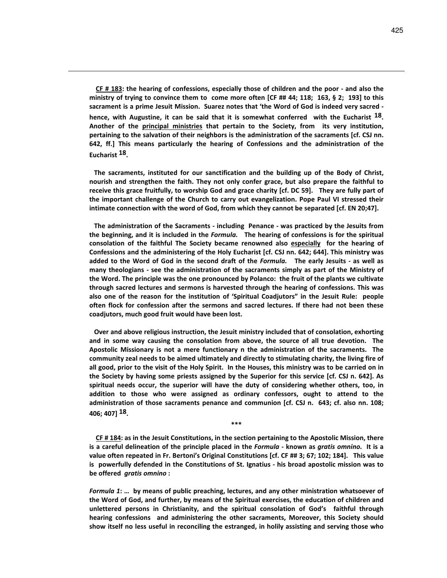$CF$  # 183: the hearing of confessions, especially those of children and the poor - and also the ministry of trying to convince them to come more often [CF ## 44; 118; 163, § 2; 193] to this sacrament is a prime Jesuit Mission. Suarez notes that 'the Word of God is indeed very sacred hence, with Augustine, it can be said that it is somewhat conferred with the Eucharist  $^{18}$ . Another of the principal ministries that pertain to the Society, from its very institution, pertaining to the salvation of their neighbors is the administration of the sacraments [cf. CSJ nn. 642, ff.] This means particularly the hearing of Confessions and the administration of the Eucharist 18.

 $\overline{a}$ 

 The sacraments, instituted for our sanctification and the building up of the Body of Christ, nourish and strengthen the faith. They not only confer grace, but also prepare the faithful to receive this grace fruitfully, to worship God and grace charity [cf. DC 59]. They are fully part of the important challenge of the Church to carry out evangelization. Pope Paul VI stressed their intimate connection with the word of God, from which they cannot be separated [cf. EN 20;47].

 The administration of the Sacraments - including Penance - was practiced by the Jesuits from the beginning, and it is included in the *Formula*. The hearing of confessions is for the spiritual consolation of the faithful The Society became renowned also especially for the hearing of Confessions and the administering of the Holy Eucharist [cf. CSJ nn. 642; 644]. This ministry was added to the Word of God in the second draft of the Formula. The early Jesuits - as well as many theologians - see the administration of the sacraments simply as part of the Ministry of the Word. The principle was the one pronounced by Polanco: the fruit of the plants we cultivate through sacred lectures and sermons is harvested through the hearing of confessions. This was also one of the reason for the institution of 'Spiritual Coadjutors" in the Jesuit Rule: people often flock for confession after the sermons and sacred lectures. If there had not been these coadjutors, much good fruit would have been lost.

 Over and above religious instruction, the Jesuit ministry included that of consolation, exhorting and in some way causing the consolation from above, the source of all true devotion. The Apostolic Missionary is not a mere functionary n the administration of the sacraments. The community zeal needs to be aimed ultimately and directly to stimulating charity, the living fire of all good, prior to the visit of the Holy Spirit. In the Houses, this ministry was to be carried on in the Society by having some priests assigned by the Superior for this service [cf. CSJ n. 642]. As spiritual needs occur, the superior will have the duty of considering whether others, too, in addition to those who were assigned as ordinary confessors, ought to attend to the administration of those sacraments penance and communion [cf. CSJ n. 643; cf. also nn. 108; 406; 407] 18.

 CF # 184: as in the Jesuit Constitutions, in the section pertaining to the Apostolic Mission, there is a careful delineation of the principle placed in the Formula - known as gratis omnino. It is a value often repeated in Fr. Bertoni's Original Constitutions [cf. CF ## 3; 67; 102; 184]. This value is powerfully defended in the Constitutions of St. Ignatius - his broad apostolic mission was to be offered gratis omnino :

\*\*\*

Formula 1: … by means of public preaching, lectures, and any other ministration whatsoever of the Word of God, and further, by means of the Spiritual exercises, the education of children and unlettered persons in Christianity, and the spiritual consolation of God's faithful through hearing confessions and administering the other sacraments, Moreover, this Society should show itself no less useful in reconciling the estranged, in holily assisting and serving those who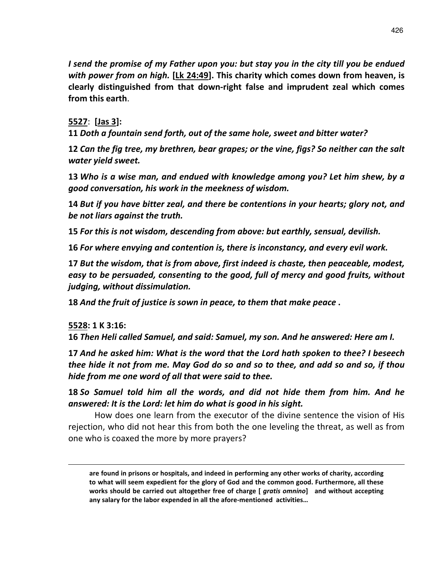I send the promise of my Father upon you: but stay you in the city till you be endued with power from on high. [Lk 24:49]. This charity which comes down from heaven, is clearly distinguished from that down-right false and imprudent zeal which comes from this earth.

### 5527: [Jas 3]:

11 Doth a fountain send forth, out of the same hole, sweet and bitter water?

12 Can the fig tree, my brethren, bear grapes; or the vine, figs? So neither can the salt water yield sweet.

13 Who is a wise man, and endued with knowledge among you? Let him shew, by a good conversation, his work in the meekness of wisdom.

14 But if you have bitter zeal, and there be contentions in your hearts; glory not, and be not liars against the truth.

15 For this is not wisdom, descending from above: but earthly, sensual, devilish.

16 For where envying and contention is, there is inconstancy, and every evil work.

17 But the wisdom, that is from above, first indeed is chaste, then peaceable, modest, easy to be persuaded, consenting to the good, full of mercy and good fruits, without judging, without dissimulation.

18 And the fruit of justice is sown in peace, to them that make peace .

### 5528: 1 K 3:16:

 $\overline{a}$ 

16 Then Heli called Samuel, and said: Samuel, my son. And he answered: Here am I.

17 And he asked him: What is the word that the Lord hath spoken to thee? I beseech thee hide it not from me. May God do so and so to thee, and add so and so, if thou hide from me one word of all that were said to thee.

18 So Samuel told him all the words, and did not hide them from him. And he answered: It is the Lord: let him do what is good in his sight.

How does one learn from the executor of the divine sentence the vision of His rejection, who did not hear this from both the one leveling the threat, as well as from one who is coaxed the more by more prayers?

are found in prisons or hospitals, and indeed in performing any other works of charity, according to what will seem expedient for the glory of God and the common good. Furthermore, all these works should be carried out altogether free of charge [ *gratis omnino*] and without accepting any salary for the labor expended in all the afore-mentioned activities…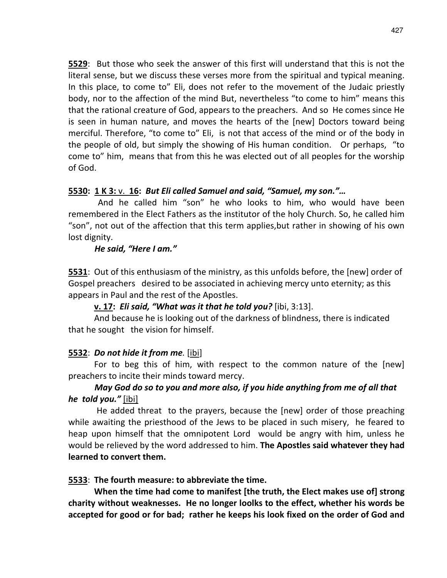5529: But those who seek the answer of this first will understand that this is not the literal sense, but we discuss these verses more from the spiritual and typical meaning. In this place, to come to" Eli, does not refer to the movement of the Judaic priestly body, nor to the affection of the mind But, nevertheless "to come to him" means this that the rational creature of God, appears to the preachers. And so He comes since He is seen in human nature, and moves the hearts of the [new] Doctors toward being merciful. Therefore, "to come to" Eli, is not that access of the mind or of the body in the people of old, but simply the showing of His human condition. Or perhaps, "to come to" him, means that from this he was elected out of all peoples for the worship of God.

### 5530: 1 K 3: v. 16: But Eli called Samuel and said, "Samuel, my son."…

And he called him "son" he who looks to him, who would have been remembered in the Elect Fathers as the institutor of the holy Church. So, he called him "son", not out of the affection that this term applies,but rather in showing of his own lost dignity.

### He said, "Here I am."

5531: Out of this enthusiasm of the ministry, as this unfolds before, the [new] order of Gospel preachers desired to be associated in achieving mercy unto eternity; as this appears in Paul and the rest of the Apostles.

### v. 17: Eli said, "What was it that he told you? [ibi, 3:13].

 And because he is looking out of the darkness of blindness, there is indicated that he sought the vision for himself.

### 5532: Do not hide it from me. [ibi]

 For to beg this of him, with respect to the common nature of the [new] preachers to incite their minds toward mercy.

### May God do so to you and more also, if you hide anything from me of all that he told you." [ibi]

 He added threat to the prayers, because the [new] order of those preaching while awaiting the priesthood of the Jews to be placed in such misery, he feared to heap upon himself that the omnipotent Lord would be angry with him, unless he would be relieved by the word addressed to him. The Apostles said whatever they had learned to convert them.

### 5533: The fourth measure: to abbreviate the time.

 When the time had come to manifest [the truth, the Elect makes use of] strong charity without weaknesses. He no longer loolks to the effect, whether his words be accepted for good or for bad; rather he keeps his look fixed on the order of God and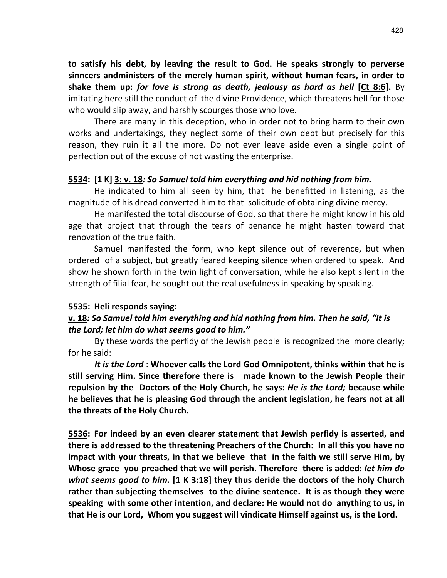to satisfy his debt, by leaving the result to God. He speaks strongly to perverse sinncers andministers of the merely human spirit, without human fears, in order to shake them up: *for love is strong as death, jealousy as hard as hell* [Ct 8:6]. By imitating here still the conduct of the divine Providence, which threatens hell for those who would slip away, and harshly scourges those who love.

 There are many in this deception, who in order not to bring harm to their own works and undertakings, they neglect some of their own debt but precisely for this reason, they ruin it all the more. Do not ever leave aside even a single point of perfection out of the excuse of not wasting the enterprise.

#### 5534: [1 K] 3: v. 18: So Samuel told him everything and hid nothing from him.

He indicated to him all seen by him, that he benefitted in listening, as the magnitude of his dread converted him to that solicitude of obtaining divine mercy.

 He manifested the total discourse of God, so that there he might know in his old age that project that through the tears of penance he might hasten toward that renovation of the true faith.

 Samuel manifested the form, who kept silence out of reverence, but when ordered of a subject, but greatly feared keeping silence when ordered to speak. And show he shown forth in the twin light of conversation, while he also kept silent in the strength of filial fear, he sought out the real usefulness in speaking by speaking.

#### 5535: Heli responds saying:

### v. 18: So Samuel told him everything and hid nothing from him. Then he said, "It is the Lord; let him do what seems good to him."

By these words the perfidy of the Jewish people is recognized the more clearly; for he said:

It is the Lord : Whoever calls the Lord God Omnipotent, thinks within that he is still serving Him. Since therefore there is made known to the Jewish People their repulsion by the Doctors of the Holy Church, he says: He is the Lord; because while he believes that he is pleasing God through the ancient legislation, he fears not at all the threats of the Holy Church.

5536: For indeed by an even clearer statement that Jewish perfidy is asserted, and there is addressed to the threatening Preachers of the Church: In all this you have no impact with your threats, in that we believe that in the faith we still serve Him, by Whose grace you preached that we will perish. Therefore there is added: let him do what seems good to him. [1 K 3:18] they thus deride the doctors of the holy Church rather than subjecting themselves to the divine sentence. It is as though they were speaking with some other intention, and declare: He would not do anything to us, in that He is our Lord, Whom you suggest will vindicate Himself against us, is the Lord.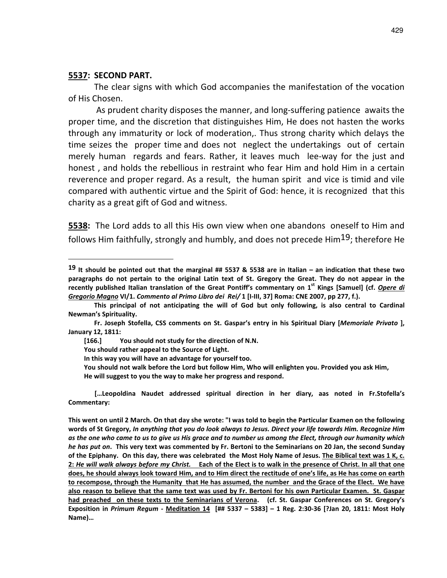#### 5537: SECOND PART.

 $\overline{a}$ 

The clear signs with which God accompanies the manifestation of the vocation of His Chosen.

 As prudent charity disposes the manner, and long-suffering patience awaits the proper time, and the discretion that distinguishes Him, He does not hasten the works through any immaturity or lock of moderation,. Thus strong charity which delays the time seizes the proper time and does not neglect the undertakings out of certain merely human regards and fears. Rather, it leaves much lee-way for the just and honest , and holds the rebellious in restraint who fear Him and hold Him in a certain reverence and proper regard. As a result, the human spirit and vice is timid and vile compared with authentic virtue and the Spirit of God: hence, it is recognized that this charity as a great gift of God and witness.

5538: The Lord adds to all this His own view when one abandons oneself to Him and follows Him faithfully, strongly and humbly, and does not precede Him<sup>19</sup>; therefore He

He will suggest to you the way to make her progress and respond.

[…Leopoldina Naudet addressed spiritual direction in her diary, aas noted in Fr.Stofella's Commentary:

<sup>19</sup> It should be pointed out that the marginal ## 5537 & 5538 are in Italian – an indication that these two paragraphs do not pertain to the original Latin text of St. Gregory the Great. They do not appear in the recently published Italian translation of the Great Pontiff's commentary on 1<sup>st</sup> Kings [Samuel] (cf. *Opere di* Gregorio Magno VI/1. Commento al Primo Libro dei Rei/ 1 [I-III, 37] Roma: CNE 2007, pp 277, f.).

This principal of not anticipating the will of God but only following, is also central to Cardinal Newman's Spirituality.

Fr. Joseph Stofella, CSS comments on St. Gaspar's entry in his Spiritual Diary [Memoriale Privato ], January 12, 1811:

<sup>[166.]</sup> You should not study for the direction of N.N.

You should rather appeal to the Source of Light.

In this way you will have an advantage for yourself too.

You should not walk before the Lord but follow Him, Who will enlighten you. Provided you ask Him,

This went on until 2 March. On that day she wrote: "I was told to begin the Particular Examen on the following words of St Gregory, In anything that you do look always to Jesus. Direct your life towards Him. Recognize Him as the one who came to us to give us His grace and to number us among the Elect, through our humanity which he has put on. This very text was commented by Fr. Bertoni to the Seminarians on 20 Jan, the second Sunday of the Epiphany. On this day, there was celebrated the Most Holy Name of Jesus. The Biblical text was 1 K, c. 2: He will walk always before my Christ. Each of the Elect is to walk in the presence of Christ. In all that one does, he should always look toward Him, and to Him direct the rectitude of one's life, as He has come on earth to recompose, through the Humanity that He has assumed, the number and the Grace of the Elect. We have also reason to believe that the same text was used by Fr. Bertoni for his own Particular Examen. St. Gaspar had preached on these texts to the Seminarians of Verona. (cf. St. Gaspar Conferences on St. Gregory's Exposition in Primum Regum - Meditation 14 [## 5337 - 5383] - 1 Reg. 2:30-36 [?Jan 20, 1811: Most Holy Name)…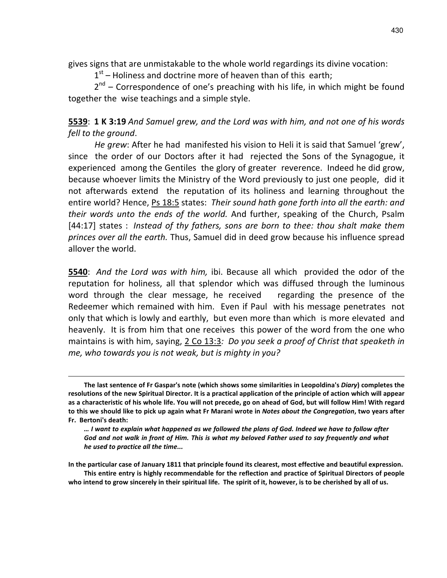gives signs that are unmistakable to the whole world regardings its divine vocation:

 $1<sup>st</sup>$  – Holiness and doctrine more of heaven than of this earth;

 $2<sup>nd</sup>$  – Correspondence of one's preaching with his life, in which might be found together the wise teachings and a simple style.

### 5539: 1 K 3:19 And Samuel grew, and the Lord was with him, and not one of his words fell to the ground.

He grew: After he had manifested his vision to Heli it is said that Samuel 'grew', since the order of our Doctors after it had rejected the Sons of the Synagogue, it experienced among the Gentiles the glory of greater reverence. Indeed he did grow, because whoever limits the Ministry of the Word previously to just one people, did it not afterwards extend the reputation of its holiness and learning throughout the entire world? Hence, Ps 18:5 states: Their sound hath gone forth into all the earth: and their words unto the ends of the world. And further, speaking of the Church, Psalm [44:17] states : Instead of thy fathers, sons are born to thee: thou shalt make them princes over all the earth. Thus, Samuel did in deed grow because his influence spread allover the world.

5540: And the Lord was with him, ibi. Because all which provided the odor of the reputation for holiness, all that splendor which was diffused through the luminous word through the clear message, he received regarding the presence of the Redeemer which remained with him. Even if Paul with his message penetrates not only that which is lowly and earthly, but even more than which is more elevated and heavenly. It is from him that one receives this power of the word from the one who maintains is with him, saying,  $2 \text{ Co } 13:3$ : Do you seek a proof of Christ that speaketh in me, who towards you is not weak, but is mighty in you?

 $\overline{a}$ 

In the particular case of January 1811 that principle found its clearest, most effective and beautiful expression.

This entire entry is highly recommendable for the reflection and practice of Spiritual Directors of people who intend to grow sincerely in their spiritual life. The spirit of it, however, is to be cherished by all of us.

The last sentence of Fr Gaspar's note (which shows some similarities in Leopoldina's Diary) completes the resolutions of the new Spiritual Director. It is a practical application of the principle of action which will appear as a characteristic of his whole life. You will not precede, go on ahead of God, but will follow Him! With regard to this we should like to pick up again what Fr Marani wrote in Notes about the Congregation, two years after Fr. Bertoni's death:

<sup>…</sup> I want to explain what happened as we followed the plans of God. Indeed we have to follow after God and not walk in front of Him. This is what my beloved Father used to say frequently and what he used to practice all the time...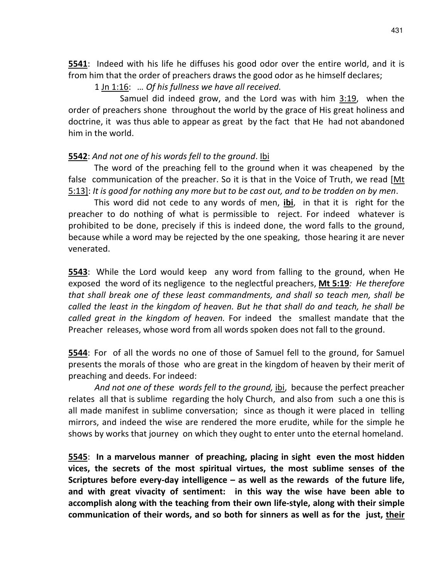5541: Indeed with his life he diffuses his good odor over the entire world, and it is from him that the order of preachers draws the good odor as he himself declares;

1 Jn 1:16: … Of his fullness we have all received.

 Samuel did indeed grow, and the Lord was with him 3:19, when the order of preachers shone throughout the world by the grace of His great holiness and doctrine, it was thus able to appear as great by the fact that He had not abandoned him in the world.

### 5542: And not one of his words fell to the ground. Ibi

 The word of the preaching fell to the ground when it was cheapened by the false communication of the preacher. So it is that in the Voice of Truth, we read [Mt 5:13]: It is good for nothing any more but to be cast out, and to be trodden on by men.

This word did not cede to any words of men, **ibi**, in that it is right for the preacher to do nothing of what is permissible to reject. For indeed whatever is prohibited to be done, precisely if this is indeed done, the word falls to the ground, because while a word may be rejected by the one speaking, those hearing it are never venerated.

5543: While the Lord would keep any word from falling to the ground, when He exposed the word of its negligence to the neglectful preachers, Mt 5:19: He therefore that shall break one of these least commandments, and shall so teach men, shall be called the least in the kingdom of heaven. But he that shall do and teach, he shall be called great in the kingdom of heaven. For indeed the smallest mandate that the Preacher releases, whose word from all words spoken does not fall to the ground.

5544: For of all the words no one of those of Samuel fell to the ground, for Samuel presents the morals of those who are great in the kingdom of heaven by their merit of preaching and deeds. For indeed:

And not one of these words fell to the ground, ibi, because the perfect preacher relates all that is sublime regarding the holy Church, and also from such a one this is all made manifest in sublime conversation; since as though it were placed in telling mirrors, and indeed the wise are rendered the more erudite, while for the simple he shows by works that journey on which they ought to enter unto the eternal homeland.

5545: In a marvelous manner of preaching, placing in sight even the most hidden vices, the secrets of the most spiritual virtues, the most sublime senses of the Scriptures before every-day intelligence – as well as the rewards of the future life, and with great vivacity of sentiment: in this way the wise have been able to accomplish along with the teaching from their own life-style, along with their simple communication of their words, and so both for sinners as well as for the just, their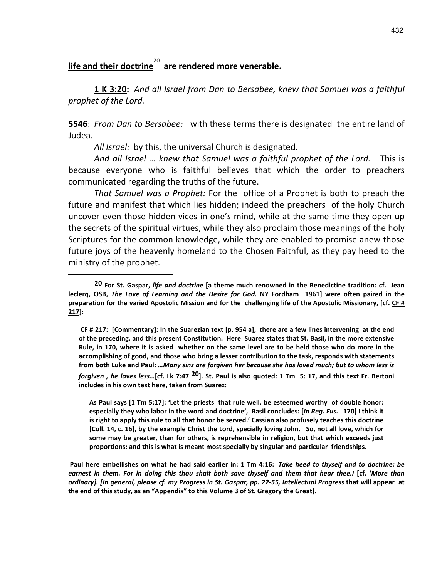# life and their doctrine $^{20}$  are rendered more venerable.

 $\overline{a}$ 

 1 K 3:20: And all Israel from Dan to Bersabee, knew that Samuel was a faithful prophet of the Lord.

**5546:** From Dan to Bersabee: with these terms there is designated the entire land of Judea.

All Israel: by this, the universal Church is designated.

And all Israel … knew that Samuel was a faithful prophet of the Lord. This is because everyone who is faithful believes that which the order to preachers communicated regarding the truths of the future.

That Samuel was a Prophet: For the office of a Prophet is both to preach the future and manifest that which lies hidden; indeed the preachers of the holy Church uncover even those hidden vices in one's mind, while at the same time they open up the secrets of the spiritual virtues, while they also proclaim those meanings of the holy Scriptures for the common knowledge, while they are enabled to promise anew those future joys of the heavenly homeland to the Chosen Faithful, as they pay heed to the ministry of the prophet.

CF # 217: [Commentary]: In the Suarezian text [p.  $954$  a], there are a few lines intervening at the end of the preceding, and this present Constitution. Here Suarez states that St. Basil, in the more extensive Rule, in 170, where it is asked whether on the same level are to be held those who do more in the accomplishing of good, and those who bring a lesser contribution to the task, responds with statements from both Luke and Paul: …Many sins are forgiven her because she has loved much; but to whom less is forgiven, he loves less...[cf. Lk 7:47 <sup>20</sup>]. St. Paul is also quoted: 1 Tm 5: 17, and this text Fr. Bertoni includes in his own text here, taken from Suarez:

As Paul says [1 Tm 5:17]: 'Let the priests that rule well, be esteemed worthy of double honor: especially they who labor in the word and doctrine', Basil concludes: [In Reg. Fus. 170] I think it is right to apply this rule to all that honor be served.' Cassian also profusely teaches this doctrine [Coll. 14, c. 16], by the example Christ the Lord, specially loving John. So, not all love, which for some may be greater, than for others, is reprehensible in religion, but that which exceeds just proportions: and this is what is meant most specially by singular and particular friendships.

Paul here embellishes on what he had said earlier in: 1 Tm 4:16: Take heed to thyself and to doctrine: be earnest in them. For in doing this thou shalt both save thyself and them that hear thee.I [cf. 'More than ordinary]. [In general, please cf. my Progress in St. Gaspar, pp. 22-55, Intellectual Progress that will appear at the end of this study, as an "Appendix" to this Volume 3 of St. Gregory the Great].

<sup>&</sup>lt;sup>20</sup> For St. Gaspar, *life and doctrine* [a theme much renowned in the Benedictine tradition: cf. Jean leclerq, OSB, The Love of Learning and the Desire for God. NY Fordham 1961] were often paired in the preparation for the varied Apostolic Mission and for the challenging life of the Apostolic Missionary, [cf. CF # 217]: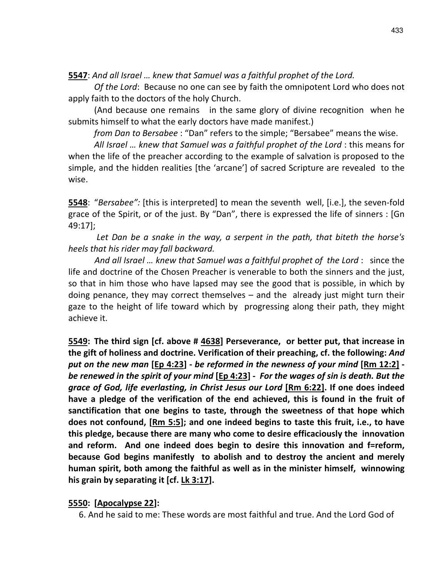5547: And all Israel … knew that Samuel was a faithful prophet of the Lord.

 Of the Lord: Because no one can see by faith the omnipotent Lord who does not apply faith to the doctors of the holy Church.

 (And because one remains in the same glory of divine recognition when he submits himself to what the early doctors have made manifest.)

from Dan to Bersabee : "Dan" refers to the simple; "Bersabee" means the wise.

All Israel … knew that Samuel was a faithful prophet of the Lord : this means for when the life of the preacher according to the example of salvation is proposed to the simple, and the hidden realities [the 'arcane'] of sacred Scripture are revealed to the wise.

**5548:** "Bersabee": [this is interpreted] to mean the seventh well, [i.e.], the seven-fold grace of the Spirit, or of the just. By "Dan", there is expressed the life of sinners : [Gn 49:17];

Let Dan be a snake in the way, a serpent in the path, that biteth the horse's heels that his rider may fall backward.

And all Israel … knew that Samuel was a faithful prophet of the Lord : since the life and doctrine of the Chosen Preacher is venerable to both the sinners and the just, so that in him those who have lapsed may see the good that is possible, in which by doing penance, they may correct themselves – and the already just might turn their gaze to the height of life toward which by progressing along their path, they might achieve it.

5549: The third sign [cf. above # 4638] Perseverance, or better put, that increase in the gift of holiness and doctrine. Verification of their preaching, cf. the following: And put on the new man [Ep 4:23] - be reformed in the newness of your mind [Rm 12:2] be renewed in the spirit of your mind [Ep 4:23] - For the wages of sin is death. But the grace of God, life everlasting, in Christ Jesus our Lord [Rm 6:22]. If one does indeed have a pledge of the verification of the end achieved, this is found in the fruit of sanctification that one begins to taste, through the sweetness of that hope which does not confound, [Rm 5:5]; and one indeed begins to taste this fruit, i.e., to have this pledge, because there are many who come to desire efficaciously the innovation and reform. And one indeed does begin to desire this innovation and f=reform, because God begins manifestly to abolish and to destroy the ancient and merely human spirit, both among the faithful as well as in the minister himself, winnowing his grain by separating it [cf. Lk 3:17].

### 5550: [Apocalypse 22]:

6. And he said to me: These words are most faithful and true. And the Lord God of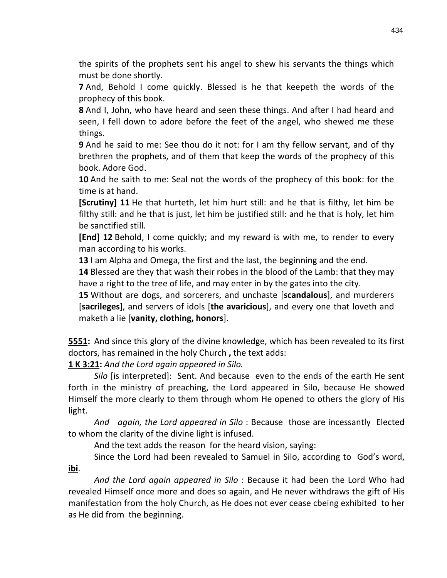the spirits of the prophets sent his angel to shew his servants the things which must be done shortly.

7 And, Behold I come quickly. Blessed is he that keepeth the words of the prophecy of this book.

8 And I, John, who have heard and seen these things. And after I had heard and seen, I fell down to adore before the feet of the angel, who shewed me these things.

9 And he said to me: See thou do it not: for I am thy fellow servant, and of thy brethren the prophets, and of them that keep the words of the prophecy of this book. Adore God.

10 And he saith to me: Seal not the words of the prophecy of this book: for the time is at hand.

[Scrutiny] 11 He that hurteth, let him hurt still: and he that is filthy, let him be filthy still: and he that is just, let him be justified still: and he that is holy, let him be sanctified still.

[End] 12 Behold, I come quickly; and my reward is with me, to render to every man according to his works.

13 I am Alpha and Omega, the first and the last, the beginning and the end.

14 Blessed are they that wash their robes in the blood of the Lamb: that they may have a right to the tree of life, and may enter in by the gates into the city.

15 Without are dogs, and sorcerers, and unchaste [scandalous], and murderers [sacrileges], and servers of idols [the avaricious], and every one that loveth and maketh a lie [vanity, clothing, honors].

5551: And since this glory of the divine knowledge, which has been revealed to its first doctors, has remained in the holy Church , the text adds:

1 K 3:21: And the Lord again appeared in Silo.

 Silo [is interpreted]: Sent. And because even to the ends of the earth He sent forth in the ministry of preaching, the Lord appeared in Silo, because He showed Himself the more clearly to them through whom He opened to others the glory of His light.

And again, the Lord appeared in Silo : Because those are incessantly Elected to whom the clarity of the divine light is infused.

And the text adds the reason for the heard vision, saying:

 Since the Lord had been revealed to Samuel in Silo, according to God's word, ibi.

And the Lord again appeared in Silo : Because it had been the Lord Who had revealed Himself once more and does so again, and He never withdraws the gift of His manifestation from the holy Church, as He does not ever cease cbeing exhibited to her as He did from the beginning.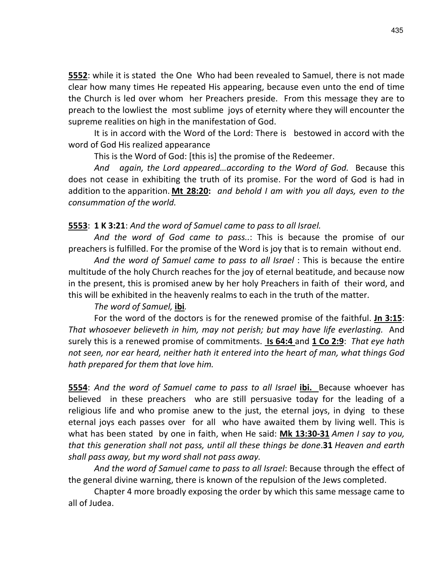5552: while it is stated the One Who had been revealed to Samuel, there is not made clear how many times He repeated His appearing, because even unto the end of time the Church is led over whom her Preachers preside. From this message they are to preach to the lowliest the most sublime joys of eternity where they will encounter the supreme realities on high in the manifestation of God.

 It is in accord with the Word of the Lord: There is bestowed in accord with the word of God His realized appearance

This is the Word of God: [this is] the promise of the Redeemer.

And again, the Lord appeared…according to the Word of God. Because this does not cease in exhibiting the truth of its promise. For the word of God is had in addition to the apparition. Mt 28:20: and behold I am with you all days, even to the consummation of the world.

#### 5553: 1 K 3:21: And the word of Samuel came to pass to all Israel.

 And the word of God came to pass..: This is because the promise of our preachers is fulfilled. For the promise of the Word is joy that is to remain without end.

And the word of Samuel came to pass to all Israel : This is because the entire multitude of the holy Church reaches for the joy of eternal beatitude, and because now in the present, this is promised anew by her holy Preachers in faith of their word, and this will be exhibited in the heavenly realms to each in the truth of the matter.

#### The word of Samuel, ibi.

For the word of the doctors is for the renewed promise of the faithful. **Jn 3:15**: That whosoever believeth in him, may not perish; but may have life everlasting. And surely this is a renewed promise of commitments. **Is 64:4** and 1 Co 2:9: That eye hath not seen, nor ear heard, neither hath it entered into the heart of man, what things God hath prepared for them that love him.

**5554:** And the word of Samuel came to pass to all Israel ibi. Because whoever has believed in these preachers who are still persuasive today for the leading of a religious life and who promise anew to the just, the eternal joys, in dying to these eternal joys each passes over for all who have awaited them by living well. This is what has been stated by one in faith, when He said: Mk 13:30-31 Amen I say to you, that this generation shall not pass, until all these things be done.31 Heaven and earth shall pass away, but my word shall not pass away.

 And the word of Samuel came to pass to all Israel: Because through the effect of the general divine warning, there is known of the repulsion of the Jews completed.

 Chapter 4 more broadly exposing the order by which this same message came to all of Judea.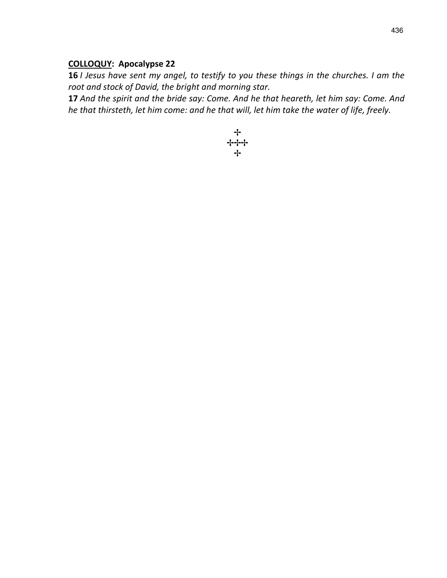### COLLOQUY: Apocalypse 22

16 I Jesus have sent my angel, to testify to you these things in the churches. I am the root and stock of David, the bright and morning star.

17 And the spirit and the bride say: Come. And he that heareth, let him say: Come. And he that thirsteth, let him come: and he that will, let him take the water of life, freely.

$$
+\ +
$$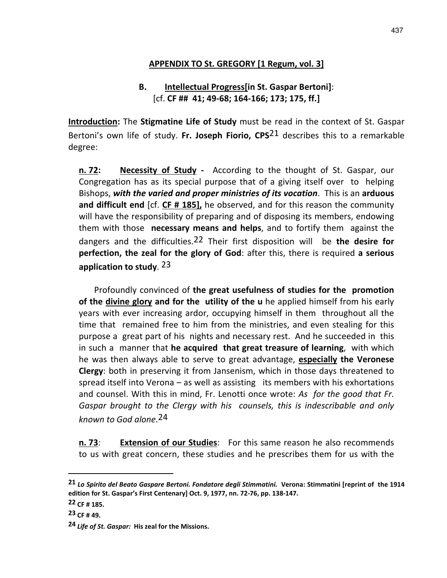### APPENDIX TO St. GREGORY [1 Regum, vol. 3]

### B. Intellectual Progress[in St. Gaspar Bertoni]: [cf. CF ## 41; 49-68; 164-166; 173; 175, ff.]

Introduction: The Stigmatine Life of Study must be read in the context of St. Gaspar Bertoni's own life of study. Fr. Joseph Fiorio,  $CPS<sup>21</sup>$  describes this to a remarkable degree:

n. 72: Necessity of Study - According to the thought of St. Gaspar, our Congregation has as its special purpose that of a giving itself over to helping Bishops, with the varied and proper ministries of its vocation. This is an arduous and difficult end [cf. CF # 185], he observed, and for this reason the community will have the responsibility of preparing and of disposing its members, endowing them with those necessary means and helps, and to fortify them against the dangers and the difficulties.<sup>22</sup> Their first disposition will be **the desire for** perfection, the zeal for the glory of God: after this, there is required a serious application to study.  $23$ 

 Profoundly convinced of the great usefulness of studies for the promotion of the divine glory and for the utility of the u he applied himself from his early years with ever increasing ardor, occupying himself in them throughout all the time that remained free to him from the ministries, and even stealing for this purpose a great part of his nights and necessary rest. And he succeeded in this in such a manner that he acquired that great treasure of learning, with which he was then always able to serve to great advantage, especially the Veronese Clergy: both in preserving it from Jansenism, which in those days threatened to spread itself into Verona – as well as assisting its members with his exhortations and counsel. With this in mind, Fr. Lenotti once wrote: As for the good that Fr. Gaspar brought to the Clergy with his counsels, this is indescribable and only known to God alone.24

n. 73: Extension of our Studies: For this same reason he also recommends to us with great concern, these studies and he prescribes them for us with the

<sup>21</sup> Lo Spirito del Beato Gaspare Bertoni. Fondatore degli Stimmatini. Verona: Stimmatini [reprint of the 1914 edition for St. Gaspar's First Centenary] Oct. 9, 1977, nn. 72-76, pp. 138-147.

<sup>22</sup> CF # 185.

<sup>23</sup> CF # 49.

<sup>24</sup> Life of St. Gaspar: His zeal for the Missions.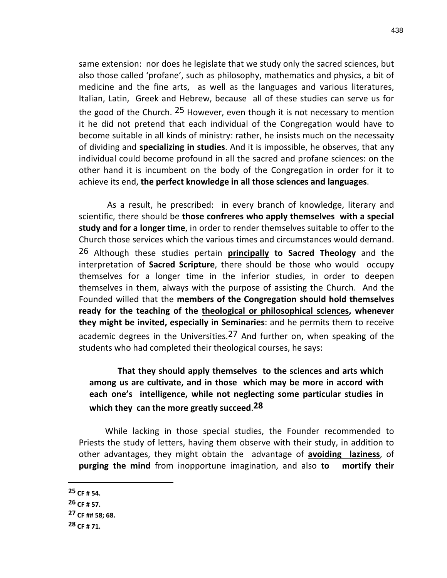same extension: nor does he legislate that we study only the sacred sciences, but also those called 'profane', such as philosophy, mathematics and physics, a bit of medicine and the fine arts, as well as the languages and various literatures, Italian, Latin, Greek and Hebrew, because all of these studies can serve us for the good of the Church. <sup>25</sup> However, even though it is not necessary to mention it he did not pretend that each individual of the Congregation would have to become suitable in all kinds of ministry: rather, he insists much on the necessaity of dividing and specializing in studies. And it is impossible, he observes, that any individual could become profound in all the sacred and profane sciences: on the other hand it is incumbent on the body of the Congregation in order for it to achieve its end, the perfect knowledge in all those sciences and languages.

 As a result, he prescribed: in every branch of knowledge, literary and scientific, there should be those confreres who apply themselves with a special study and for a longer time, in order to render themselves suitable to offer to the Church those services which the various times and circumstances would demand.  $26$  Although these studies pertain **principally to Sacred Theology** and the interpretation of Sacred Scripture, there should be those who would occupy themselves for a longer time in the inferior studies, in order to deepen themselves in them, always with the purpose of assisting the Church. And the Founded willed that the members of the Congregation should hold themselves ready for the teaching of the theological or philosophical sciences, whenever they might be invited, especially in Seminaries: and he permits them to receive academic degrees in the Universities.<sup>27</sup> And further on, when speaking of the students who had completed their theological courses, he says:

### That they should apply themselves to the sciences and arts which among us are cultivate, and in those which may be more in accord with each one's intelligence, while not neglecting some particular studies in which they can the more greatly succeed.<sup>28</sup>

While lacking in those special studies, the Founder recommended to Priests the study of letters, having them observe with their study, in addition to other advantages, they might obtain the advantage of **avoiding laziness**, of purging the mind from inopportune imagination, and also to mortify their

<sup>25</sup> CF # 54.

<sup>26</sup> CF # 57.

<sup>27</sup> CF ## 58; 68.

<sup>28</sup> CF # 71.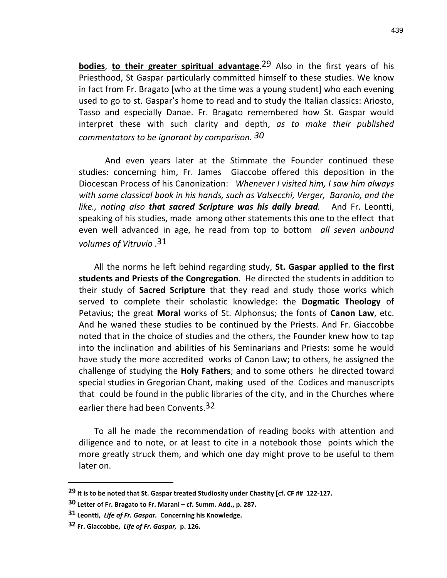**bodies, to their greater spiritual advantage.**<sup>29</sup> Also in the first years of his Priesthood, St Gaspar particularly committed himself to these studies. We know in fact from Fr. Bragato [who at the time was a young student] who each evening used to go to st. Gaspar's home to read and to study the Italian classics: Ariosto, Tasso and especially Danae. Fr. Bragato remembered how St. Gaspar would interpret these with such clarity and depth, as to make their published commentators to be ignorant by comparison. 30

And even years later at the Stimmate the Founder continued these studies: concerning him, Fr. James Giaccobe offered this deposition in the Diocescan Process of his Canonization: Whenever I visited him, I saw him always with some classical book in his hands, such as Valsecchi, Verger, Baronio, and the like., noting also that sacred Scripture was his daily bread. And Fr. Leontti, speaking of his studies, made among other statements this one to the effect that even well advanced in age, he read from top to bottom all seven unbound volumes of Vitruvio .31

 All the norms he left behind regarding study, St. Gaspar applied to the first students and Priests of the Congregation. He directed the students in addition to their study of **Sacred Scripture** that they read and study those works which served to complete their scholastic knowledge: the **Dogmatic Theology** of Petavius; the great Moral works of St. Alphonsus; the fonts of Canon Law, etc. And he waned these studies to be continued by the Priests. And Fr. Giaccobbe noted that in the choice of studies and the others, the Founder knew how to tap into the inclination and abilities of his Seminarians and Priests: some he would have study the more accredited works of Canon Law; to others, he assigned the challenge of studying the **Holy Fathers**; and to some others he directed toward special studies in Gregorian Chant, making used of the Codices and manuscripts that could be found in the public libraries of the city, and in the Churches where earlier there had been Convents.<sup>32</sup>

 To all he made the recommendation of reading books with attention and diligence and to note, or at least to cite in a notebook those points which the more greatly struck them, and which one day might prove to be useful to them later on.

<sup>&</sup>lt;sup>29</sup> It is to be noted that St. Gaspar treated Studiosity under Chastity [cf. CF ## 122-127.

<sup>30</sup> Letter of Fr. Bragato to Fr. Marani – cf. Summ. Add., p. 287.

<sup>31</sup> Leontti, Life of Fr. Gaspar. Concerning his Knowledge.

<sup>32</sup> Fr. Giaccobbe, Life of Fr. Gaspar, p. 126.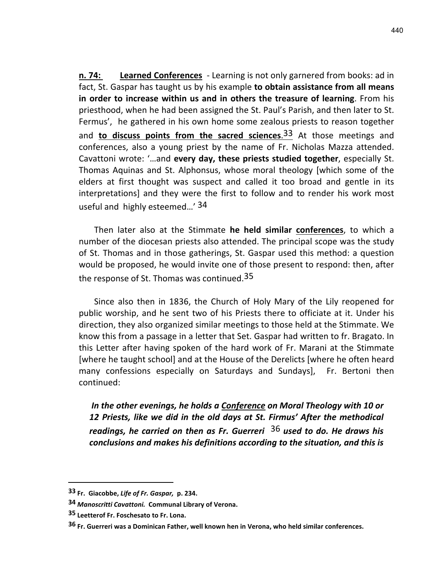n. 74: Learned Conferences - Learning is not only garnered from books: ad in fact, St. Gaspar has taught us by his example to obtain assistance from all means in order to increase within us and in others the treasure of learning. From his priesthood, when he had been assigned the St. Paul's Parish, and then later to St. Fermus', he gathered in his own home some zealous priests to reason together and to discuss points from the sacred sciences.<sup>33</sup> At those meetings and conferences, also a young priest by the name of Fr. Nicholas Mazza attended. Cavattoni wrote: '...and every day, these priests studied together, especially St. Thomas Aquinas and St. Alphonsus, whose moral theology [which some of the elders at first thought was suspect and called it too broad and gentle in its interpretations] and they were the first to follow and to render his work most useful and highly esteemed...' 34

Then later also at the Stimmate he held similar conferences, to which a number of the diocesan priests also attended. The principal scope was the study of St. Thomas and in those gatherings, St. Gaspar used this method: a question would be proposed, he would invite one of those present to respond: then, after the response of St. Thomas was continued.<sup>35</sup>

 Since also then in 1836, the Church of Holy Mary of the Lily reopened for public worship, and he sent two of his Priests there to officiate at it. Under his direction, they also organized similar meetings to those held at the Stimmate. We know this from a passage in a letter that Set. Gaspar had written to fr. Bragato. In this Letter after having spoken of the hard work of Fr. Marani at the Stimmate [where he taught school] and at the House of the Derelicts [where he often heard many confessions especially on Saturdays and Sundays], Fr. Bertoni then continued:

 In the other evenings, he holds a Conference on Moral Theology with 10 or 12 Priests, like we did in the old days at St. Firmus' After the methodical readings, he carried on then as Fr. Guerreri  $36$  used to do. He draws his conclusions and makes his definitions according to the situation, and this is

<sup>33</sup> Fr. Giacobbe, Life of Fr. Gaspar, p. 234.

<sup>34</sup> Manoscritti Cavattoni. Communal Library of Verona.

<sup>35</sup> Leetterof Fr. Foschesato to Fr. Lona.

<sup>36</sup> Fr. Guerreri was a Dominican Father, well known hen in Verona, who held similar conferences.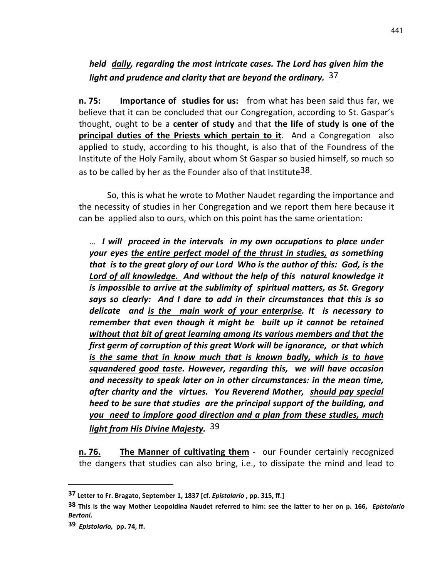## held daily, regarding the most intricate cases. The Lord has given him the light and prudence and clarity that are beyond the ordinary.  $37$

n. 75: Importance of studies for us: from what has been said thus far, we believe that it can be concluded that our Congregation, according to St. Gaspar's thought, ought to be a center of study and that the life of study is one of the principal duties of the Priests which pertain to it. And a Congregation also applied to study, according to his thought, is also that of the Foundress of the Institute of the Holy Family, about whom St Gaspar so busied himself, so much so as to be called by her as the Founder also of that Institute<sup>38</sup>.

 So, this is what he wrote to Mother Naudet regarding the importance and the necessity of studies in her Congregation and we report them here because it can be applied also to ours, which on this point has the same orientation:

… I will proceed in the intervals in my own occupations to place under your eyes the entire perfect model of the thrust in studies, as something that is to the great glory of our Lord Who is the author of this: God, is the Lord of all knowledge. And without the help of this natural knowledge it is impossible to arrive at the sublimity of spiritual matters, as St. Gregory says so clearly: And I dare to add in their circumstances that this is so delicate and is the main work of your enterprise. It is necessary to remember that even though it might be built up it cannot be retained without that bit of great learning among its various members and that the first germ of corruption of this great Work will be ignorance, or that which is the same that in know much that is known badly, which is to have squandered good taste. However, regarding this, we will have occasion and necessity to speak later on in other circumstances: in the mean time, after charity and the virtues. You Reverend Mother, should pay special heed to be sure that studies are the principal support of the building, and you need to implore good direction and a plan from these studies, much light from His Divine Majesty. 39

n. 76. The Manner of cultivating them - our Founder certainly recognized the dangers that studies can also bring, i.e., to dissipate the mind and lead to

<sup>37</sup> Letter to Fr. Bragato, September 1, 1837 [cf. Epistolario , pp. 315, ff.]

<sup>38</sup> This is the way Mother Leopoldina Naudet referred to him: see the latter to her on p. 166, Epistolario Bertoni.

<sup>39</sup> Epistolario, pp. 74, ff.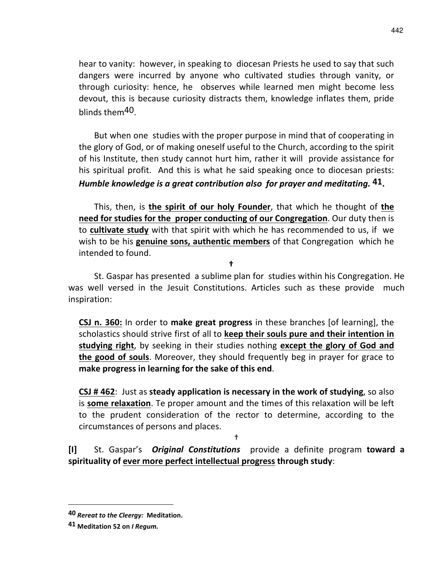hear to vanity: however, in speaking to diocesan Priests he used to say that such dangers were incurred by anyone who cultivated studies through vanity, or through curiosity: hence, he observes while learned men might become less devout, this is because curiosity distracts them, knowledge inflates them, pride blinds them<sup>40</sup>.

 But when one studies with the proper purpose in mind that of cooperating in the glory of God, or of making oneself useful to the Church, according to the spirit of his Institute, then study cannot hurt him, rather it will provide assistance for his spiritual profit. And this is what he said speaking once to diocesan priests: Humble knowledge is a great contribution also for prayer and meditating.  $41$ .

This, then, is the spirit of our holy Founder, that which he thought of the need for studies for the proper conducting of our Congregation. Our duty then is to cultivate study with that spirit with which he has recommended to us, if we wish to be his **genuine sons, authentic members** of that Congregation which he intended to found.

†

St. Gaspar has presented a sublime plan for studies within his Congregation. He was well versed in the Jesuit Constitutions. Articles such as these provide much inspiration:

**CSJ n. 360:** In order to **make great progress** in these branches [of learning], the scholastics should strive first of all to keep their souls pure and their intention in studying right, by seeking in their studies nothing except the glory of God and the good of souls. Moreover, they should frequently beg in prayer for grace to make progress in learning for the sake of this end.

CSJ # 462: Just as steady application is necessary in the work of studying, so also is some relaxation. Te proper amount and the times of this relaxation will be left to the prudent consideration of the rector to determine, according to the circumstances of persons and places.

†

[I] St. Gaspar's *Original Constitutions* provide a definite program toward a spirituality of ever more perfect intellectual progress through study:

<sup>40</sup> Rereat to the Cleergy: Meditation.

<sup>41</sup> Meditation 52 on *I Regum*.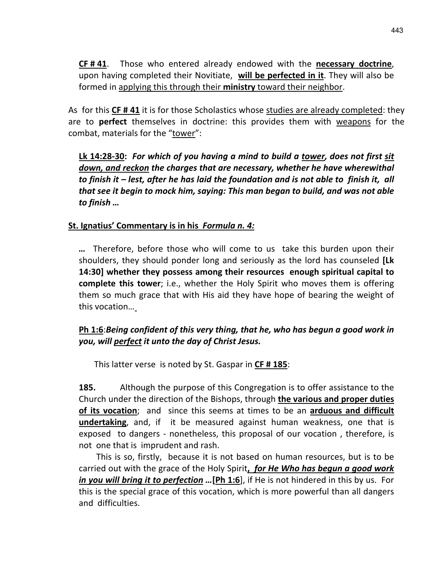CF # 41. Those who entered already endowed with the necessary doctrine, upon having completed their Novitiate, will be perfected in it. They will also be formed in applying this through their ministry toward their neighbor.

As for this CF #41 it is for those Scholastics whose studies are already completed: they are to perfect themselves in doctrine: this provides them with weapons for the combat, materials for the "tower":

Lk 14:28-30: For which of you having a mind to build a tower, does not first sit down, and reckon the charges that are necessary, whether he have wherewithal to finish it – lest, after he has laid the foundation and is not able to finish it, all that see it begin to mock him, saying: This man began to build, and was not able to finish …

### St. Ignatius' Commentary is in his Formula n. 4:

… Therefore, before those who will come to us take this burden upon their shoulders, they should ponder long and seriously as the lord has counseled [Lk 14:30] whether they possess among their resources enough spiritual capital to complete this tower; i.e., whether the Holy Spirit who moves them is offering them so much grace that with His aid they have hope of bearing the weight of this vocation…

### Ph 1:6:Being confident of this very thing, that he, who has begun a good work in you, will perfect it unto the day of Christ Jesus.

This latter verse is noted by St. Gaspar in CF #185:

**185.** Although the purpose of this Congregation is to offer assistance to the Church under the direction of the Bishops, through the various and proper duties of its vocation; and since this seems at times to be an arduous and difficult undertaking, and, if it be measured against human weakness, one that is exposed to dangers - nonetheless, this proposal of our vocation , therefore, is not one that is imprudent and rash.

 This is so, firstly, because it is not based on human resources, but is to be carried out with the grace of the Holy Spirit, for He Who has begun a good work in you will bring it to perfection ... [Ph 1:6], if He is not hindered in this by us. For this is the special grace of this vocation, which is more powerful than all dangers and difficulties.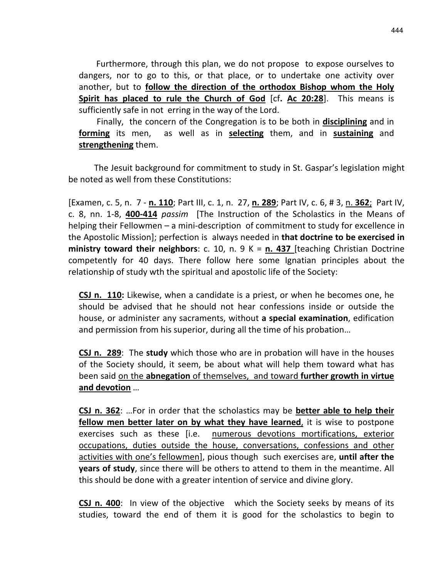Furthermore, through this plan, we do not propose to expose ourselves to dangers, nor to go to this, or that place, or to undertake one activity over another, but to follow the direction of the orthodox Bishop whom the Holy Spirit has placed to rule the Church of God  $[cf.$  Ac 20:28]. This means is sufficiently safe in not erring in the way of the Lord.

Finally, the concern of the Congregation is to be both in **disciplining** and in forming its men, as well as in selecting them, and in sustaining and strengthening them.

 The Jesuit background for commitment to study in St. Gaspar's legislation might be noted as well from these Constitutions:

[Examen, c. 5, n. 7 - n. 110; Part III, c. 1, n. 27, n. 289; Part IV, c. 6, # 3, n. 362; Part IV, c. 8, nn. 1-8, 400-414 passim [The Instruction of the Scholastics in the Means of helping their Fellowmen – a mini-description of commitment to study for excellence in the Apostolic Mission]; perfection is always needed in that doctrine to be exercised in ministry toward their neighbors: c. 10, n. 9 K =  $n. 437$  [teaching Christian Doctrine competently for 40 days. There follow here some Ignatian principles about the relationship of study wth the spiritual and apostolic life of the Society:

CSJ n. 110: Likewise, when a candidate is a priest, or when he becomes one, he should be advised that he should not hear confessions inside or outside the house, or administer any sacraments, without a special examination, edification and permission from his superior, during all the time of his probation…

CSJ n. 289: The study which those who are in probation will have in the houses of the Society should, it seem, be about what will help them toward what has been said on the **abnegation** of themselves, and toward **further growth in virtue** and devotion …

CSJ n. 362: ... For in order that the scholastics may be better able to help their fellow men better later on by what they have learned, it is wise to postpone exercises such as these [i.e. numerous devotions mortifications, exterior occupations, duties outside the house, conversations, confessions and other activities with one's fellowmen], pious though such exercises are, until after the years of study, since there will be others to attend to them in the meantime. All this should be done with a greater intention of service and divine glory.

CSJ n. 400: In view of the objective which the Society seeks by means of its studies, toward the end of them it is good for the scholastics to begin to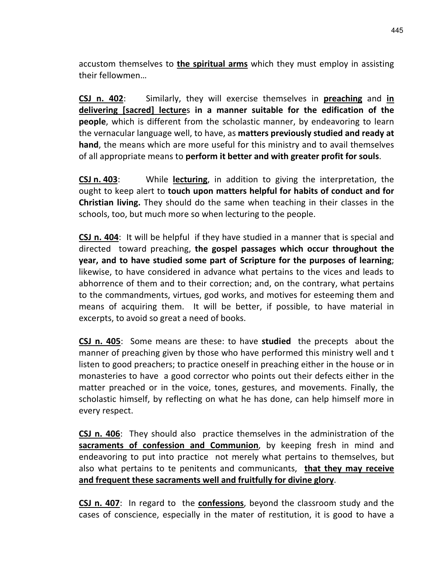accustom themselves to the spiritual arms which they must employ in assisting their fellowmen…

CSJ n. 402: Similarly, they will exercise themselves in preaching and in delivering [sacred] lectures in a manner suitable for the edification of the people, which is different from the scholastic manner, by endeavoring to learn the vernacular language well, to have, as matters previously studied and ready at hand, the means which are more useful for this ministry and to avail themselves of all appropriate means to perform it better and with greater profit for souls.

CSJ n. 403: While lecturing, in addition to giving the interpretation, the ought to keep alert to touch upon matters helpful for habits of conduct and for Christian living. They should do the same when teaching in their classes in the schools, too, but much more so when lecturing to the people.

CSJ n. 404: It will be helpful if they have studied in a manner that is special and directed toward preaching, the gospel passages which occur throughout the year, and to have studied some part of Scripture for the purposes of learning; likewise, to have considered in advance what pertains to the vices and leads to abhorrence of them and to their correction; and, on the contrary, what pertains to the commandments, virtues, god works, and motives for esteeming them and means of acquiring them. It will be better, if possible, to have material in excerpts, to avoid so great a need of books.

CSJ n. 405: Some means are these: to have studied the precepts about the manner of preaching given by those who have performed this ministry well and t listen to good preachers; to practice oneself in preaching either in the house or in monasteries to have a good corrector who points out their defects either in the matter preached or in the voice, tones, gestures, and movements. Finally, the scholastic himself, by reflecting on what he has done, can help himself more in every respect.

CSJ n. 406: They should also practice themselves in the administration of the sacraments of confession and Communion, by keeping fresh in mind and endeavoring to put into practice not merely what pertains to themselves, but also what pertains to te penitents and communicants, that they may receive and frequent these sacraments well and fruitfully for divine glory.

CSJ n. 407: In regard to the confessions, beyond the classroom study and the cases of conscience, especially in the mater of restitution, it is good to have a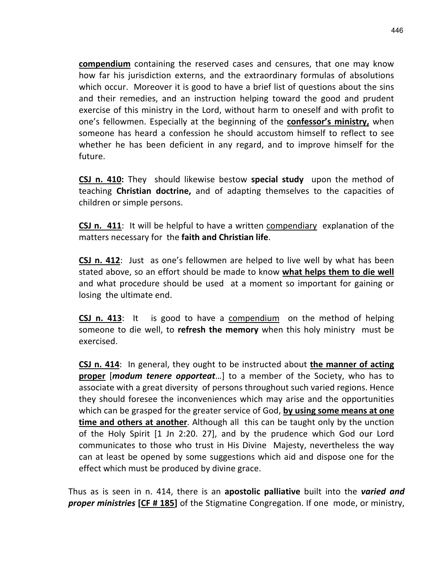compendium containing the reserved cases and censures, that one may know how far his jurisdiction externs, and the extraordinary formulas of absolutions which occur. Moreover it is good to have a brief list of questions about the sins and their remedies, and an instruction helping toward the good and prudent exercise of this ministry in the Lord, without harm to oneself and with profit to one's fellowmen. Especially at the beginning of the confessor's ministry, when someone has heard a confession he should accustom himself to reflect to see whether he has been deficient in any regard, and to improve himself for the future.

CSJ n. 410: They should likewise bestow special study upon the method of teaching Christian doctrine, and of adapting themselves to the capacities of children or simple persons.

CSJ n. 411: It will be helpful to have a written compendiary explanation of the matters necessary for the faith and Christian life.

CSJ n. 412: Just as one's fellowmen are helped to live well by what has been stated above, so an effort should be made to know what helps them to die well and what procedure should be used at a moment so important for gaining or losing the ultimate end.

CSJ n. 413: It is good to have a compendium on the method of helping someone to die well, to refresh the memory when this holy ministry must be exercised.

CSJ n. 414: In general, they ought to be instructed about the manner of acting **proper [modum tenere opporteat...]** to a member of the Society, who has to associate with a great diversity of persons throughout such varied regions. Hence they should foresee the inconveniences which may arise and the opportunities which can be grasped for the greater service of God, by using some means at one time and others at another. Although all this can be taught only by the unction of the Holy Spirit [1 Jn 2:20. 27], and by the prudence which God our Lord communicates to those who trust in His Divine Majesty, nevertheless the way can at least be opened by some suggestions which aid and dispose one for the effect which must be produced by divine grace.

Thus as is seen in n. 414, there is an apostolic palliative built into the varied and **proper ministries [CF # 185]** of the Stigmatine Congregation. If one mode, or ministry,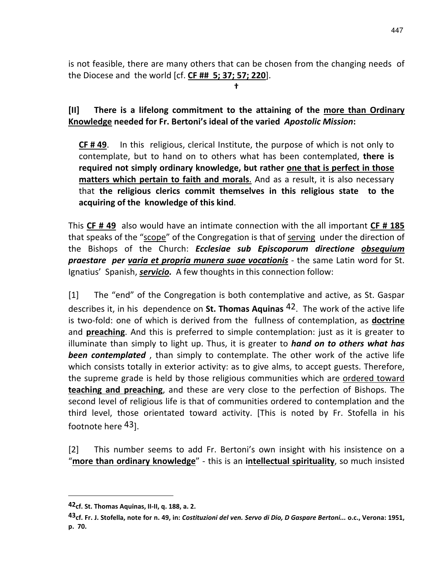is not feasible, there are many others that can be chosen from the changing needs of the Diocese and the world [cf. CF ## 5; 37; 57; 220].

†

### [II] There is a lifelong commitment to the attaining of the more than Ordinary Knowledge needed for Fr. Bertoni's ideal of the varied Apostolic Mission:

CF # 49. In this religious, clerical Institute, the purpose of which is not only to contemplate, but to hand on to others what has been contemplated, there is required not simply ordinary knowledge, but rather one that is perfect in those matters which pertain to faith and morals. And as a result, it is also necessary that the religious clerics commit themselves in this religious state to the acquiring of the knowledge of this kind.

This CF # 49 also would have an intimate connection with the all important CF # 185 that speaks of the "scope" of the Congregation is that of serving under the direction of the Bishops of the Church: Ecclesiae sub Episcoporum directione obsequium praestare per varia et propria munera suae vocationis - the same Latin word for St. Ignatius' Spanish, **servicio.** A few thoughts in this connection follow:

[1] The "end" of the Congregation is both contemplative and active, as St. Gaspar describes it, in his dependence on **St. Thomas Aquinas**  $42$ . The work of the active life is two-fold: one of which is derived from the fullness of contemplation, as **doctrine** and **preaching**. And this is preferred to simple contemplation: just as it is greater to illuminate than simply to light up. Thus, it is greater to *hand on to others what has* **been contemplated**, than simply to contemplate. The other work of the active life which consists totally in exterior activity: as to give alms, to accept guests. Therefore, the supreme grade is held by those religious communities which are ordered toward teaching and preaching, and these are very close to the perfection of Bishops. The second level of religious life is that of communities ordered to contemplation and the third level, those orientated toward activity. [This is noted by Fr. Stofella in his footnote here <sup>43</sup>].

[2] This number seems to add Fr. Bertoni's own insight with his insistence on a "more than ordinary knowledge" - this is an intellectual spirituality, so much insisted

<sup>42</sup>cf. St. Thomas Aquinas, II-II, q. 188, a. 2.

<sup>43</sup>cf. Fr. J. Stofella, note for n. 49, in: Costituzioni del ven. Servo di Dio, D Gaspare Bertoni... o.c., Verona: 1951, p. 70.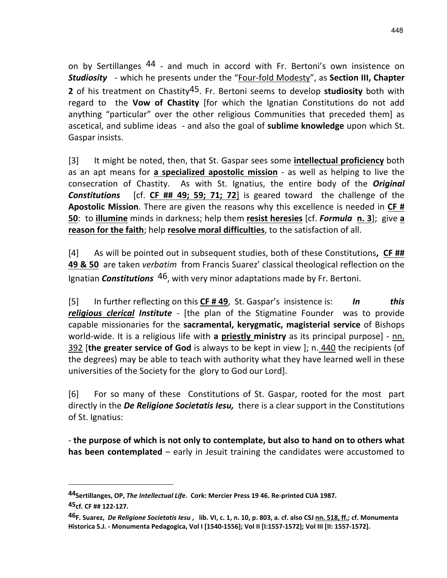on by Sertillanges 44 - and much in accord with Fr. Bertoni's own insistence on Studiosity - which he presents under the "Four-fold Modesty", as Section III, Chapter **2** of his treatment on Chastity<sup>45</sup>. Fr. Bertoni seems to develop **studiosity** both with regard to the Vow of Chastity [for which the Ignatian Constitutions do not add anything "particular" over the other religious Communities that preceded them] as ascetical, and sublime ideas - and also the goal of **sublime knowledge** upon which St. Gaspar insists.

[3] It might be noted, then, that St. Gaspar sees some **intellectual proficiency** both as an apt means for a specialized apostolic mission - as well as helping to live the consecration of Chastity. As with St. Ignatius, the entire body of the *Original* **Constitutions** [cf. CF ## 49; 59; 71; 72] is geared toward the challenge of the Apostolic Mission. There are given the reasons why this excellence is needed in CF # **50:** to illumine minds in darkness; help them resist heresies [cf. Formula n. 3]; give a reason for the faith; help resolve moral difficulties, to the satisfaction of all.

 $[4]$  As will be pointed out in subsequent studies, both of these Constitutions, CF ## 49 & 50 are taken verbatim from Francis Suarez' classical theological reflection on the Ignatian *Constitutions* 46, with very minor adaptations made by Fr. Bertoni.

[5] In further reflecting on this  $CF \# 49$ , St. Gaspar's insistence is: **In** this religious clerical Institute - [the plan of the Stigmatine Founder was to provide capable missionaries for the sacramental, kerygmatic, magisterial service of Bishops world-wide. It is a religious life with a **priestly ministry** as its principal purpose] -  $n$ . 392 [the greater service of God is always to be kept in view ]; n. 440 the recipients (of the degrees) may be able to teach with authority what they have learned well in these universities of the Society for the glory to God our Lord].

[6] For so many of these Constitutions of St. Gaspar, rooted for the most part directly in the De Religione Societatis lesu, there is a clear support in the Constitutions of St. Ignatius:

- the purpose of which is not only to contemplate, but also to hand on to others what has been contemplated – early in Jesuit training the candidates were accustomed to

<sup>44</sup>Sertillanges, OP, The Intellectual Life. Cork: Mercier Press 19 46. Re-printed CUA 1987. 45cf. CF ## 122-127.

<sup>46</sup>F. Suarez, De Religione Societatis Iesu, lib. VI, c. 1, n. 10, p. 803, a. cf. also CSJ nn. 518, ff.; cf. Monumenta Historica S.J. - Monumenta Pedagogica, Vol I [1540-1556]; Vol II [I:1557-1572]; Vol III [II: 1557-1572].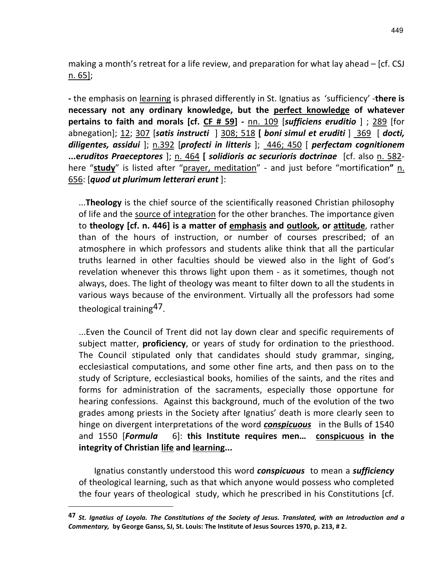making a month's retreat for a life review, and preparation for what lay ahead – [cf. CSJ n. 65];

- the emphasis on learning is phrased differently in St. Ignatius as 'sufficiency' -there is necessary not any ordinary knowledge, but the perfect knowledge of whatever pertains to faith and morals [cf.  $CF \# 59$ ] - nn. 109 [sufficiens eruditio ]; 289 [for abnegation];  $12$ ;  $307$  [satis instructi ]  $308$ ;  $518$  [ boni simul et eruditi ]  $369$  [ docti, diligentes, assidui  $\vert$ ; n.392 [profecti in litteris  $\vert$ ; 446; 450 [ perfectam cognitionem ...eruditos Praeceptores ]; n. 464 [ solidioris ac securioris doctrinae [cf. also n. 582here "study" is listed after "prayer, meditation" - and just before "mortification" n. 656: [quod ut plurimum letterari erunt ]:

...Theology is the chief source of the scientifically reasoned Christian philosophy of life and the source of integration for the other branches. The importance given to theology [cf. n. 446] is a matter of emphasis and outlook, or attitude, rather than of the hours of instruction, or number of courses prescribed; of an atmosphere in which professors and students alike think that all the particular truths learned in other faculties should be viewed also in the light of God's revelation whenever this throws light upon them - as it sometimes, though not always, does. The light of theology was meant to filter down to all the students in various ways because of the environment. Virtually all the professors had some theological training47.

...Even the Council of Trent did not lay down clear and specific requirements of subject matter, **proficiency**, or years of study for ordination to the priesthood. The Council stipulated only that candidates should study grammar, singing, ecclesiastical computations, and some other fine arts, and then pass on to the study of Scripture, ecclesiastical books, homilies of the saints, and the rites and forms for administration of the sacraments, especially those opportune for hearing confessions. Against this background, much of the evolution of the two grades among priests in the Society after Ignatius' death is more clearly seen to hinge on divergent interpretations of the word **conspicuous** in the Bulls of 1540 and 1550 [*Formula* 6]: this Institute requires men... conspicuous in the integrity of Christian life and learning...

Ignatius constantly understood this word *conspicuous* to mean a *sufficiency* of theological learning, such as that which anyone would possess who completed the four years of theological study, which he prescribed in his Constitutions [cf.

<sup>47</sup> St. Ignatius of Loyola. The Constitutions of the Society of Jesus. Translated, with an Introduction and a Commentary, by George Ganss, SJ, St. Louis: The Institute of Jesus Sources 1970, p. 213, # 2.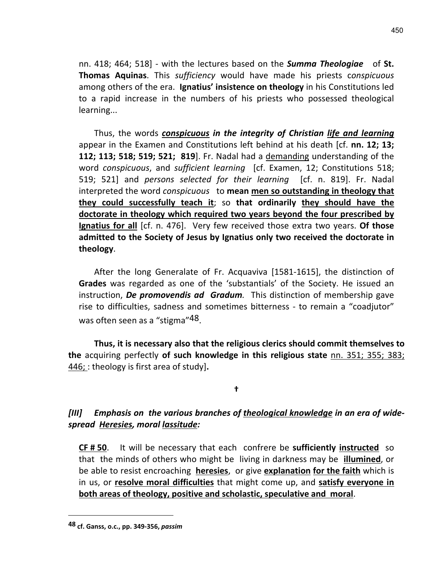nn. 418; 464; 518] - with the lectures based on the **Summa Theologiae** of St. Thomas Aquinas. This sufficiency would have made his priests conspicuous among others of the era. Ignatius' insistence on theology in his Constitutions led to a rapid increase in the numbers of his priests who possessed theological learning...

Thus, the words conspicuous in the integrity of Christian life and learning appear in the Examen and Constitutions left behind at his death [cf. nn. 12; 13; 112; 113; 518; 519; 521; 819]. Fr. Nadal had a demanding understanding of the word conspicuous, and sufficient learning [cf. Examen, 12; Constitutions 518; 519; 521] and persons selected for their learning [cf. n. 819]. Fr. Nadal interpreted the word *conspicuous* to mean men so outstanding in theology that they could successfully teach it; so that ordinarily they should have the doctorate in theology which required two years beyond the four prescribed by Ignatius for all [cf. n. 476]. Very few received those extra two years. Of those admitted to the Society of Jesus by Ignatius only two received the doctorate in theology.

 After the long Generalate of Fr. Acquaviva [1581-1615], the distinction of Grades was regarded as one of the 'substantials' of the Society. He issued an instruction, **De promovendis ad Gradum**. This distinction of membership gave rise to difficulties, sadness and sometimes bitterness - to remain a "coadjutor" was often seen as a "stigma"48.

 Thus, it is necessary also that the religious clerics should commit themselves to the acquiring perfectly of such knowledge in this religious state nn. 351; 355; 383; 446; : theology is first area of study].

#### †

### [III] Emphasis on the various branches of theological knowledge in an era of widespread Heresies, moral lassitude:

CF # 50. It will be necessary that each confrere be sufficiently instructed so that the minds of others who might be living in darkness may be **illumined**, or be able to resist encroaching heresies, or give explanation for the faith which is in us, or resolve moral difficulties that might come up, and satisfy everyone in both areas of theology, positive and scholastic, speculative and moral.

<sup>48</sup> cf. Ganss, o.c., pp. 349-356, passim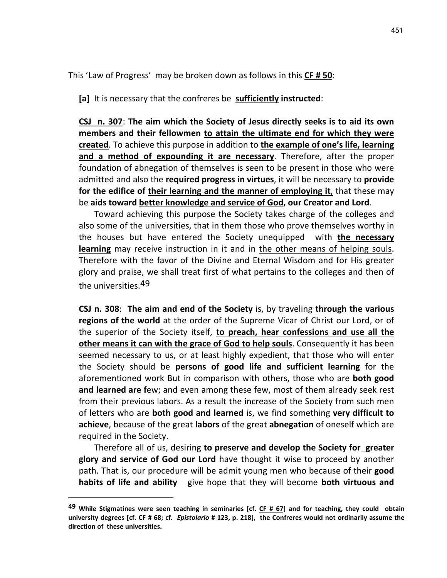This 'Law of Progress' may be broken down as follows in this CF # 50:

[a] It is necessary that the confreres be sufficiently instructed:

CSJ n. 307: The aim which the Society of Jesus directly seeks is to aid its own members and their fellowmen to attain the ultimate end for which they were created. To achieve this purpose in addition to the example of one's life, learning and a method of expounding it are necessary. Therefore, after the proper foundation of abnegation of themselves is seen to be present in those who were admitted and also the required progress in virtues, it will be necessary to provide for the edifice of their learning and the manner of employing it, that these may be aids toward better knowledge and service of God, our Creator and Lord.

 Toward achieving this purpose the Society takes charge of the colleges and also some of the universities, that in them those who prove themselves worthy in the houses but have entered the Society unequipped with **the necessary** learning may receive instruction in it and in the other means of helping souls. Therefore with the favor of the Divine and Eternal Wisdom and for His greater glory and praise, we shall treat first of what pertains to the colleges and then of the universities.<sup>49</sup>

CSJ n. 308: The aim and end of the Society is, by traveling through the various regions of the world at the order of the Supreme Vicar of Christ our Lord, or of the superior of the Society itself, to preach, hear confessions and use all the other means it can with the grace of God to help souls. Consequently it has been seemed necessary to us, or at least highly expedient, that those who will enter the Society should be persons of good life and sufficient learning for the aforementioned work But in comparison with others, those who are **both good** and learned are few; and even among these few, most of them already seek rest from their previous labors. As a result the increase of the Society from such men of letters who are **both good and learned** is, we find something very difficult to achieve, because of the great labors of the great abnegation of oneself which are required in the Society.

 Therefore all of us, desiring to preserve and develop the Society for greater glory and service of God our Lord have thought it wise to proceed by another path. That is, our procedure will be admit young men who because of their good habits of life and ability give hope that they will become both virtuous and

<sup>&</sup>lt;sup>49</sup> While Stigmatines were seen teaching in seminaries [cf. CF # 67] and for teaching, they could obtain university degrees [cf. CF # 68; cf. Epistolario # 123, p. 218], the Confreres would not ordinarily assume the direction of these universities.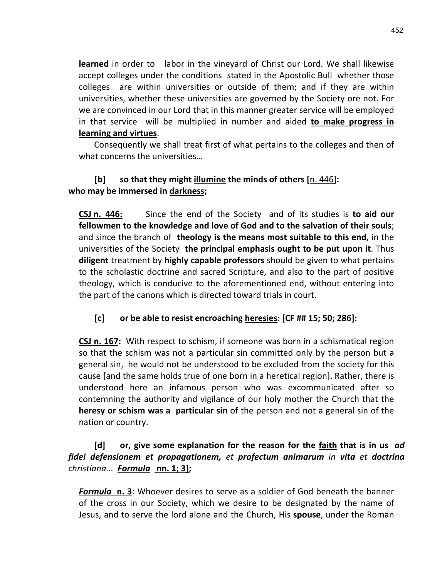learned in order to labor in the vineyard of Christ our Lord. We shall likewise accept colleges under the conditions stated in the Apostolic Bull whether those colleges are within universities or outside of them; and if they are within universities, whether these universities are governed by the Society ore not. For we are convinced in our Lord that in this manner greater service will be employed in that service will be multiplied in number and aided to make progress in learning and virtues.

 Consequently we shall treat first of what pertains to the colleges and then of what concerns the universities…

# $[b]$  so that they might illumine the minds of others  $[n. 446]$ : who may be immersed in darkness;

CSJ n. 446: Since the end of the Society and of its studies is to aid our fellowmen to the knowledge and love of God and to the salvation of their souls; and since the branch of **theology is the means most suitable to this end**, in the universities of the Society the principal emphasis ought to be put upon it. Thus diligent treatment by highly capable professors should be given to what pertains to the scholastic doctrine and sacred Scripture, and also to the part of positive theology, which is conducive to the aforementioned end, without entering into the part of the canons which is directed toward trials in court.

# [c] or be able to resist encroaching heresies: [CF ## 15; 50; 286]:

CSJ n. 167: With respect to schism, if someone was born in a schismatical region so that the schism was not a particular sin committed only by the person but a general sin, he would not be understood to be excluded from the society for this cause [and the same holds true of one born in a heretical region]. Rather, there is understood here an infamous person who was excommunicated after so contemning the authority and vigilance of our holy mother the Church that the heresy or schism was a particular sin of the person and not a general sin of the nation or country.

# [d] or, give some explanation for the reason for the faith that is in us  $ad$ fidei defensionem et propagationem, et profectum animarum in vita et doctrina christiana... **Formula** nn. 1; 3];

**Formula n. 3**: Whoever desires to serve as a soldier of God beneath the banner of the cross in our Society, which we desire to be designated by the name of Jesus, and to serve the lord alone and the Church, His spouse, under the Roman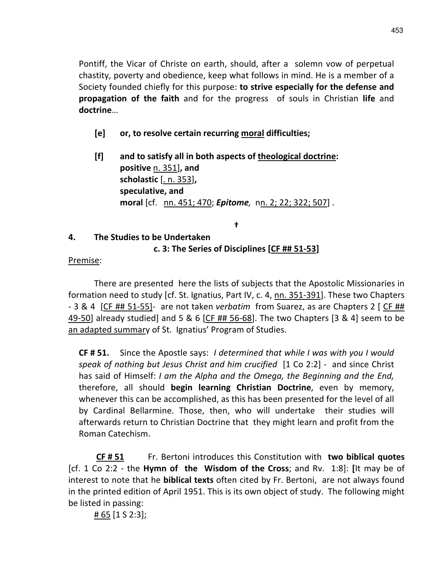Pontiff, the Vicar of Christe on earth, should, after a solemn vow of perpetual chastity, poverty and obedience, keep what follows in mind. He is a member of a Society founded chiefly for this purpose: to strive especially for the defense and propagation of the faith and for the progress of souls in Christian life and doctrine…

- [e] or, to resolve certain recurring moral difficulties;
- [f] and to satisfy all in both aspects of theological doctrine: positive n. 351], and scholastic [. n. 353], speculative, and moral [cf. nn. 451; 470; Epitome, nn. 2; 22; 322; 507].

†

4. The Studies to be Undertaken c. 3: The Series of Disciplines [CF ## 51-53]

Premise:

 There are presented here the lists of subjects that the Apostolic Missionaries in formation need to study [cf. St. Ignatius, Part IV, c. 4, nn. 351-391]. These two Chapters - 3 & 4 [CF ## 51-55]- are not taken verbatim from Suarez, as are Chapters 2 [CF ## 49-50] already studied] and 5 & 6 [CF ## 56-68]. The two Chapters [3 & 4] seem to be an adapted summary of St. Ignatius' Program of Studies.

CF # 51. Since the Apostle says: I determined that while I was with you I would speak of nothing but Jesus Christ and him crucified [1 Co 2:2] - and since Christ has said of Himself: I am the Alpha and the Omega, the Beginning and the End, therefore, all should begin learning Christian Doctrine, even by memory, whenever this can be accomplished, as this has been presented for the level of all by Cardinal Bellarmine. Those, then, who will undertake their studies will afterwards return to Christian Doctrine that they might learn and profit from the Roman Catechism.

 CF # 51 Fr. Bertoni introduces this Constitution with two biblical quotes [cf. 1 Co 2:2 - the **Hymn of the Wisdom of the Cross**; and Rv. 1:8]: [It may be of interest to note that he **biblical texts** often cited by Fr. Bertoni, are not always found in the printed edition of April 1951. This is its own object of study. The following might be listed in passing:

 $\# 65$  [1 S 2:3];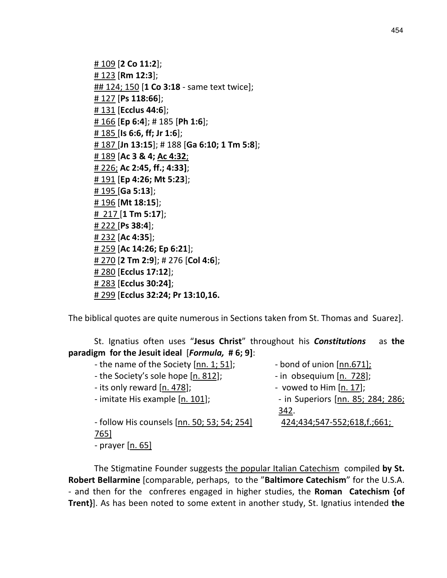# 109 [2 Co 11:2]; # 123 [Rm 12:3]; ## 124; 150 [1 Co 3:18 - same text twice]; # 127 [Ps 118:66]; # 131 [Ecclus 44:6];  $\# 166$  [Ep 6:4]; # 185 [Ph 1:6];  $\frac{\# 185}{\# 165}$  [Is 6:6, ff; Jr 1:6]; # 187 [Jn 13:15]; # 188 [Ga 6:10; 1 Tm 5:8]; # 189 [Ac 3 & 4; Ac 4:32; # 226; Ac 2:45, ff.; 4:33]; # 191 [Ep 4:26; Mt 5:23]; # 195 [Ga 5:13]; # 196 [Mt 18:15];  $\#$  217 [1 Tm 5:17]; # 222 [Ps 38:4]; # 232 [Ac 4:35]; # 259 [Ac 14:26; Ep 6:21]; # 270 [2 Tm 2:9]; # 276 [Col 4:6]; # 280 [Ecclus 17:12]; # 283 [Ecclus 30:24]; # 299 [Ecclus 32:24; Pr 13:10,16.

The biblical quotes are quite numerous in Sections taken from St. Thomas and Suarez].

St. Ignatius often uses "Jesus Christ" throughout his Constitutions as the paradigm for the Jesuit ideal [Formula, #6; 9]:

| - the name of the Society [nn. 1; 51];      | - bond of union [nn.671];         |
|---------------------------------------------|-----------------------------------|
| - the Society's sole hope [n. 812];         | - in obsequium [n. 728];          |
| - its only reward [n. 478];                 | - vowed to Him $[n. 17]$ ;        |
| - imitate His example [n. 101];             | - in Superiors [nn. 85; 284; 286; |
|                                             | 342.                              |
| - follow His counsels [nn. 50; 53; 54; 254] | 424;434;547-552;618,f.;661;       |
| 765]                                        |                                   |
| - prayer $[n. 65]$                          |                                   |

The Stigmatine Founder suggests the popular Italian Catechism compiled by St. Robert Bellarmine [comparable, perhaps, to the "Baltimore Catechism" for the U.S.A. - and then for the confreres engaged in higher studies, the Roman Catechism {of Trent}]. As has been noted to some extent in another study, St. Ignatius intended the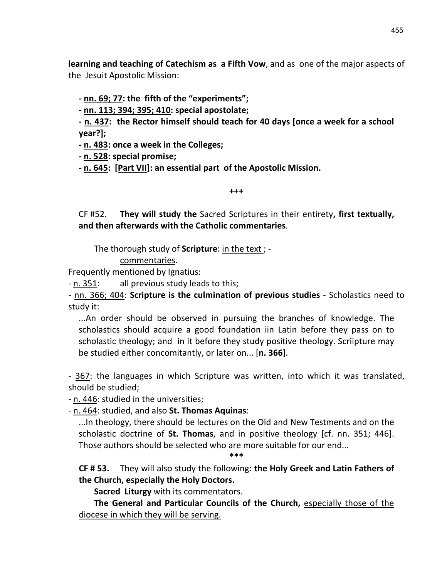learning and teaching of Catechism as a Fifth Vow, and as one of the major aspects of the Jesuit Apostolic Mission:

# - nn. 69; 77: the fifth of the "experiments";

- nn. 113; 394; 395; 410: special apostolate;

- n. 437: the Rector himself should teach for 40 days [once a week for a school year?];

- n. 483: once a week in the Colleges;

- n. 528: special promise;

- n. 645: [Part VII]: an essential part of the Apostolic Mission.

#### +++

CF #52. They will study the Sacred Scriptures in their entirety, first textually, and then afterwards with the Catholic commentaries.

The thorough study of **Scripture**: in the text ;  $-$ 

commentaries.

Frequently mentioned by Ignatius:

- n. 351: all previous study leads to this;

- nn. 366; 404: Scripture is the culmination of previous studies - Scholastics need to study it:

...An order should be observed in pursuing the branches of knowledge. The scholastics should acquire a good foundation iin Latin before they pass on to scholastic theology; and in it before they study positive theology. Scriipture may be studied either concomitantly, or later on... [n. 366].

- 367: the languages in which Scripture was written, into which it was translated, should be studied;

- n. 446: studied in the universities;

- n. 464: studied, and also St. Thomas Aquinas:

...In theology, there should be lectures on the Old and New Testments and on the scholastic doctrine of **St. Thomas**, and in positive theology  $[cf.$  nn. 351; 446]. Those authors should be selected who are more suitable for our end...

\*\*\*

CF # 53. They will also study the following: the Holy Greek and Latin Fathers of the Church, especially the Holy Doctors.

Sacred Liturgy with its commentators.

 The General and Particular Councils of the Church, especially those of the diocese in which they will be serving.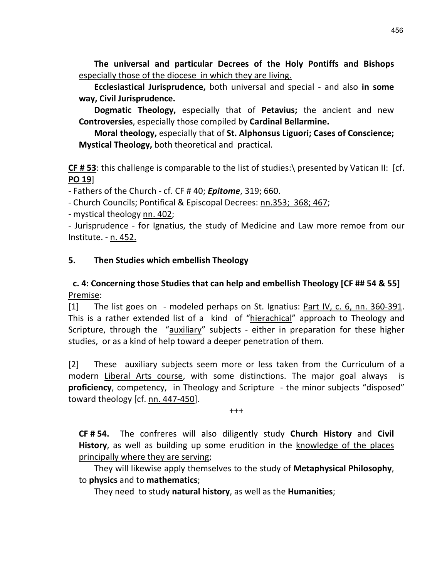The universal and particular Decrees of the Holy Pontiffs and Bishops especially those of the diocese in which they are living.

 Ecclesiastical Jurisprudence, both universal and special - and also in some way, Civil Jurisprudence.

 Dogmatic Theology, especially that of Petavius; the ancient and new Controversies, especially those compiled by Cardinal Bellarmine.

 Moral theology, especially that of St. Alphonsus Liguori; Cases of Conscience; Mystical Theology, both theoretical and practical.

CF # 53: this challenge is comparable to the list of studies:\ presented by Vatican II: [cf. PO 19]

- Fathers of the Church - cf. CF # 40; **Epitome**, 319; 660.

- Church Councils; Pontifical & Episcopal Decrees: nn.353; 368; 467;

- mystical theology nn. 402;

- Jurisprudence - for Ignatius, the study of Medicine and Law more remoe from our Institute. - n. 452.

# 5. Then Studies which embellish Theology

# c. 4: Concerning those Studies that can help and embellish Theology [CF ## 54 & 55] Premise:

[1] The list goes on - modeled perhaps on St. Ignatius: Part IV, c. 6, nn. 360-391. This is a rather extended list of a kind of "hierachical" approach to Theology and Scripture, through the "auxiliary" subjects - either in preparation for these higher studies, or as a kind of help toward a deeper penetration of them.

[2] These auxiliary subjects seem more or less taken from the Curriculum of a modern Liberal Arts course, with some distinctions. The major goal always proficiency, competency, in Theology and Scripture - the minor subjects "disposed" toward theology [cf. nn. 447-450].

+++

CF # 54. The confreres will also diligently study Church History and Civil History, as well as building up some erudition in the knowledge of the places principally where they are serving;

 They will likewise apply themselves to the study of Metaphysical Philosophy, to physics and to mathematics;

They need to study natural history, as well as the Humanities;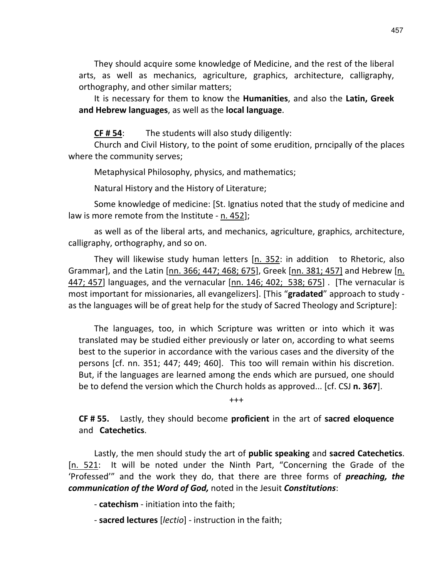They should acquire some knowledge of Medicine, and the rest of the liberal arts, as well as mechanics, agriculture, graphics, architecture, calligraphy, orthography, and other similar matters;

It is necessary for them to know the Humanities, and also the Latin, Greek and Hebrew languages, as well as the local language.

CF # 54: The students will also study diligently:

 Church and Civil History, to the point of some erudition, prncipally of the places where the community serves;

Metaphysical Philosophy, physics, and mathematics;

Natural History and the History of Literature;

 Some knowledge of medicine: [St. Ignatius noted that the study of medicine and law is more remote from the Institute - n. 452];

 as well as of the liberal arts, and mechanics, agriculture, graphics, architecture, calligraphy, orthography, and so on.

They will likewise study human letters  $[n. 352]$ : in addition to Rhetoric, also Grammar], and the Latin [nn. 366; 447; 468; 675], Greek [nn. 381; 457] and Hebrew [n. 447; 457] languages, and the vernacular [nn. 146; 402; 538; 675] . [The vernacular is most important for missionaries, all evangelizers]. [This "gradated" approach to study as the languages will be of great help for the study of Sacred Theology and Scripture]:

The languages, too, in which Scripture was written or into which it was translated may be studied either previously or later on, according to what seems best to the superior in accordance with the various cases and the diversity of the persons [cf. nn. 351; 447; 449; 460]. This too will remain within his discretion. But, if the languages are learned among the ends which are pursued, one should be to defend the version which the Church holds as approved... [cf. CSJ  $\mathsf{n.367}$ ].

+++

CF # 55. Lastly, they should become proficient in the art of sacred eloquence and Catechetics.

Lastly, the men should study the art of public speaking and sacred Catechetics. [n. 521: It will be noted under the Ninth Part, "Concerning the Grade of the 'Professed'" and the work they do, that there are three forms of *preaching*, the communication of the Word of God, noted in the Jesuit Constitutions:

- catechism - initiation into the faith;

- sacred lectures [*lectio*] - instruction in the faith;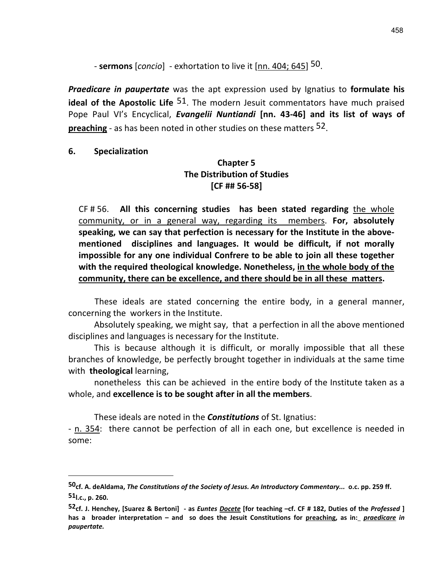- sermons [*concio*] - exhortation to live it [nn. 404; 645] <sup>50</sup>.

**Praedicare in paupertate** was the apt expression used by Ignatius to **formulate his** ideal of the Apostolic Life  $51$ . The modern Jesuit commentators have much praised Pope Paul VI's Encyclical, *Evangelii Nuntiandi* [nn. 43-46] and its list of ways of **preaching** - as has been noted in other studies on these matters <sup>52</sup>.

#### 6. Specialization

 $\overline{a}$ 

## Chapter 5 The Distribution of Studies [CF ## 56-58]

CF  $\#$  56. All this concerning studies has been stated regarding the whole community, or in a general way, regarding its members. For, absolutely speaking, we can say that perfection is necessary for the Institute in the abovementioned disciplines and languages. It would be difficult, if not morally impossible for any one individual Confrere to be able to join all these together with the required theological knowledge. Nonetheless, in the whole body of the community, there can be excellence, and there should be in all these matters.

These ideals are stated concerning the entire body, in a general manner, concerning the workers in the Institute.

 Absolutely speaking, we might say, that a perfection in all the above mentioned disciplines and languages is necessary for the Institute.

 This is because although it is difficult, or morally impossible that all these branches of knowledge, be perfectly brought together in individuals at the same time with **theological** learning,

 nonetheless this can be achieved in the entire body of the Institute taken as a whole, and excellence is to be sought after in all the members.

These ideals are noted in the **Constitutions** of St. Ignatius:

- n. 354: there cannot be perfection of all in each one, but excellence is needed in some:

<sup>50</sup>cf. A. deAldama, The Constitutions of the Society of Jesus. An Introductory Commentary... o.c. pp. 259 ff. 51l.c., p. 260.

<sup>52</sup>cf. J. Henchey, [Suarez & Bertoni] - as *Euntes <u>Docete</u>* [for teaching -cf. CF # 182, Duties of the Professed ] has a broader interpretation - and so does the Jesuit Constitutions for preaching, as in: praedicare in paupertate.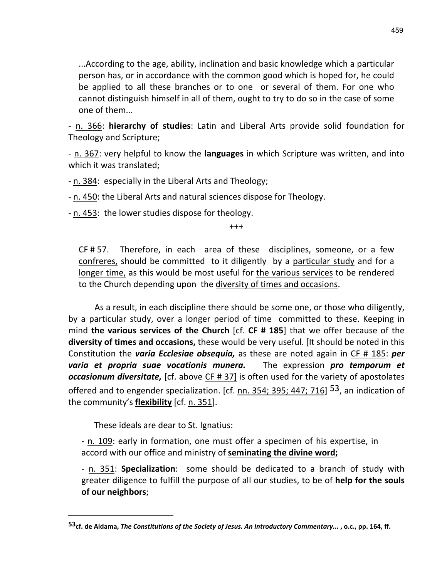...According to the age, ability, inclination and basic knowledge which a particular person has, or in accordance with the common good which is hoped for, he could be applied to all these branches or to one or several of them. For one who cannot distinguish himself in all of them, ought to try to do so in the case of some one of them...

- n. 366: hierarchy of studies: Latin and Liberal Arts provide solid foundation for Theology and Scripture;

- n. 367: very helpful to know the **languages** in which Scripture was written, and into which it was translated;

- n. 384: especially in the Liberal Arts and Theology;

- n. 450: the Liberal Arts and natural sciences dispose for Theology.

- n. 453: the lower studies dispose for theology.

+++

CF # 57. Therefore, in each area of these disciplines, someone, or a few confreres, should be committed to it diligently by a particular study and for a longer time, as this would be most useful for the various services to be rendered to the Church depending upon the diversity of times and occasions.

As a result, in each discipline there should be some one, or those who diligently, by a particular study, over a longer period of time committed to these. Keeping in mind the various services of the Church  $\lceil$  cf. CF # 185 that we offer because of the diversity of times and occasions, these would be very useful. [It should be noted in this Constitution the *varia Ecclesiae obsequia*, as these are noted again in CF # 185: *per* varia et propria suae vocationis munera. The expression pro temporum et occasionum diversitate, [cf. above  $CF # 37$ ] is often used for the variety of apostolates offered and to engender specialization. [cf. nn. 354; 395; 447; 716]  $53$ , an indication of the community's flexibility [cf. n. 351].

These ideals are dear to St. Ignatius:

 $\overline{a}$ 

- n. 109: early in formation, one must offer a specimen of his expertise, in accord with our office and ministry of seminating the divine word;

- n. 351: Specialization: some should be dedicated to a branch of study with greater diligence to fulfill the purpose of all our studies, to be of help for the souls of our neighbors;

<sup>53</sup>cf. de Aldama, The Constitutions of the Society of Jesus. An Introductory Commentary..., o.c., pp. 164, ff.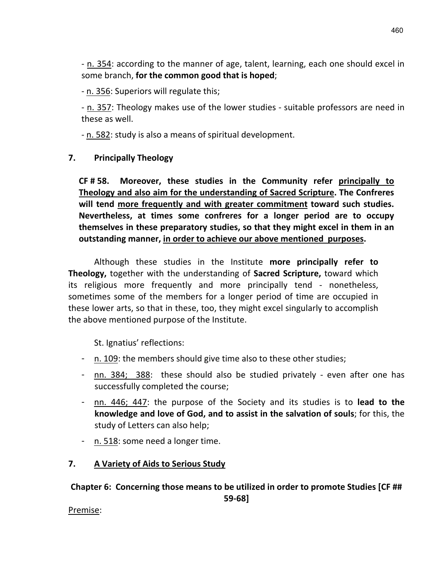- n. 354: according to the manner of age, talent, learning, each one should excel in some branch, for the common good that is hoped;

- n. 356: Superiors will regulate this;

- n. 357: Theology makes use of the lower studies - suitable professors are need in these as well.

- n. 582: study is also a means of spiritual development.

# 7. Principally Theology

CF # 58. Moreover, these studies in the Community refer principally to Theology and also aim for the understanding of Sacred Scripture. The Confreres will tend more frequently and with greater commitment toward such studies. Nevertheless, at times some confreres for a longer period are to occupy themselves in these preparatory studies, so that they might excel in them in an outstanding manner, in order to achieve our above mentioned purposes.

Although these studies in the Institute more principally refer to Theology, together with the understanding of Sacred Scripture, toward which its religious more frequently and more principally tend - nonetheless, sometimes some of the members for a longer period of time are occupied in these lower arts, so that in these, too, they might excel singularly to accomplish the above mentioned purpose of the Institute.

St. Ignatius' reflections:

- n. 109: the members should give time also to these other studies;
- nn. 384; 388: these should also be studied privately even after one has successfully completed the course;
- nn. 446; 447: the purpose of the Society and its studies is to lead to the knowledge and love of God, and to assist in the salvation of souls; for this, the study of Letters can also help;
- n. 518: some need a longer time.

# 7. A Variety of Aids to Serious Study

# Chapter 6: Concerning those means to be utilized in order to promote Studies [CF ##

59-68]

Premise: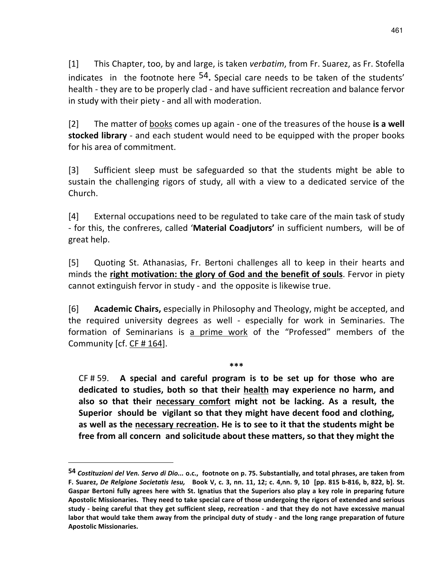[1] This Chapter, too, by and large, is taken verbatim, from Fr. Suarez, as Fr. Stofella indicates in the footnote here  $54$ . Special care needs to be taken of the students' health - they are to be properly clad - and have sufficient recreation and balance fervor in study with their piety - and all with moderation.

[2] The matter of books comes up again - one of the treasures of the house is a well stocked library - and each student would need to be equipped with the proper books for his area of commitment.

[3] Sufficient sleep must be safeguarded so that the students might be able to sustain the challenging rigors of study, all with a view to a dedicated service of the Church.

[4] External occupations need to be regulated to take care of the main task of study - for this, the confreres, called 'Material Coadjutors' in sufficient numbers, will be of great help.

[5] Quoting St. Athanasias, Fr. Bertoni challenges all to keep in their hearts and minds the right motivation: the glory of God and the benefit of souls. Fervor in piety cannot extinguish fervor in study - and the opposite is likewise true.

[6] **Academic Chairs,** especially in Philosophy and Theology, might be accepted, and the required university degrees as well - especially for work in Seminaries. The formation of Seminarians is a prime work of the "Professed" members of the Community [cf.  $CF \# 164$ ].

\*\*\*

CF # 59. A special and careful program is to be set up for those who are dedicated to studies, both so that their health may experience no harm, and also so that their necessary comfort might not be lacking. As a result, the Superior should be vigilant so that they might have decent food and clothing, as well as the necessary recreation. He is to see to it that the students might be free from all concern and solicitude about these matters, so that they might the

<sup>54</sup> Costituzioni del Ven. Servo di Dio... o.c., footnote on p. 75. Substantially, and total phrases, are taken from F. Suarez, De Relgione Societatis Iesu, Book V, c. 3, nn. 11, 12; c. 4,nn. 9, 10 [pp. 815 b-816, b, 822, b]. St. Gaspar Bertoni fully agrees here with St. Ignatius that the Superiors also play a key role in preparing future Apostolic Missionaries. They need to take special care of those undergoing the rigors of extended and serious study - being careful that they get sufficient sleep, recreation - and that they do not have excessive manual labor that would take them away from the principal duty of study - and the long range preparation of future Apostolic Missionaries.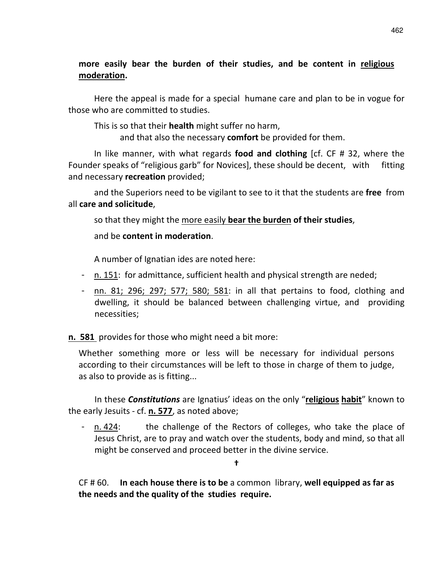## more easily bear the burden of their studies, and be content in religious moderation.

Here the appeal is made for a special humane care and plan to be in vogue for those who are committed to studies.

This is so that their **health** might suffer no harm,

and that also the necessary **comfort** be provided for them.

In like manner, with what regards **food and clothing** [cf. CF # 32, where the Founder speaks of "religious garb" for Novices], these should be decent, with fitting and necessary recreation provided;

and the Superiors need to be vigilant to see to it that the students are free from all care and solicitude,

so that they might the more easily bear the burden of their studies,

and be content in moderation.

A number of Ignatian ides are noted here:

- n. 151: for admittance, sufficient health and physical strength are neded;
- nn. 81; 296; 297; 577; 580; 581: in all that pertains to food, clothing and dwelling, it should be balanced between challenging virtue, and providing necessities;

n. 581 provides for those who might need a bit more:

Whether something more or less will be necessary for individual persons according to their circumstances will be left to those in charge of them to judge, as also to provide as is fitting...

In these **Constitutions** are Ignatius' ideas on the only "religious habit" known to the early Jesuits - cf. n. 577, as noted above;

- n. 424: the challenge of the Rectors of colleges, who take the place of Jesus Christ, are to pray and watch over the students, body and mind, so that all might be conserved and proceed better in the divine service.

†

CF  $# 60.$  In each house there is to be a common library, well equipped as far as the needs and the quality of the studies require.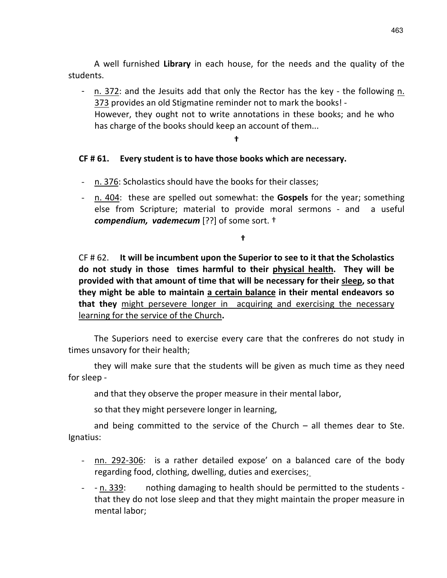A well furnished Library in each house, for the needs and the quality of the students.

- n. 372: and the Jesuits add that only the Rector has the key - the following n. 373 provides an old Stigmatine reminder not to mark the books! - However, they ought not to write annotations in these books; and he who has charge of the books should keep an account of them...

#### †

#### CF # 61. Every student is to have those books which are necessary.

- n. 376: Scholastics should have the books for their classes;
- n. 404: these are spelled out somewhat: the **Gospels** for the year; something else from Scripture; material to provide moral sermons - and a useful compendium, vademecum [??] of some sort.  $\dagger$

†

CF  $# 62.$  It will be incumbent upon the Superior to see to it that the Scholastics do not study in those times harmful to their physical health. They will be provided with that amount of time that will be necessary for their sleep, so that they might be able to maintain a certain balance in their mental endeavors so that they might persevere longer in acquiring and exercising the necessary learning for the service of the Church.

The Superiors need to exercise every care that the confreres do not study in times unsavory for their health;

 they will make sure that the students will be given as much time as they need for sleep -

and that they observe the proper measure in their mental labor,

so that they might persevere longer in learning,

 and being committed to the service of the Church – all themes dear to Ste. Ignatius:

- nn. 292-306: is a rather detailed expose' on a balanced care of the body regarding food, clothing, dwelling, duties and exercises;
- - n. 339: nothing damaging to health should be permitted to the students that they do not lose sleep and that they might maintain the proper measure in mental labor;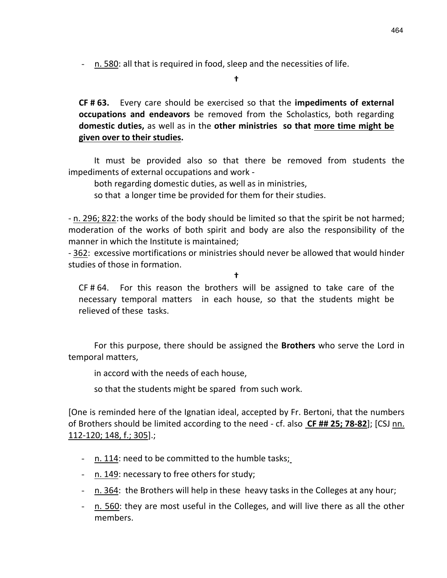- n. 580: all that is required in food, sleep and the necessities of life.

#### †

CF # 63. Every care should be exercised so that the impediments of external occupations and endeavors be removed from the Scholastics, both regarding domestic duties, as well as in the other ministries so that more time might be given over to their studies.

It must be provided also so that there be removed from students the impediments of external occupations and work -

both regarding domestic duties, as well as in ministries,

so that a longer time be provided for them for their studies.

- n. 296; 822: the works of the body should be limited so that the spirit be not harmed; moderation of the works of both spirit and body are also the responsibility of the manner in which the Institute is maintained;

- 362: excessive mortifications or ministries should never be allowed that would hinder studies of those in formation.

#### †

CF # 64. For this reason the brothers will be assigned to take care of the necessary temporal matters in each house, so that the students might be relieved of these tasks.

For this purpose, there should be assigned the **Brothers** who serve the Lord in temporal matters,

in accord with the needs of each house,

so that the students might be spared from such work.

[One is reminded here of the Ignatian ideal, accepted by Fr. Bertoni, that the numbers of Brothers should be limited according to the need - cf. also CF ## 25; 78-82]; [CSJ nn. 112-120; 148, f.; 305].;

- n. 114: need to be committed to the humble tasks;
- n. 149: necessary to free others for study;
- n. 364: the Brothers will help in these heavy tasks in the Colleges at any hour;
- n. 560: they are most useful in the Colleges, and will live there as all the other members.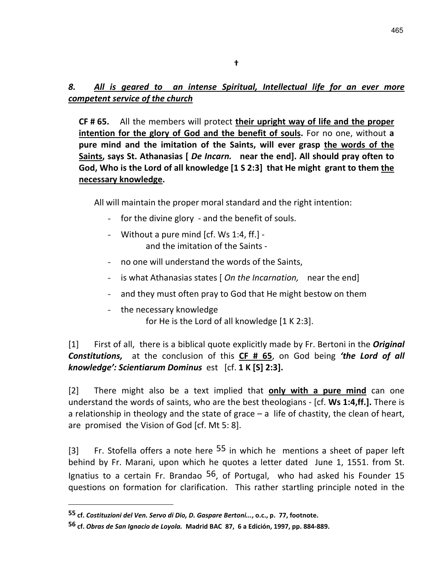# 8. All is geared to an intense Spiritual, Intellectual life for an ever more competent service of the church

CF #65. All the members will protect their upright way of life and the proper intention for the glory of God and the benefit of souls. For no one, without a pure mind and the imitation of the Saints, will ever grasp the words of the Saints, says St. Athanasias [ De Incarn. near the end]. All should pray often to God, Who is the Lord of all knowledge [1 S 2:3] that He might grant to them the necessary knowledge.

All will maintain the proper moral standard and the right intention:

- for the divine glory and the benefit of souls.
- Without a pure mind [cf. Ws 1:4, ff.] and the imitation of the Saints -
- no one will understand the words of the Saints,
- is what Athanasias states [On the Incarnation, near the end]
- and they must often pray to God that He might bestow on them
- the necessary knowledge for He is the Lord of all knowledge [1 K 2:3].

[1] First of all, there is a biblical quote explicitly made by Fr. Bertoni in the *Original* Constitutions, at the conclusion of this CF # 65, on God being 'the Lord of all knowledge': Scientiarum Dominus est [cf. 1 K [S] 2:3].

[2] There might also be a text implied that only with a pure mind can one understand the words of saints, who are the best theologians - [cf. Ws 1:4,ff.]. There is a relationship in theology and the state of grace – a life of chastity, the clean of heart, are promised the Vision of God [cf. Mt 5: 8].

[3] Fr. Stofella offers a note here  $55$  in which he mentions a sheet of paper left behind by Fr. Marani, upon which he quotes a letter dated June 1, 1551. from St. Ignatius to a certain Fr. Brandao <sup>56</sup>, of Portugal, who had asked his Founder 15 questions on formation for clarification. This rather startling principle noted in the

<sup>55</sup> cf. Costituzioni del Ven. Servo di Dio, D. Gaspare Bertoni..., o.c., p. 77, footnote.

<sup>56</sup> cf. Obras de San Ignacio de Loyola. Madrid BAC 87, 6 a Edición, 1997, pp. 884-889.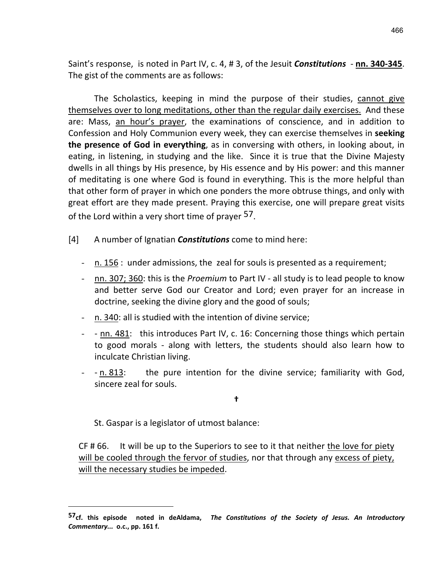Saint's response, is noted in Part IV, c. 4, #3, of the Jesuit Constitutions - nn. 340-345. The gist of the comments are as follows:

The Scholastics, keeping in mind the purpose of their studies, cannot give themselves over to long meditations, other than the regular daily exercises. And these are: Mass, an hour's prayer, the examinations of conscience, and in addition to Confession and Holy Communion every week, they can exercise themselves in seeking the presence of God in everything, as in conversing with others, in looking about, in eating, in listening, in studying and the like. Since it is true that the Divine Majesty dwells in all things by His presence, by His essence and by His power: and this manner of meditating is one where God is found in everything. This is the more helpful than that other form of prayer in which one ponders the more obtruse things, and only with great effort are they made present. Praying this exercise, one will prepare great visits of the Lord within a very short time of prayer 57.

- $[4]$  A number of Ignatian **Constitutions** come to mind here:
	- n. 156 : under admissions, the zeal for souls is presented as a requirement;
	- nn. 307; 360: this is the *Proemium* to Part IV all study is to lead people to know and better serve God our Creator and Lord; even prayer for an increase in doctrine, seeking the divine glory and the good of souls;
	- n. 340: all is studied with the intention of divine service;
	- - nn. 481: this introduces Part IV, c. 16: Concerning those things which pertain to good morals - along with letters, the students should also learn how to inculcate Christian living.
	- - n. 813: the pure intention for the divine service; familiarity with God, sincere zeal for souls.

†

St. Gaspar is a legislator of utmost balance:

 $\overline{a}$ 

CF  $# 66.$  It will be up to the Superiors to see to it that neither the love for piety will be cooled through the fervor of studies, nor that through any excess of piety, will the necessary studies be impeded.

<sup>57</sup>cf. this episode noted in deAldama, The Constitutions of the Society of Jesus. An Introductory Commentary... o.c., pp. 161 f.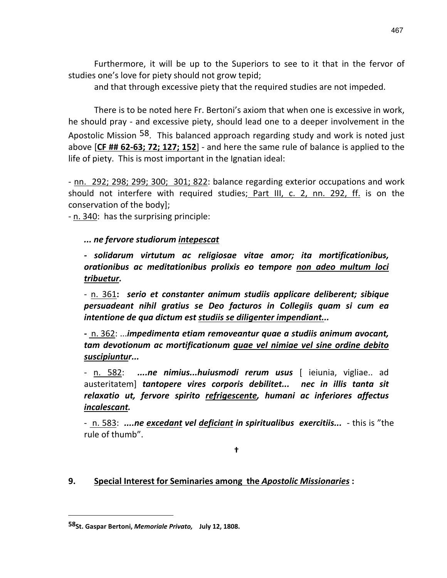Furthermore, it will be up to the Superiors to see to it that in the fervor of studies one's love for piety should not grow tepid;

and that through excessive piety that the required studies are not impeded.

 There is to be noted here Fr. Bertoni's axiom that when one is excessive in work, he should pray - and excessive piety, should lead one to a deeper involvement in the Apostolic Mission <sup>58</sup>. This balanced approach regarding study and work is noted just above  $[CF ## 62-63; 72; 127; 152]$  - and here the same rule of balance is applied to the life of piety. This is most important in the Ignatian ideal:

- nn. 292; 298; 299; 300; 301; 822: balance regarding exterior occupations and work should not interfere with required studies; Part III, c. 2, nn. 292, ff. is on the conservation of the body];

- n. 340: has the surprising principle:

... ne fervore studiorum intepescat

- solidarum virtutum ac religiosae vitae amor; ita mortificationibus, orationibus ac meditationibus prolixis eo tempore non adeo multum loci tribuetur.

- n. 361: serio et constanter animum studiis applicare deliberent; sibique persuadeant nihil gratius se Deo facturos in Collegiis quam si cum ea intentione de qua dictum est studiis se diligenter impendiant...

- n. 362: ...impedimenta etiam removeantur quae a studiis animum avocant, tam devotionum ac mortificationum quae vel nimiae vel sine ordine debito suscipiuntur...

- n. 582: ....ne nimius...huiusmodi rerum usus [ ieiunia, vigliae.. ad austeritatem] tantopere vires corporis debilitet... nec in illis tanta sit relaxatio ut, fervore spirito refrigescente, humani ac inferiores affectus incalescant.

- n. 583: ....ne excedant vel deficiant in spiritualibus exercitiis... - this is "the rule of thumb".

†

#### 9. Special Interest for Seminaries among the Apostolic Missionaries :

<sup>58&</sup>lt;sub>St.</sub> Gaspar Bertoni, Memoriale Privato, July 12, 1808.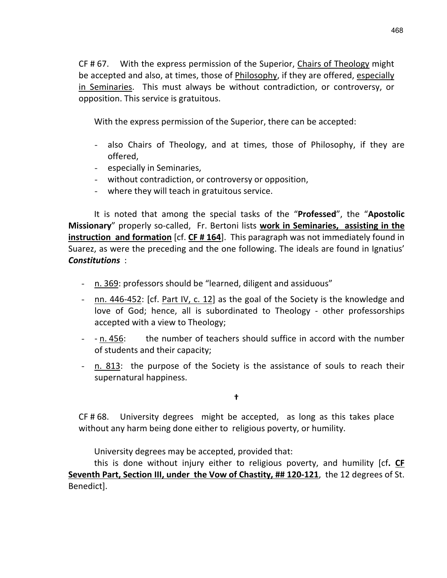CF # 67. With the express permission of the Superior, Chairs of Theology might be accepted and also, at times, those of Philosophy, if they are offered, especially in Seminaries. This must always be without contradiction, or controversy, or opposition. This service is gratuitous.

With the express permission of the Superior, there can be accepted:

- also Chairs of Theology, and at times, those of Philosophy, if they are offered,
- especially in Seminaries,
- without contradiction, or controversy or opposition,
- where they will teach in gratuitous service.

It is noted that among the special tasks of the "Professed", the "Apostolic Missionary" properly so-called, Fr. Bertoni lists work in Seminaries, assisting in the **instruction and formation** [cf. CF # 164]. This paragraph was not immediately found in Suarez, as were the preceding and the one following. The ideals are found in Ignatius' Constitutions :

- n. 369: professors should be "learned, diligent and assiduous"
- nn. 446-452: [cf. Part IV, c. 12] as the goal of the Society is the knowledge and love of God; hence, all is subordinated to Theology - other professorships accepted with a view to Theology;
- $n. 456$ : the number of teachers should suffice in accord with the number of students and their capacity;
- n. 813: the purpose of the Society is the assistance of souls to reach their supernatural happiness.

†

CF # 68. University degrees might be accepted, as long as this takes place without any harm being done either to religious poverty, or humility.

University degrees may be accepted, provided that:

this is done without injury either to religious poverty, and humility [cf. CF Seventh Part, Section III, under the Vow of Chastity, ## 120-121, the 12 degrees of St. Benedict].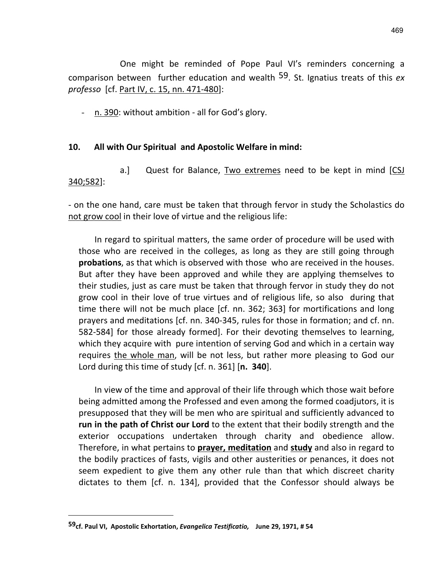One might be reminded of Pope Paul VI's reminders concerning a comparison between further education and wealth  $59$ . St. Ignatius treats of this ex professo [cf. Part IV, c. 15, nn. 471-480]:

n. 390: without ambition - all for God's glory.

### 10. All with Our Spiritual and Apostolic Welfare in mind:

 a.] Quest for Balance, Two extremes need to be kept in mind [CSJ 340;582]:

- on the one hand, care must be taken that through fervor in study the Scholastics do not grow cool in their love of virtue and the religious life:

In regard to spiritual matters, the same order of procedure will be used with those who are received in the colleges, as long as they are still going through probations, as that which is observed with those who are received in the houses. But after they have been approved and while they are applying themselves to their studies, just as care must be taken that through fervor in study they do not grow cool in their love of true virtues and of religious life, so also during that time there will not be much place [cf. nn. 362; 363] for mortifications and long prayers and meditations [cf. nn. 340-345, rules for those in formation; and cf. nn. 582-584] for those already formed]. For their devoting themselves to learning, which they acquire with pure intention of serving God and which in a certain way requires the whole man, will be not less, but rather more pleasing to God our Lord during this time of study  $[cf. n. 361]$   $[n. 340]$ .

In view of the time and approval of their life through which those wait before being admitted among the Professed and even among the formed coadjutors, it is presupposed that they will be men who are spiritual and sufficiently advanced to run in the path of Christ our Lord to the extent that their bodily strength and the exterior occupations undertaken through charity and obedience allow. Therefore, in what pertains to prayer, meditation and study and also in regard to the bodily practices of fasts, vigils and other austerities or penances, it does not seem expedient to give them any other rule than that which discreet charity dictates to them [cf. n. 134], provided that the Confessor should always be

<sup>59</sup>cf. Paul VI, Apostolic Exhortation, Evangelica Testificatio, June 29, 1971, #54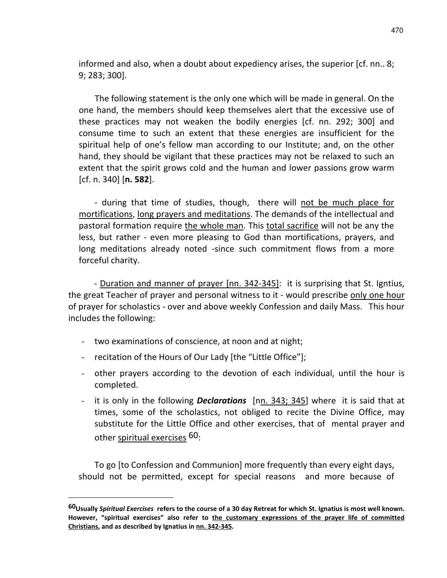informed and also, when a doubt about expediency arises, the superior [cf. nn.. 8; 9; 283; 300].

The following statement is the only one which will be made in general. On the one hand, the members should keep themselves alert that the excessive use of these practices may not weaken the bodily energies [cf. nn. 292; 300] and consume time to such an extent that these energies are insufficient for the spiritual help of one's fellow man according to our Institute; and, on the other hand, they should be vigilant that these practices may not be relaxed to such an extent that the spirit grows cold and the human and lower passions grow warm  $[cf. n. 340]$   $[n. 582]$ .

- during that time of studies, though, there will not be much place for mortifications, long prayers and meditations. The demands of the intellectual and pastoral formation require the whole man. This total sacrifice will not be any the less, but rather - even more pleasing to God than mortifications, prayers, and long meditations already noted -since such commitment flows from a more forceful charity.

 - Duration and manner of prayer [nn. 342-345]: it is surprising that St. Igntius, the great Teacher of prayer and personal witness to it - would prescribe only one hour of prayer for scholastics - over and above weekly Confession and daily Mass. This hour includes the following:

- two examinations of conscience, at noon and at night;
- recitation of the Hours of Our Lady [the "Little Office"];

 $\overline{a}$ 

- other prayers according to the devotion of each individual, until the hour is completed.
- it is only in the following **Declarations** [nn. 343; 345] where it is said that at times, some of the scholastics, not obliged to recite the Divine Office, may substitute for the Little Office and other exercises, that of mental prayer and other spiritual exercises 60:

To go [to Confession and Communion] more frequently than every eight days, should not be permitted, except for special reasons and more because of

<sup>&</sup>lt;sup>60</sup>Usually Spiritual Exercises refers to the course of a 30 day Retreat for which St. Ignatius is most well known. However, "spiritual exercises" also refer to the customary expressions of the prayer life of committed Christians, and as described by Ignatius in nn. 342-345.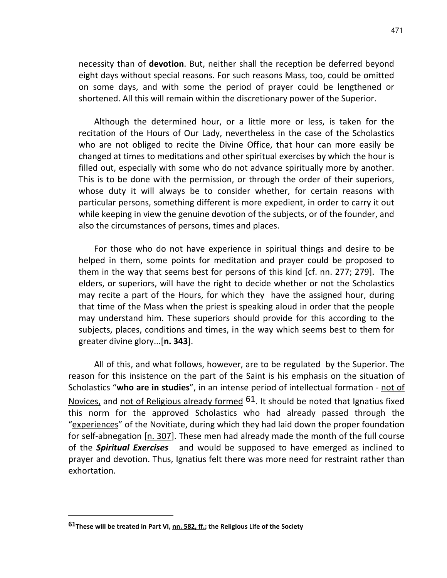necessity than of **devotion**. But, neither shall the reception be deferred beyond eight days without special reasons. For such reasons Mass, too, could be omitted on some days, and with some the period of prayer could be lengthened or shortened. All this will remain within the discretionary power of the Superior.

 Although the determined hour, or a little more or less, is taken for the recitation of the Hours of Our Lady, nevertheless in the case of the Scholastics who are not obliged to recite the Divine Office, that hour can more easily be changed at times to meditations and other spiritual exercises by which the hour is filled out, especially with some who do not advance spiritually more by another. This is to be done with the permission, or through the order of their superiors, whose duty it will always be to consider whether, for certain reasons with particular persons, something different is more expedient, in order to carry it out while keeping in view the genuine devotion of the subjects, or of the founder, and also the circumstances of persons, times and places.

 For those who do not have experience in spiritual things and desire to be helped in them, some points for meditation and prayer could be proposed to them in the way that seems best for persons of this kind [cf. nn. 277; 279]. The elders, or superiors, will have the right to decide whether or not the Scholastics may recite a part of the Hours, for which they have the assigned hour, during that time of the Mass when the priest is speaking aloud in order that the people may understand him. These superiors should provide for this according to the subjects, places, conditions and times, in the way which seems best to them for greater divine glory...[n. 343].

 All of this, and what follows, however, are to be regulated by the Superior. The reason for this insistence on the part of the Saint is his emphasis on the situation of Scholastics "who are in studies", in an intense period of intellectual formation - not of Novices, and not of Religious already formed  $61$ . It should be noted that Ignatius fixed this norm for the approved Scholastics who had already passed through the "*experiences*" of the Novitiate, during which they had laid down the proper foundation for self-abnegation  $[n. 307]$ . These men had already made the month of the full course of the **Spiritual Exercises** and would be supposed to have emerged as inclined to prayer and devotion. Thus, Ignatius felt there was more need for restraint rather than exhortation.

<sup>61</sup>These will be treated in Part VI, nn. 582, ff.; the Religious Life of the Society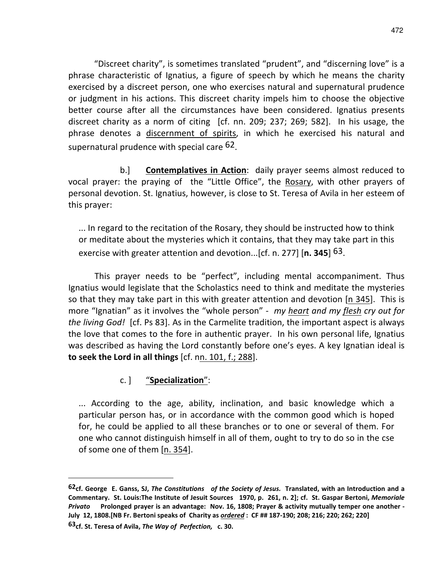"Discreet charity", is sometimes translated "prudent", and "discerning love" is a phrase characteristic of Ignatius, a figure of speech by which he means the charity exercised by a discreet person, one who exercises natural and supernatural prudence or judgment in his actions. This discreet charity impels him to choose the objective better course after all the circumstances have been considered. Ignatius presents discreet charity as a norm of citing [cf. nn. 209; 237; 269; 582]. In his usage, the phrase denotes a discernment of spirits, in which he exercised his natural and supernatural prudence with special care <sup>62</sup>.

b.] **Contemplatives in Action:** daily prayer seems almost reduced to vocal prayer: the praying of the "Little Office", the Rosary, with other prayers of personal devotion. St. Ignatius, however, is close to St. Teresa of Avila in her esteem of this prayer:

... In regard to the recitation of the Rosary, they should be instructed how to think or meditate about the mysteries which it contains, that they may take part in this exercise with greater attention and devotion... $[cf. n. 277]$   $[n. 345]$   $63$ .

This prayer needs to be "perfect", including mental accompaniment. Thus Ignatius would legislate that the Scholastics need to think and meditate the mysteries so that they may take part in this with greater attention and devotion [n 345]. This is more "Ignatian" as it involves the "whole person" - my heart and my flesh cry out for the living God! [cf. Ps 83]. As in the Carmelite tradition, the important aspect is always the love that comes to the fore in authentic prayer. In his own personal life, Ignatius was described as having the Lord constantly before one's eyes. A key Ignatian ideal is to seek the Lord in all things [cf. nn. 101, f.; 288].

# c. ] "Specialization":

... According to the age, ability, inclination, and basic knowledge which a particular person has, or in accordance with the common good which is hoped for, he could be applied to all these branches or to one or several of them. For one who cannot distinguish himself in all of them, ought to try to do so in the cse of some one of them [n. 354].

 $62$ cf. George E. Ganss, SJ, The Constitutions of the Society of Jesus. Translated, with an Introduction and a Commentary. St. Louis:The Institute of Jesuit Sources 1970, p. 261, n. 2]; cf. St. Gaspar Bertoni, Memoriale Privato Prolonged prayer is an advantage: Nov. 16, 1808; Prayer & activity mutually temper one another - July 12, 1808. [NB Fr. Bertoni speaks of Charity as ordered : CF ## 187-190; 208; 216; 220; 262; 220]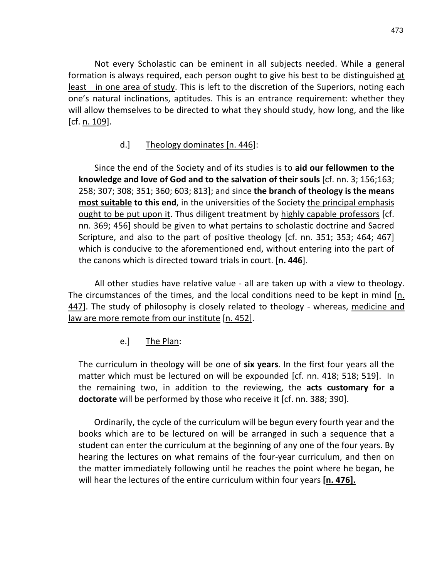Not every Scholastic can be eminent in all subjects needed. While a general formation is always required, each person ought to give his best to be distinguished at least in one area of study. This is left to the discretion of the Superiors, noting each one's natural inclinations, aptitudes. This is an entrance requirement: whether they will allow themselves to be directed to what they should study, how long, and the like [cf. n. 109].

# d.] Theology dominates [n. 446]:

Since the end of the Society and of its studies is to aid our fellowmen to the knowledge and love of God and to the salvation of their souls [cf. nn. 3; 156;163; 258; 307; 308; 351; 360; 603; 813]; and since the branch of theology is the means most suitable to this end, in the universities of the Society the principal emphasis ought to be put upon it. Thus diligent treatment by highly capable professors [cf. nn. 369; 456] should be given to what pertains to scholastic doctrine and Sacred Scripture, and also to the part of positive theology [cf. nn. 351; 353; 464; 467] which is conducive to the aforementioned end, without entering into the part of the canons which is directed toward trials in court. [n. 446].

All other studies have relative value - all are taken up with a view to theology. The circumstances of the times, and the local conditions need to be kept in mind [n. 447]. The study of philosophy is closely related to theology - whereas, medicine and law are more remote from our institute [n. 452].

# e.] The Plan:

The curriculum in theology will be one of six years. In the first four years all the matter which must be lectured on will be expounded [cf. nn. 418; 518; 519]. In the remaining two, in addition to the reviewing, the **acts customary for a** doctorate will be performed by those who receive it [cf. nn. 388; 390].

 Ordinarily, the cycle of the curriculum will be begun every fourth year and the books which are to be lectured on will be arranged in such a sequence that a student can enter the curriculum at the beginning of any one of the four years. By hearing the lectures on what remains of the four-year curriculum, and then on the matter immediately following until he reaches the point where he began, he will hear the lectures of the entire curriculum within four years [n. 476].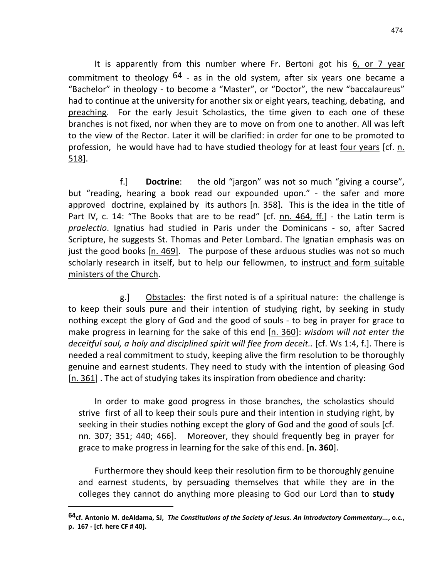It is apparently from this number where Fr. Bertoni got his 6, or 7 year commitment to theology  $64$  - as in the old system, after six years one became a "Bachelor" in theology - to become a "Master", or "Doctor", the new "baccalaureus" had to continue at the university for another six or eight years, teaching, debating, and preaching. For the early Jesuit Scholastics, the time given to each one of these branches is not fixed, nor when they are to move on from one to another. All was left to the view of the Rector. Later it will be clarified: in order for one to be promoted to profession, he would have had to have studied theology for at least four years [cf. n. 518].

 f.] Doctrine: the old "jargon" was not so much "giving a course", but "reading, hearing a book read our expounded upon." - the safer and more approved doctrine, explained by its authors [n. 358]. This is the idea in the title of Part IV, c. 14: "The Books that are to be read" [cf. nn. 464, ff.] - the Latin term is praelectio. Ignatius had studied in Paris under the Dominicans - so, after Sacred Scripture, he suggests St. Thomas and Peter Lombard. The Ignatian emphasis was on just the good books  $[n. 469]$ . The purpose of these arduous studies was not so much scholarly research in itself, but to help our fellowmen, to instruct and form suitable ministers of the Church.

 g.] Obstacles: the first noted is of a spiritual nature: the challenge is to keep their souls pure and their intention of studying right, by seeking in study nothing except the glory of God and the good of souls - to beg in prayer for grace to make progress in learning for the sake of this end  $[n. 360]$ : wisdom will not enter the deceitful soul, a holy and disciplined spirit will flee from deceit.. [cf. Ws 1:4, f.]. There is needed a real commitment to study, keeping alive the firm resolution to be thoroughly genuine and earnest students. They need to study with the intention of pleasing God [n. 361] . The act of studying takes its inspiration from obedience and charity:

In order to make good progress in those branches, the scholastics should strive first of all to keep their souls pure and their intention in studying right, by seeking in their studies nothing except the glory of God and the good of souls [cf. nn. 307; 351; 440; 466]. Moreover, they should frequently beg in prayer for grace to make progress in learning for the sake of this end. [n. 360].

Furthermore they should keep their resolution firm to be thoroughly genuine and earnest students, by persuading themselves that while they are in the colleges they cannot do anything more pleasing to God our Lord than to study

<sup>64</sup>cf. Antonio M. deAldama, SJ, The Constitutions of the Society of Jesus. An Introductory Commentary..., o.c., p. 167 - [cf. here CF # 40].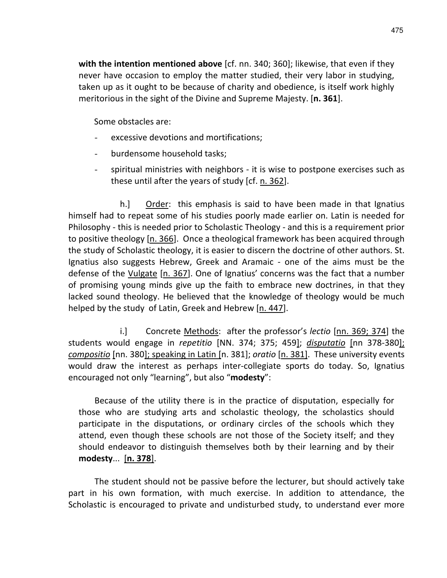with the intention mentioned above [cf. nn. 340; 360]; likewise, that even if they never have occasion to employ the matter studied, their very labor in studying, taken up as it ought to be because of charity and obedience, is itself work highly meritorious in the sight of the Divine and Supreme Majesty. [n. 361].

Some obstacles are:

- excessive devotions and mortifications;
- burdensome household tasks;
- spiritual ministries with neighbors it is wise to postpone exercises such as these until after the years of study [cf. n. 362].

 h.] Order: this emphasis is said to have been made in that Ignatius himself had to repeat some of his studies poorly made earlier on. Latin is needed for Philosophy - this is needed prior to Scholastic Theology - and this is a requirement prior to positive theology [n. 366]. Once a theological framework has been acquired through the study of Scholastic theology, it is easier to discern the doctrine of other authors. St. Ignatius also suggests Hebrew, Greek and Aramaic - one of the aims must be the defense of the Vulgate [n. 367]. One of Ignatius' concerns was the fact that a number of promising young minds give up the faith to embrace new doctrines, in that they lacked sound theology. He believed that the knowledge of theology would be much helped by the study of Latin, Greek and Hebrew [n. 447].

i.] Concrete Methods: after the professor's lectio [nn. 369; 374] the students would engage in repetitio [NN. 374; 375; 459]; *disputatio* [nn 378-380]; compositio [nn. 380]; speaking in Latin [n. 381]; oratio [n. 381]. These university events would draw the interest as perhaps inter-collegiate sports do today. So, Ignatius encouraged not only "learning", but also "modesty":

Because of the utility there is in the practice of disputation, especially for those who are studying arts and scholastic theology, the scholastics should participate in the disputations, or ordinary circles of the schools which they attend, even though these schools are not those of the Society itself; and they should endeavor to distinguish themselves both by their learning and by their modesty... [n. 378].

The student should not be passive before the lecturer, but should actively take part in his own formation, with much exercise. In addition to attendance, the Scholastic is encouraged to private and undisturbed study, to understand ever more